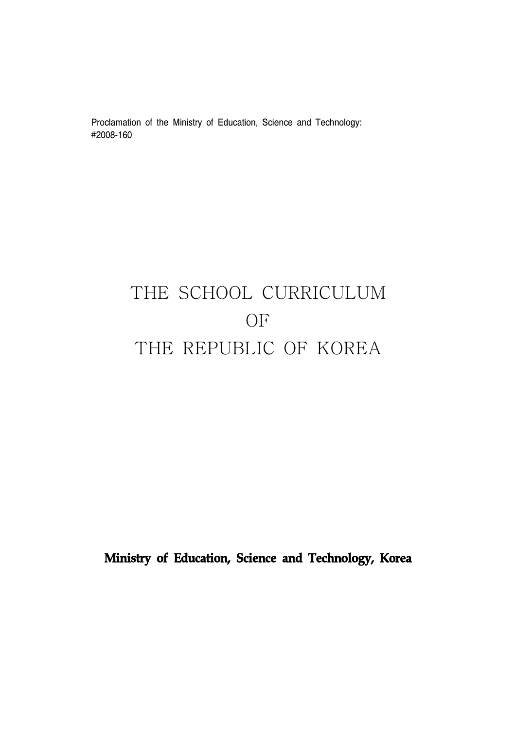Proclamation of the Ministry of Education, Science and Technology: #2008-160

# THE SCHOOL CURRICULUM OF THE REPUBLIC OF KOREA

**Ministry of Education, Science and Technology, Korea**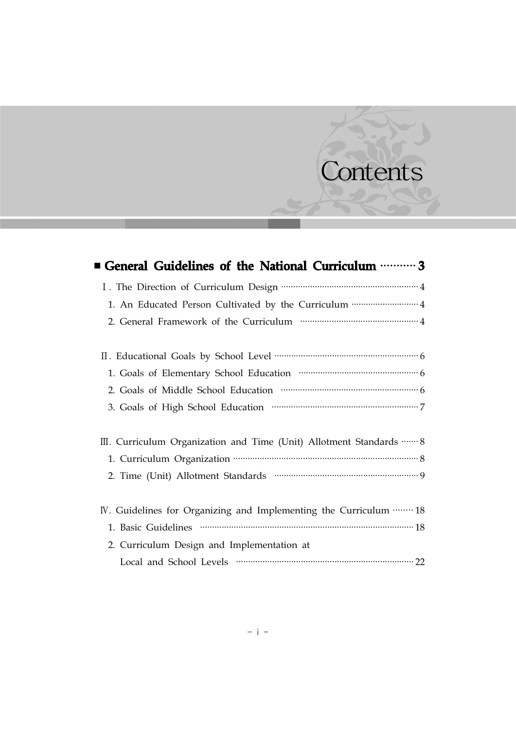# Contents

| ■ General Guidelines of the National Curriculum ………… 3              |
|---------------------------------------------------------------------|
|                                                                     |
| 1. An Educated Person Cultivated by the Curriculum …………………………………… 4 |
|                                                                     |
|                                                                     |
|                                                                     |
|                                                                     |
|                                                                     |
| III. Curriculum Organization and Time (Unit) Allotment Standards  8 |
|                                                                     |
|                                                                     |
| IV. Guidelines for Organizing and Implementing the Curriculum  18   |
|                                                                     |
| 2. Curriculum Design and Implementation at                          |
|                                                                     |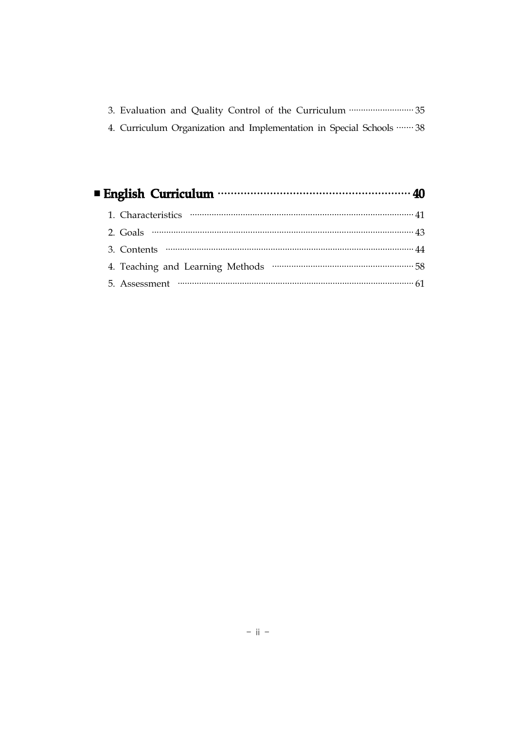|  | 3. Evaluation and Quality Control of the Curriculum  35              |  |
|--|----------------------------------------------------------------------|--|
|  | 4. Curriculum Organization and Implementation in Special Schools  38 |  |

| ■ English Curriculum ………………………………………………………… 40                                                                                                                                                                                                                                                                                          |  |
|-----------------------------------------------------------------------------------------------------------------------------------------------------------------------------------------------------------------------------------------------------------------------------------------------------------------------------------------|--|
|                                                                                                                                                                                                                                                                                                                                         |  |
| 2. Goals $\cdots$ $\cdots$ $\cdots$ $\cdots$ $\cdots$ $\cdots$ $\cdots$ $\cdots$ $\cdots$ $\cdots$ $\cdots$ $\cdots$ $\cdots$ $\cdots$ $\cdots$ $\cdots$ $\cdots$ $\cdots$ $\cdots$ $\cdots$ $\cdots$ $\cdots$ $\cdots$ $\cdots$ $\cdots$ $\cdots$ $\cdots$ $\cdots$ $\cdots$ $\cdots$ $\cdots$ $\cdots$ $\cdots$ $\cdots$ $\cdots$ $\$ |  |
|                                                                                                                                                                                                                                                                                                                                         |  |
|                                                                                                                                                                                                                                                                                                                                         |  |
|                                                                                                                                                                                                                                                                                                                                         |  |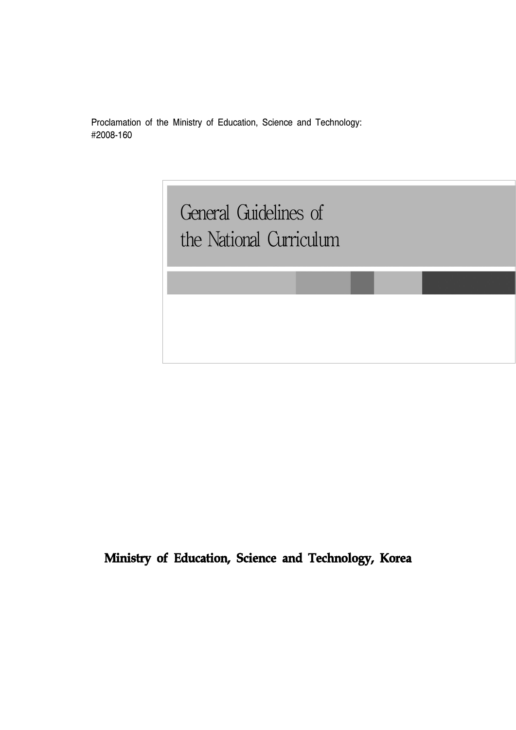Proclamation of the Ministry of Education, Science and Technology: #2008-160

> General Guidelines of General Guidelines of the National Curriculum the National Curriculum

**Ministry of Education, Science and Technology, Korea**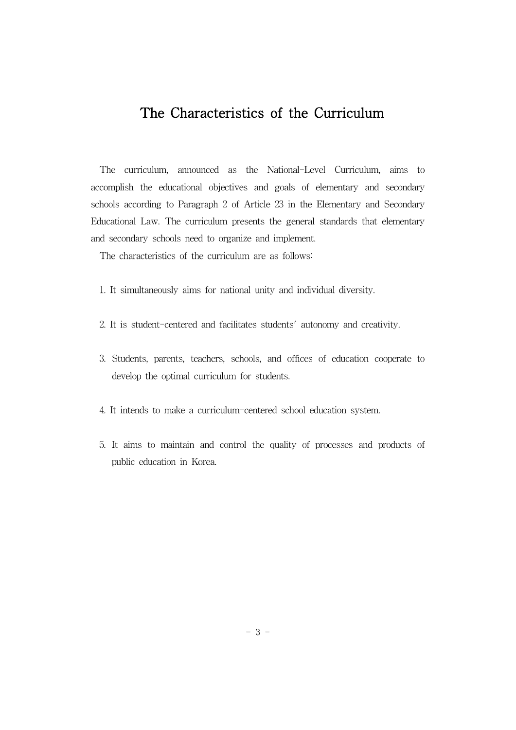# The Characteristics of the Curriculum

The curriculum, announced as the National-Level Curriculum, aims to accomplish the educational objectives and goals of elementary and secondary schools according to Paragraph 2 of Article 23 in the Elementary and Secondary Educational Law. The curriculum presents the general standards that elementary and secondary schools need to organize and implement.

The characteristics of the curriculum are as follows:

- 1. It simultaneously aims for national unity and individual diversity.
- 2. It is student-centered and facilitates students' autonomy and creativity.
- 3. Students, parents, teachers, schools, and offices of education cooperate to develop the optimal curriculum for students.
- 4. It intends to make a curriculum-centered school education system.
- 5. It aims to maintain and control the quality of processes and products of public education in Korea.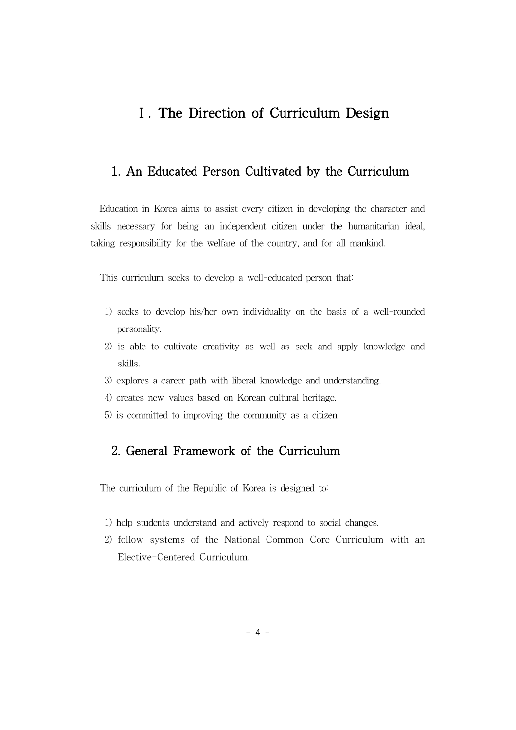# Ⅰ. The Direction of Curriculum Design

#### 1. An Educated Person Cultivated by the Curriculum

Education in Korea aims to assist every citizen in developing the character and skills necessary for being an independent citizen under the humanitarian ideal, taking responsibility for the welfare of the country, and for all mankind.

This curriculum seeks to develop a well-educated person that:

- 1) seeks to develop his/her own individuality on the basis of a well-rounded personality.
- 2) is able to cultivate creativity as well as seek and apply knowledge and skills.
- 3) explores a career path with liberal knowledge and understanding.
- 4) creates new values based on Korean cultural heritage.
- 5) is committed to improving the community as a citizen.

#### 2. General Framework of the Curriculum

The curriculum of the Republic of Korea is designed to:

- 1) help students understand and actively respond to social changes.
- 2) follow systems of the National Common Core Curriculum with an Elective-Centered Curriculum.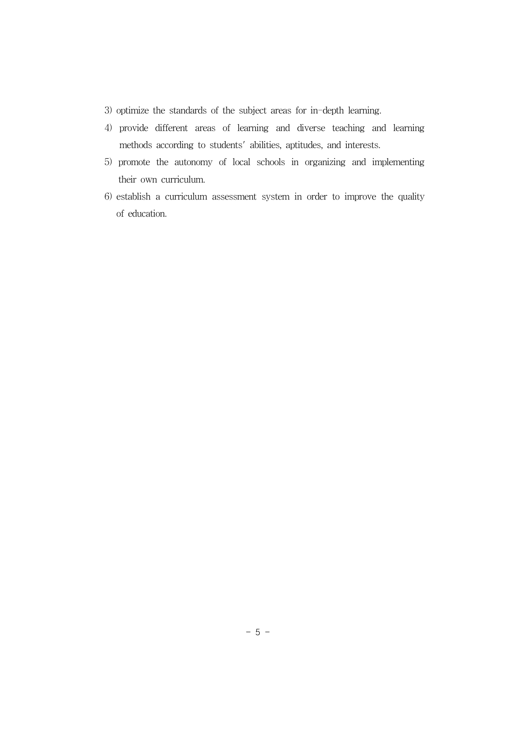- 3) optimize the standards of the subject areas for in-depth learning.
- 4) provide different areas of learning and diverse teaching and learning methods according to students' abilities, aptitudes, and interests.
- 5) promote the autonomy of local schools in organizing and implementing their own curriculum.
- 6) establish a curriculum assessment system in order to improve the quality of education.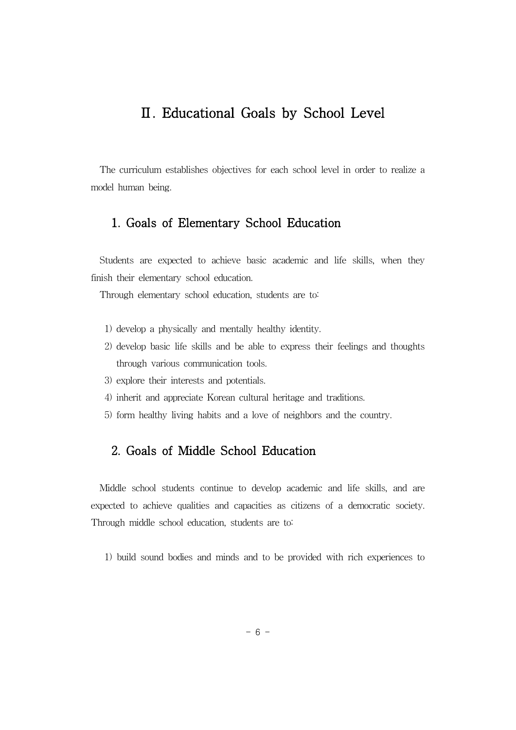## Ⅱ. Educational Goals by School Level

The curriculum establishes objectives for each school level in order to realize a model human being.

#### 1. Goals of Elementary School Education

Students are expected to achieve basic academic and life skills, when they finish their elementary school education.

Through elementary school education, students are to:

- 1) develop a physically and mentally healthy identity.
- 2) develop basic life skills and be able to express their feelings and thoughts through various communication tools.
- 3) explore their interests and potentials.
- 4) inherit and appreciate Korean cultural heritage and traditions.
- 5) form healthy living habits and a love of neighbors and the country.

#### 2. Goals of Middle School Education

Middle school students continue to develop academic and life skills, and are expected to achieve qualities and capacities as citizens of a democratic society. Through middle school education, students are to:

1) build sound bodies and minds and to be provided with rich experiences to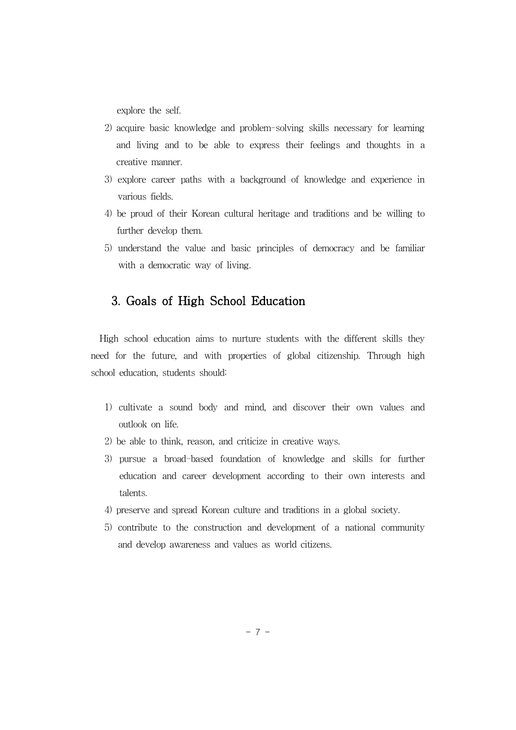explore the self.

- 2) acquire basic knowledge and problem-solving skills necessary for learning and living and to be able to express their feelings and thoughts in a creative manner.
- 3) explore career paths with a background of knowledge and experience in various fields.
- 4) be proud of their Korean cultural heritage and traditions and be willing to further develop them.
- 5) understand the value and basic principles of democracy and be familiar with a democratic way of living.

#### 3. Goals of High School Education

High school education aims to nurture students with the different skills they need for the future, and with properties of global citizenship. Through high school education, students should:

- 1) cultivate a sound body and mind, and discover their own values and outlook on life.
- 2) be able to think, reason, and criticize in creative ways.
- 3) pursue a broad-based foundation of knowledge and skills for further education and career development according to their own interests and talents.
- 4) preserve and spread Korean culture and traditions in a global society.
- 5) contribute to the construction and development of a national community and develop awareness and values as world citizens.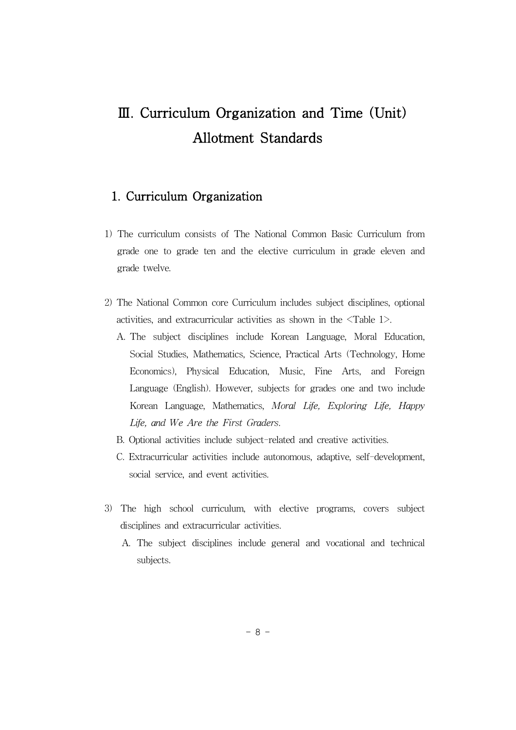# Ⅲ. Curriculum Organization and Time (Unit) Allotment Standards

#### 1. Curriculum Organization

- 1) The curriculum consists of The National Common Basic Curriculum from grade one to grade ten and the elective curriculum in grade eleven and grade twelve.
- 2) The National Common core Curriculum includes subject disciplines, optional activities, and extracurricular activities as shown in the <Table 1>.
	- A. The subject disciplines include Korean Language, Moral Education, Social Studies, Mathematics, Science, Practical Arts (Technology, Home Economics), Physical Education, Music, Fine Arts, and Foreign Language (English). However, subjects for grades one and two include Korean Language, Mathematics, *Moral Life, Exploring Life, Happy Life, and We Are the First Graders*.
	- B. Optional activities include subject-related and creative activities.
	- C. Extracurricular activities include autonomous, adaptive, self-development, social service, and event activities.
- 3) The high school curriculum, with elective programs, covers subject disciplines and extracurricular activities.
	- A. The subject disciplines include general and vocational and technical subjects.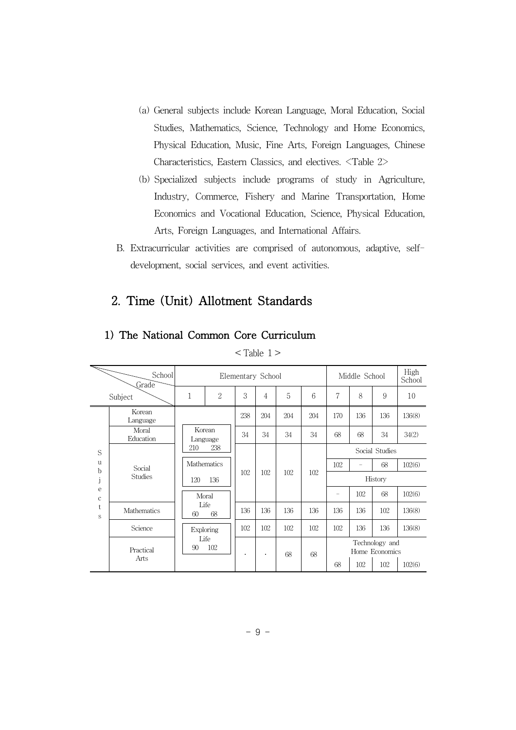- (a) General subjects include Korean Language, Moral Education, Social Studies, Mathematics, Science, Technology and Home Economics, Physical Education, Music, Fine Arts, Foreign Languages, Chinese Characteristics, Eastern Classics, and electives. <Table 2>
- (b) Specialized subjects include programs of study in Agriculture, Industry, Commerce, Fishery and Marine Transportation, Home Economics and Vocational Education, Science, Physical Education, Arts, Foreign Languages, and International Affairs.
- B. Extracurricular activities are comprised of autonomous, adaptive, selfdevelopment, social services, and event activities.

#### 2. Time (Unit) Allotment Standards

| School<br>Grade<br>Subject |                    |             | Elementary School         |     |                |     |     | Middle School     |     |                                         | High<br>School |
|----------------------------|--------------------|-------------|---------------------------|-----|----------------|-----|-----|-------------------|-----|-----------------------------------------|----------------|
|                            |                    | 1           | $\overline{2}$            | 3   | $\overline{4}$ | 5   | 6   | 7                 | 8   | 9                                       | 10             |
|                            | Korean<br>Language |             |                           | 238 | 204            | 204 | 204 | 170               | 136 | 136                                     | 136(8)         |
| S<br>$\mathbf{u}$          | Moral<br>Education |             | Korean<br>Language        | 34  | 34             | 34  | 34  | 68                | 68  | 34                                      | 34(2)          |
|                            | Social<br>Studies  | 238<br>210  |                           |     |                |     |     | Social Studies    |     |                                         |                |
|                            |                    | Mathematics |                           |     |                |     |     | 102               |     | 68                                      | 102(6)         |
| b                          |                    | 120         | 136                       | 102 | 102            | 102 | 102 | History           |     |                                         |                |
| e<br>$\mathbf c$<br>t<br>S |                    |             | Moral<br>Life<br>68<br>60 |     |                |     |     | $\qquad \qquad =$ | 102 | 68                                      | 102(6)         |
|                            | <b>Mathematics</b> |             |                           |     | 136            | 136 | 136 | 136               | 136 | 102                                     | 136(8)         |
|                            | Science            |             | Exploring                 | 102 | 102            | 102 | 102 | 102               | 136 | 136                                     | 136(8)         |
|                            | Practical<br>Arts  | 90          | Life<br>102               |     |                | 68  | 68  | 68                | 102 | Technology and<br>Home Economics<br>102 | 102(6)         |
|                            |                    |             |                           |     |                |     |     |                   |     |                                         |                |

### 1) The National Common Core Curriculum

 $<$ Table 1 >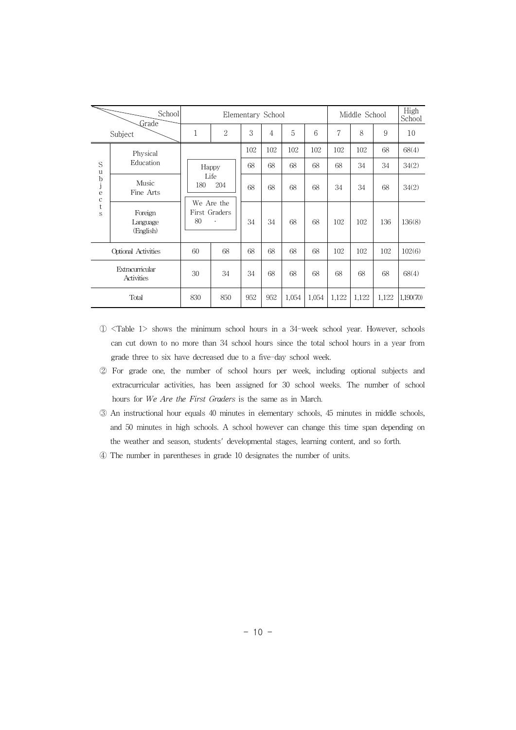|                               | School<br>Grade                  | Elementary School                                                |              |     |     |       | Middle School |       |       | High<br>School |           |
|-------------------------------|----------------------------------|------------------------------------------------------------------|--------------|-----|-----|-------|---------------|-------|-------|----------------|-----------|
|                               | Subject                          | 1                                                                | $\mathbf{2}$ | 3   | 4   | 5     | 6             | 7     | 8     | 9              | 10        |
|                               | Physical                         |                                                                  |              | 102 | 102 | 102   | 102           | 102   | 102   | 68             | 68(4)     |
| S<br>u                        | Education                        | Happy<br>Life<br>204<br>180<br>We Are the<br>First Graders<br>80 |              | 68  | 68  | 68    | 68            | 68    | 34    | 34             | 34(2)     |
| b<br>j<br>e                   | Music<br>Fine Arts               |                                                                  |              | 68  | 68  | 68    | 68            | 34    | 34    | 68             | 34(2)     |
| $\frac{\rm c}{\rm t}$<br>S    | Foreign<br>Language<br>(English) |                                                                  |              | 34  | 34  | 68    | 68            | 102   | 102   | 136            | 136(8)    |
| Optional Activities           |                                  | 60                                                               | 68           | 68  | 68  | 68    | 68            | 102   | 102   | 102            | 102(6)    |
| Extracurricular<br>Activities |                                  | 30                                                               | 34           | 34  | 68  | 68    | 68            | 68    | 68    | 68             | 68(4)     |
| Total                         |                                  | 830                                                              | 850          | 952 | 952 | 1,054 | 1,054         | 1,122 | 1,122 | 1,122          | 1,190(70) |

- ① <Table 1> shows the minimum school hours in a 34-week school year. However, schools can cut down to no more than 34 school hours since the total school hours in a year from grade three to six have decreased due to a five-day school week.
- ② For grade one, the number of school hours per week, including optional subjects and extracurricular activities, has been assigned for 30 school weeks. The number of school hours for *We Are the First Graders* is the same as in March.
- ③ An instructional hour equals 40 minutes in elementary schools, 45 minutes in middle schools, and 50 minutes in high schools. A school however can change this time span depending on the weather and season, students' developmental stages, learning content, and so forth.
- ④ The number in parentheses in grade 10 designates the number of units.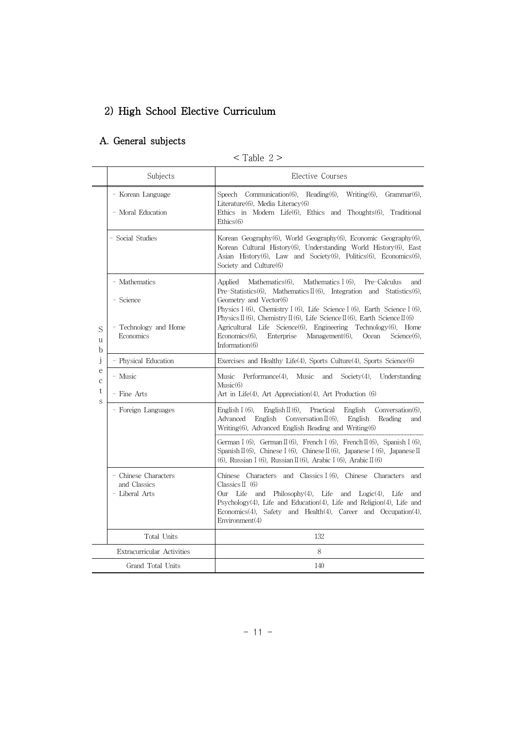# 2) High School Elective Curriculum

## A. General subjects

#### $<$  Table 2  $>$

|                       | Subjects                                                         | Elective Courses                                                                                                                                                                                                                                                                                                                                                                                                                                                                                                                                                   |
|-----------------------|------------------------------------------------------------------|--------------------------------------------------------------------------------------------------------------------------------------------------------------------------------------------------------------------------------------------------------------------------------------------------------------------------------------------------------------------------------------------------------------------------------------------------------------------------------------------------------------------------------------------------------------------|
|                       | - Korean Language<br>- Moral Education                           | Speech Communication(6), Reading(6),<br>Writing $(6)$ ,<br>$Grammar(6)$ ,<br>Literature $(6)$ , Media Literacy $(6)$<br>Ethics in Modern Life $(6)$ , Ethics and Thoughts $(6)$ , Traditional<br>Ethics(6)                                                                                                                                                                                                                                                                                                                                                         |
|                       | - Social Studies                                                 | Korean Geography(6), World Geography(6), Economic Geography(6),<br>Korean Cultural History(6), Understanding World History(6), East<br>Asian History(6), Law and Society(6), Politics(6), Economics(6),<br>Society and Culture(6)                                                                                                                                                                                                                                                                                                                                  |
| S<br>u<br>b           | - Mathematics<br>- Science<br>- Technology and Home<br>Economics | Mathematics I (6),<br>Applied<br>Mathematics $(6)$ ,<br>Pre-Calculus<br>and<br>Pre-Statistics(6), Mathematics $\mathbb{I}(6)$ , Integration and Statistics(6),<br>Geometry and Vector(6)<br>Physics I (6), Chemistry I (6), Life Science I (6), Earth Science I (6),<br>Physics $\mathbb{I}(6)$ , Chemistry $\mathbb{I}(6)$ , Life Science $\mathbb{I}(6)$ , Earth Science $\mathbb{I}(6)$<br>Agricultural Life Science(6), Engineering Technology(6), Home<br>$Economics(6)$ ,<br>Enterprise<br>$Management(6)$ ,<br>Ocean<br>$Science(6)$ ,<br>Information $(6)$ |
| j                     | - Physical Education                                             | Exercises and Healthy Life $(4)$ , Sports Culture $(4)$ , Sports Science $(6)$                                                                                                                                                                                                                                                                                                                                                                                                                                                                                     |
| e<br>$\mathbf c$<br>t | - Music<br>- Fine Arts                                           | Music<br>Performance $(4)$ ,<br>Music<br>and<br>Society $(4)$ ,<br>Understanding<br>Music(6)<br>Art in Life(4), Art Appreciation(4), Art Production (6)                                                                                                                                                                                                                                                                                                                                                                                                            |
| S                     | - Foreign Languages                                              | English I $(6)$ ,<br>English $\Pi(6)$ ,<br>Practical<br>English<br>$Conversion(6)$ ,<br>Advanced<br>English<br>Conversation $\Pi(6)$ ,<br>Reading<br>English<br>and<br>$Writing (6)$ , Advanced English Reading and Writing $(6)$                                                                                                                                                                                                                                                                                                                                  |
|                       |                                                                  | German I (6), German II (6), French I (6), French II (6), Spanish I (6),<br>Spanish $\mathbb{I}(6)$ , Chinese I (6), Chinese $\mathbb{I}(6)$ , Japanese I (6), Japanese $\mathbb{I}$<br>(6), Russian I (6), Russian II (6), Arabic I (6), Arabic II (6)                                                                                                                                                                                                                                                                                                            |
|                       | - Chinese Characters<br>and Classics<br>- Liberal Arts           | Chinese Characters and Classics I (6), Chinese Characters<br>and<br>Classics $\Pi$ (6)<br>Our Life<br>and Philosophy $(4)$ , Life and Logic $(4)$ , Life<br>and<br>Psychology(4), Life and Education(4), Life and Religion(4), Life and<br>Economics(4), Safety and Health(4), Career and Occupation(4),<br>Environment(4)                                                                                                                                                                                                                                         |
|                       | Total Units                                                      | 132                                                                                                                                                                                                                                                                                                                                                                                                                                                                                                                                                                |
|                       | Extracurricular Activities                                       | 8                                                                                                                                                                                                                                                                                                                                                                                                                                                                                                                                                                  |
|                       | Grand Total Units                                                | 140                                                                                                                                                                                                                                                                                                                                                                                                                                                                                                                                                                |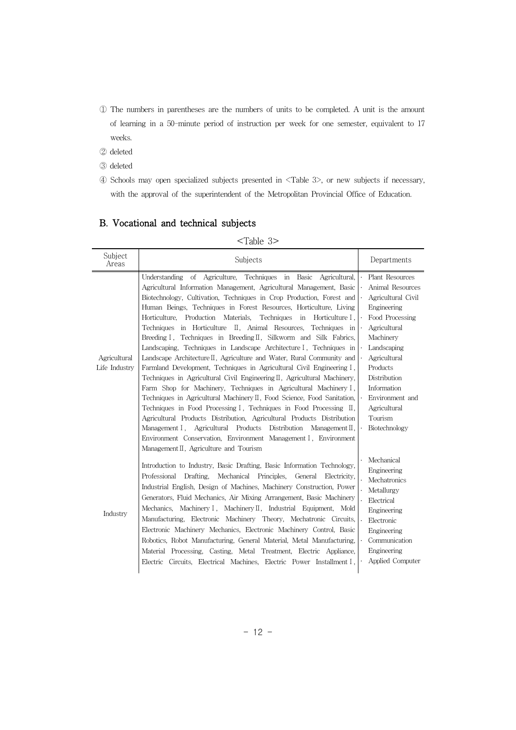- ① The numbers in parentheses are the numbers of units to be completed. A unit is the amount of learning in a 50-minute period of instruction per week for one semester, equivalent to 17 weeks.
- ② deleted
- ③ deleted
- ④ Schools may open specialized subjects presented in <Table 3>, or new subjects if necessary, with the approval of the superintendent of the Metropolitan Provincial Office of Education.

|                               | $>$ rapie $0$ $\sim$                                                                                                                                                                                                                                                                                                                                                                                                                                                                                                                                                                                                                                                                                                                                                                                                                                                                                                                                                                                                                                                                                                                                                                                                                                                                                                          |                                                                                                                                                                                                                                                                   |
|-------------------------------|-------------------------------------------------------------------------------------------------------------------------------------------------------------------------------------------------------------------------------------------------------------------------------------------------------------------------------------------------------------------------------------------------------------------------------------------------------------------------------------------------------------------------------------------------------------------------------------------------------------------------------------------------------------------------------------------------------------------------------------------------------------------------------------------------------------------------------------------------------------------------------------------------------------------------------------------------------------------------------------------------------------------------------------------------------------------------------------------------------------------------------------------------------------------------------------------------------------------------------------------------------------------------------------------------------------------------------|-------------------------------------------------------------------------------------------------------------------------------------------------------------------------------------------------------------------------------------------------------------------|
| Subject<br>Areas              | Subjects                                                                                                                                                                                                                                                                                                                                                                                                                                                                                                                                                                                                                                                                                                                                                                                                                                                                                                                                                                                                                                                                                                                                                                                                                                                                                                                      | Departments                                                                                                                                                                                                                                                       |
| Agricultural<br>Life Industry | of Agriculture, Techniques in Basic<br>Agricultural,<br>Understanding<br>Agricultural Information Management, Agricultural Management, Basic<br>Biotechnology, Cultivation, Techniques in Crop Production, Forest and<br>Human Beings, Techniques in Forest Resources, Horticulture, Living<br>Horticulture, Production<br>Materials, Techniques<br>in<br>Horticulture I.<br>in Horticulture<br>II, Animal Resources,<br>Techniques<br>Techniques in<br>Breeding I, Techniques in Breeding II, Silkworm and Silk Fabrics,<br>Landscaping, Techniques in Landscape Architecture I, Techniques in<br>Landscape Architecture II, Agriculture and Water, Rural Community and<br>Farmland Development, Techniques in Agricultural Civil Engineering I,<br>Techniques in Agricultural Civil Engineering II, Agricultural Machinery,<br>Farm Shop for Machinery, Techniques in Agricultural Machinery I,<br>Techniques in Agricultural Machinery II, Food Science, Food Sanitation,<br>Techniques in Food Processing I, Techniques in Food Processing II,<br>Agricultural Products Distribution, Agricultural Products Distribution<br>Management I, Agricultural<br>Products<br>Distribution Management $\mathbb{I}$ ,<br>Environment Conservation, Environment Management I, Environment<br>Management II, Agriculture and Tourism | Plant Resources<br>Animal Resources<br>Agricultural Civil<br>Engineering<br>Food Processing<br>Agricultural<br>Machinery<br>Landscaping<br>Agricultural<br>Products<br>Distribution<br>Information<br>Environment and<br>Agricultural<br>Tourism<br>Biotechnology |
| Industry                      | Introduction to Industry, Basic Drafting, Basic Information Technology,<br>Professional<br>Drafting.<br>Mechanical<br>Principles.<br>General<br>Electricity,<br>Industrial English, Design of Machines, Machinery Construction, Power<br>Generators, Fluid Mechanics, Air Mixing Arrangement, Basic Machinery<br>Mechanics, Machinery I, Machinery II, Industrial Equipment, Mold<br>Manufacturing, Electronic Machinery Theory, Mechatronic Circuits,<br>Electronic Machinery Mechanics, Electronic Machinery Control, Basic<br>Robotics, Robot Manufacturing, General Material, Metal Manufacturing,<br>Material Processing, Casting, Metal Treatment, Electric Appliance,<br>Electric Circuits, Electrical Machines, Electric Power Installment I,                                                                                                                                                                                                                                                                                                                                                                                                                                                                                                                                                                         | Mechanical<br>Engineering<br>Mechatronics<br>Metallurgy<br>Electrical<br>Engineering<br>Electronic<br>Engineering<br>Communication<br>Engineering<br>Applied Computer                                                                                             |

#### B. Vocational and technical subjects

#### $\langle$ Table 3 $>$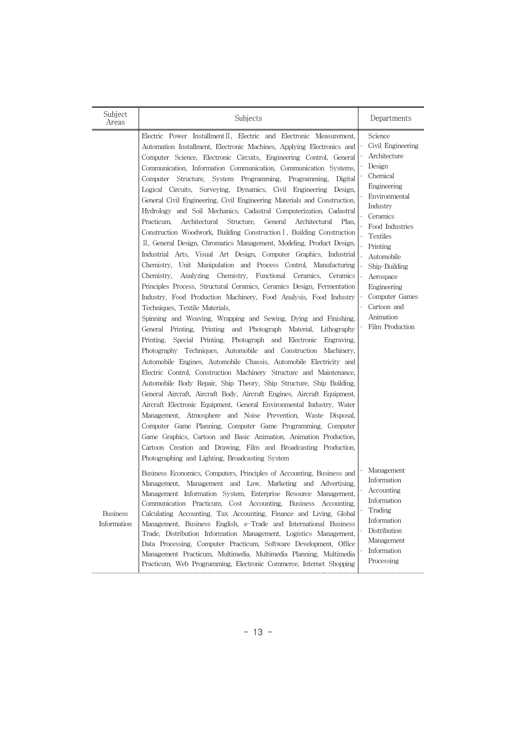| Subject<br>Areas               | Subjects                                                                                                                                                                                                                                                                                                                                                                                                                                                                                                                                                                                                                                                                                                                                                                                                                                                                                                                                                                                                                                                                                                                                                                                                                                                                                                                                                                                                                                                                                                                                                                                                                                                                                                                                                                                                                                                                                                                                                                                                                                                                                                                                                                                                                                     | Departments                                                                                                                                                                                                                                                                                              |
|--------------------------------|----------------------------------------------------------------------------------------------------------------------------------------------------------------------------------------------------------------------------------------------------------------------------------------------------------------------------------------------------------------------------------------------------------------------------------------------------------------------------------------------------------------------------------------------------------------------------------------------------------------------------------------------------------------------------------------------------------------------------------------------------------------------------------------------------------------------------------------------------------------------------------------------------------------------------------------------------------------------------------------------------------------------------------------------------------------------------------------------------------------------------------------------------------------------------------------------------------------------------------------------------------------------------------------------------------------------------------------------------------------------------------------------------------------------------------------------------------------------------------------------------------------------------------------------------------------------------------------------------------------------------------------------------------------------------------------------------------------------------------------------------------------------------------------------------------------------------------------------------------------------------------------------------------------------------------------------------------------------------------------------------------------------------------------------------------------------------------------------------------------------------------------------------------------------------------------------------------------------------------------------|----------------------------------------------------------------------------------------------------------------------------------------------------------------------------------------------------------------------------------------------------------------------------------------------------------|
|                                | Electric Power Installment II, Electric and Electronic Measurement,<br>Automation Installment, Electronic Machines, Applying Electronics and<br>Computer Science, Electronic Circuits, Engineering Control, General<br>Communication, Information Communication, Communication Systems,<br>Structure, System Programming, Programming,<br>Computer<br>Digital<br>Logical Circuits, Surveying, Dynamics, Civil Engineering<br>Design.<br>General Civil Engineering, Civil Engineering Materials and Construction.<br>Hydrology and Soil Mechanics, Cadastral Computerization, Cadastral<br>Practicum.<br>Architectural<br>Structure.<br>General<br>Architectural<br>Plan,<br>Construction Woodwork, Building Construction I, Building Construction<br>II, General Design, Chromatics Management, Modeling, Product Design,<br>Industrial Arts, Visual Art Design, Computer Graphics, Industrial<br>Unit Manipulation and Process Control, Manufacturing<br>Chemistry,<br>Chemistry,<br>Analyzing<br>Chemistry,<br>Functional<br>Ceramics,<br>Ceramics<br>Principles Process, Structural Ceramics, Ceramics Design, Fermentation<br>Industry, Food Production Machinery, Food Analysis, Food Industry<br>Techniques, Textile Materials,<br>Spinning and Weaving, Wrapping and Sewing, Dying and Finishing,<br>Printing.<br>Printing<br>and Photograph Material,<br>Lithography<br>General<br>Printing.<br>Special<br>Printing,<br>Photograph and Electronic<br>Engraving,<br>Techniques, Automobile and Construction Machinery,<br>Photography<br>Automobile Engines, Automobile Chassis, Automobile Electricity and<br>Electric Control, Construction Machinery Structure and Maintenance,<br>Automobile Body Repair, Ship Theory, Ship Structure, Ship Building,<br>General Aircraft, Aircraft Body, Aircraft Engines, Aircraft Equipment,<br>Aircraft Electronic Equipment, General Environmental Industry, Water<br>Management, Atmosphere and Noise Prevention, Waste Disposal,<br>Computer Game Planning, Computer Game Programming, Computer<br>Game Graphics, Cartoon and Basic Animation, Animation Production,<br>Cartoon Creation and Drawing, Film and Broadcasting Production,<br>Photographing and Lighting, Broadcasting System | Science<br>Civil Engineering<br>Architecture<br>Design<br>Chemical<br>Engineering<br>Environmental<br>Industry<br>Ceramics<br>Food Industries<br><b>Textiles</b><br>Printing<br>Automobile<br>Ship-Building<br>Aerospace<br>Engineering<br>Computer Games<br>Cartoon and<br>Animation<br>Film Production |
| <b>Business</b><br>Information | Business Economics, Computers, Principles of Accounting, Business and<br>Management, Management and Law, Marketing and Advertising,<br>Management Information System, Enterprise Resource Management,<br>Communication Practicum, Cost Accounting, Business Accounting,<br>Calculating Accounting, Tax Accounting, Finance and Living, Global<br>Management, Business English, e-Trade and International Business<br>Trade, Distribution Information Management, Logistics Management,<br>Data Processing, Computer Practicum, Software Development, Office<br>Management Practicum, Multimedia, Multimedia Planning, Multimedia<br>Practicum, Web Programming, Electronic Commerce, Internet Shopping                                                                                                                                                                                                                                                                                                                                                                                                                                                                                                                                                                                                                                                                                                                                                                                                                                                                                                                                                                                                                                                                                                                                                                                                                                                                                                                                                                                                                                                                                                                                       | Management<br>Information<br>Accounting<br>Information<br>Trading<br>Information<br>Distribution<br>Management<br>Information<br>Processing                                                                                                                                                              |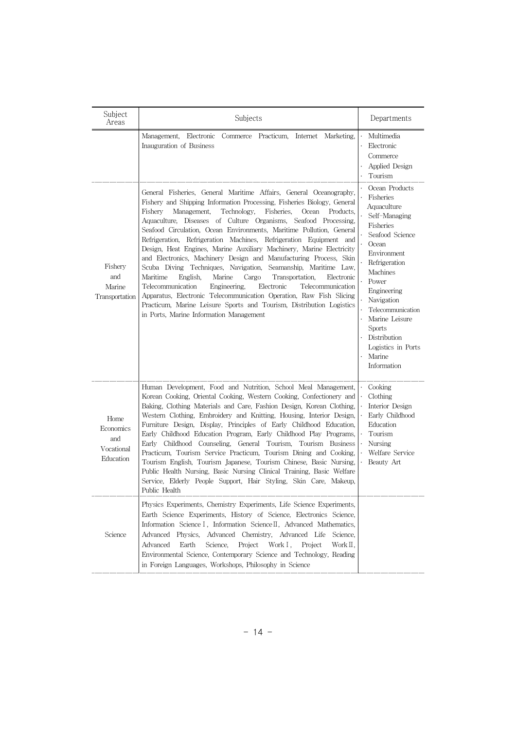| Subject<br>Areas                                    | Subjects                                                                                                                                                                                                                                                                                                                                                                                                                                                                                                                                                                                                                                                                                                                                                                                                                                                                                                                                                                                                    | Departments                                                                                                                                                                                                                                                                                                   |
|-----------------------------------------------------|-------------------------------------------------------------------------------------------------------------------------------------------------------------------------------------------------------------------------------------------------------------------------------------------------------------------------------------------------------------------------------------------------------------------------------------------------------------------------------------------------------------------------------------------------------------------------------------------------------------------------------------------------------------------------------------------------------------------------------------------------------------------------------------------------------------------------------------------------------------------------------------------------------------------------------------------------------------------------------------------------------------|---------------------------------------------------------------------------------------------------------------------------------------------------------------------------------------------------------------------------------------------------------------------------------------------------------------|
|                                                     | Management,<br>Electronic<br>Commerce Practicum.<br>Marketing,<br>Internet<br>Inauguration of Business                                                                                                                                                                                                                                                                                                                                                                                                                                                                                                                                                                                                                                                                                                                                                                                                                                                                                                      | Multimedia<br>$\bullet$<br>Electronic<br>Commerce<br>Applied Design<br>Tourism                                                                                                                                                                                                                                |
| Fishery<br>and<br>Marine<br>Transportation          | General Fisheries, General Maritime Affairs, General Oceanography,<br>Fishery and Shipping Information Processing, Fisheries Biology, General<br>Fishery<br>Management,<br>Technology,<br>Fisheries.<br>Products.<br>Ocean<br>Aquaculture, Diseases of Culture Organisms, Seafood Processing,<br>Seafood Circulation, Ocean Environments, Maritime Pollution, General<br>Refrigeration, Refrigeration Machines, Refrigeration Equipment<br>and<br>Design, Heat Engines, Marine Auxiliary Machinery, Marine Electricity<br>and Electronics, Machinery Design and Manufacturing Process, Skin<br>Scuba Diving Techniques, Navigation, Seamanship, Maritime Law,<br>Maritime<br>Marine<br>English,<br>Cargo<br>Transportation,<br>Electronic<br>Telecommunication<br>Engineering,<br>Electronic<br>Telecommunication<br>Apparatus, Electronic Telecommunication Operation, Raw Fish Slicing<br>Practicum, Marine Leisure Sports and Tourism, Distribution Logistics<br>in Ports, Marine Information Management | Ocean Products<br>Fisheries<br>Aquaculture<br>Self-Managing<br>Fisheries<br>Seafood Science<br>Ocean<br>Environment<br>Refrigeration<br>Machines<br>Power<br>Engineering<br>Navigation<br>Telecommunication<br>Marine Leisure<br><b>Sports</b><br>Distribution<br>Logistics in Ports<br>Marine<br>Information |
| Home<br>Economics<br>and<br>Vocational<br>Education | Human Development, Food and Nutrition, School Meal Management,<br>Korean Cooking, Oriental Cooking, Western Cooking, Confectionery and<br>Baking, Clothing Materials and Care, Fashion Design, Korean Clothing,<br>Western Clothing, Embroidery and Knitting, Housing, Interior Design,<br>Furniture Design, Display, Principles of Early Childhood Education,<br>Early Childhood Education Program, Early Childhood Play Programs,<br>Early Childhood Counseling, General Tourism, Tourism Business<br>Practicum. Tourism Service Practicum. Tourism Dining and Cooking.<br>Tourism English, Tourism Japanese, Tourism Chinese, Basic Nursing,<br>Public Health Nursing, Basic Nursing Clinical Training, Basic Welfare<br>Service, Elderly People Support, Hair Styling, Skin Care, Makeup,<br>Public Health                                                                                                                                                                                              | Cooking<br>$\ddot{\phantom{0}}$<br>Clothing<br>Interior Design<br>$\ddot{\phantom{0}}$<br>Early Childhood<br>Education<br>$\ddot{\phantom{0}}$<br>Tourism<br>$\ddot{\phantom{0}}$<br>Nursing<br>Welfare Service<br>Beauty Art                                                                                 |
| Science                                             | Physics Experiments, Chemistry Experiments, Life Science Experiments,<br>Earth Science Experiments, History of Science, Electronics Science,<br>Information Science I, Information Science II, Advanced Mathematics,<br>Advanced Physics,<br>Advanced Chemistry, Advanced Life<br>Science.<br>Advanced<br>Earth<br>Science,<br>Project<br>Work I.<br>Work II.<br>Project<br>Environmental Science, Contemporary Science and Technology, Reading<br>in Foreign Languages, Workshops, Philosophy in Science                                                                                                                                                                                                                                                                                                                                                                                                                                                                                                   |                                                                                                                                                                                                                                                                                                               |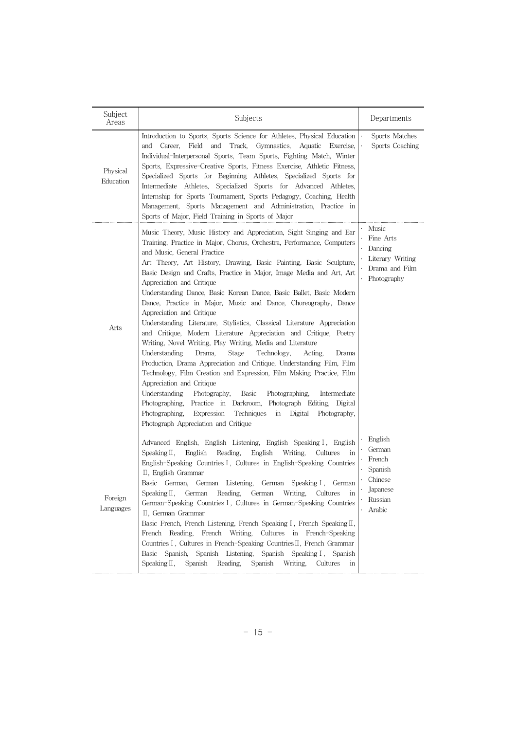| Subject<br>Areas      | Subjects                                                                                                                                                                                                                                                                                                                                                                                                                                                                                                                                                                                                                                                                                                                                                                                                                                                                                                                                                                                                                                                                                                                                                                                                                                                                             | Departments                                                                        |
|-----------------------|--------------------------------------------------------------------------------------------------------------------------------------------------------------------------------------------------------------------------------------------------------------------------------------------------------------------------------------------------------------------------------------------------------------------------------------------------------------------------------------------------------------------------------------------------------------------------------------------------------------------------------------------------------------------------------------------------------------------------------------------------------------------------------------------------------------------------------------------------------------------------------------------------------------------------------------------------------------------------------------------------------------------------------------------------------------------------------------------------------------------------------------------------------------------------------------------------------------------------------------------------------------------------------------|------------------------------------------------------------------------------------|
| Physical<br>Education | Introduction to Sports, Sports Science for Athletes, Physical Education<br>Field<br>and<br>Track,<br>Gymnastics,<br>and<br>Career,<br>Aquatic<br>Exercise,<br>Individual-Interpersonal Sports, Team Sports, Fighting Match, Winter<br>Sports, Expressive-Creative Sports, Fitness Exercise, Athletic Fitness,<br>Specialized Sports for Beginning Athletes, Specialized Sports for<br>Intermediate Athletes,<br>Specialized Sports for Advanced Athletes,<br>Internship for Sports Tournament, Sports Pedagogy, Coaching, Health<br>Management, Sports Management and Administration, Practice in<br>Sports of Major, Field Training in Sports of Major                                                                                                                                                                                                                                                                                                                                                                                                                                                                                                                                                                                                                              | Sports Matches<br>Sports Coaching                                                  |
| Arts                  | Music Theory, Music History and Appreciation, Sight Singing and Ear<br>Training, Practice in Major, Chorus, Orchestra, Performance, Computers<br>and Music, General Practice<br>Art Theory, Art History, Drawing, Basic Painting, Basic Sculpture,<br>Basic Design and Crafts, Practice in Major, Image Media and Art, Art<br>Appreciation and Critique<br>Understanding Dance, Basic Korean Dance, Basic Ballet, Basic Modern<br>Dance, Practice in Major, Music and Dance, Choreography, Dance<br>Appreciation and Critique<br>Understanding Literature, Stylistics, Classical Literature Appreciation<br>and Critique, Modern Literature Appreciation and Critique, Poetry<br>Writing, Novel Writing, Play Writing, Media and Literature<br>Understanding<br>Drama,<br>Stage<br>Technology,<br>Acting.<br>Drama<br>Production, Drama Appreciation and Critique, Understanding Film, Film<br>Technology, Film Creation and Expression, Film Making Practice, Film<br>Appreciation and Critique<br>Understanding<br>Photography,<br><b>Basic</b><br>Photographing,<br>Intermediate<br>Practice in Darkroom, Photograph Editing,<br>Photographing,<br>Digital<br>Photographing,<br>Expression<br>Techniques<br>in<br>Digital<br>Photography,<br>Photograph Appreciation and Critique | Music<br>Fine Arts<br>Dancing<br>Literary Writing<br>Drama and Film<br>Photography |
| Foreign<br>Languages  | Advanced English, English Listening, English Speaking I, English<br>Writing.<br>Speaking $\mathbb I$ ,<br>English<br>Reading.<br>English<br>Cultures<br>in<br>English-Speaking Countries I, Cultures in English-Speaking Countries<br>II, English Grammar<br>Basic German,<br>German Listening, German<br>Speaking I,<br>German<br>German Reading, German Writing, Cultures<br>Speaking $II$ ,<br>German-Speaking Countries I, Cultures in German-Speaking Countries<br>II, German Grammar<br>Basic French, French Listening, French Speaking I, French Speaking II,<br>Cultures in French-Speaking<br>French Reading,<br>French<br>Writing,<br>Countries I, Cultures in French-Speaking Countries II, French Grammar<br>Spanish<br>Basic Spanish, Spanish Listening,<br>Speaking I, Spanish<br>Speaking II,<br>Spanish<br>Spanish<br>Reading,<br>Writing,<br>Cultures<br>in                                                                                                                                                                                                                                                                                                                                                                                                         | English<br>German<br>French<br>Spanish<br>Chinese<br>Japanese<br>Russian<br>Arabic |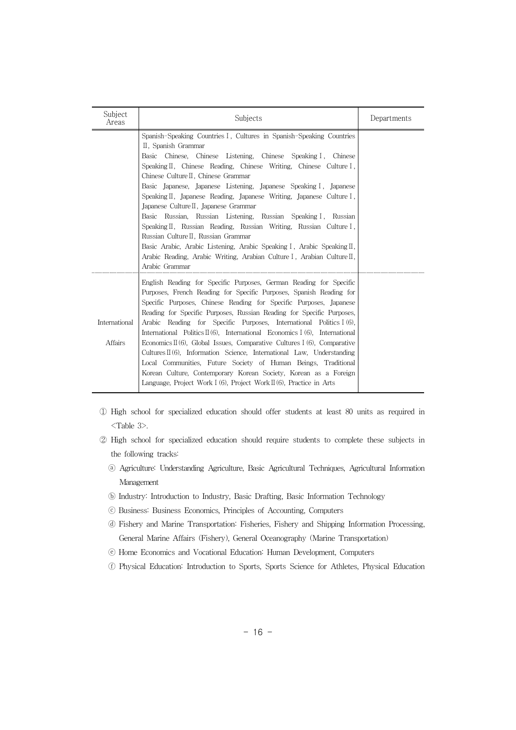| Subject<br>Areas | Subjects                                                                                                                                  | Departments |
|------------------|-------------------------------------------------------------------------------------------------------------------------------------------|-------------|
|                  | Spanish-Speaking Countries I, Cultures in Spanish-Speaking Countries                                                                      |             |
|                  | II, Spanish Grammar                                                                                                                       |             |
|                  | Chinese, Chinese Listening, Chinese Speaking I, Chinese<br>Basic                                                                          |             |
|                  | Speaking $\mathbb{I}$ , Chinese Reading, Chinese Writing, Chinese Culture I,                                                              |             |
|                  | Chinese Culture II, Chinese Grammar                                                                                                       |             |
|                  | Basic Japanese, Japanese Listening, Japanese Speaking I, Japanese                                                                         |             |
|                  | Speaking $\mathbb{I}$ , Japanese Reading, Japanese Writing, Japanese Culture I,                                                           |             |
|                  | Japanese Culture II, Japanese Grammar                                                                                                     |             |
|                  | Basic Russian, Russian Listening, Russian Speaking I, Russian                                                                             |             |
|                  | Speaking II, Russian Reading, Russian Writing, Russian Culture I,<br>Russian Culture II, Russian Grammar                                  |             |
|                  | Basic Arabic, Arabic Listening, Arabic Speaking I, Arabic Speaking II,                                                                    |             |
|                  | Arabic Reading, Arabic Writing, Arabian Culture I, Arabian Culture II,                                                                    |             |
|                  | Arabic Grammar                                                                                                                            |             |
|                  |                                                                                                                                           |             |
|                  | English Reading for Specific Purposes, German Reading for Specific                                                                        |             |
|                  | Purposes, French Reading for Specific Purposes, Spanish Reading for<br>Specific Purposes, Chinese Reading for Specific Purposes, Japanese |             |
|                  | Reading for Specific Purposes, Russian Reading for Specific Purposes,                                                                     |             |
| International    | Arabic Reading for Specific Purposes, International Politics I (6),                                                                       |             |
|                  | International Politics $\mathbb{I}(6)$ , International Economics I (6), International                                                     |             |
| <b>Affairs</b>   | Economics $\mathbb{I}(6)$ , Global Issues, Comparative Cultures I (6), Comparative                                                        |             |
|                  | Cultures $\mathbb{I}(6)$ , Information Science, International Law, Understanding                                                          |             |
|                  | Local Communities, Future Society of Human Beings, Traditional                                                                            |             |
|                  | Korean Culture, Contemporary Korean Society, Korean as a Foreign                                                                          |             |
|                  | Language, Project Work I (6), Project Work $\mathbb{I}(6)$ , Practice in Arts                                                             |             |

- ① High school for specialized education should offer students at least 80 units as required in <Table 3>.
- ② High school for specialized education should require students to complete these subjects in the following tracks:
	- ⓐ Agriculture: Understanding Agriculture, Basic Agricultural Techniques, Agricultural Information Management
	- ⓑ Industry: Introduction to Industry, Basic Drafting, Basic Information Technology
	- ⓒ Business: Business Economics, Principles of Accounting, Computers
	- ⓓ Fishery and Marine Transportation: Fisheries, Fishery and Shipping Information Processing, General Marine Affairs (Fishery), General Oceanography (Marine Transportation)
	- ⓔ Home Economics and Vocational Education: Human Development, Computers
	- ⓕ Physical Education: Introduction to Sports, Sports Science for Athletes, Physical Education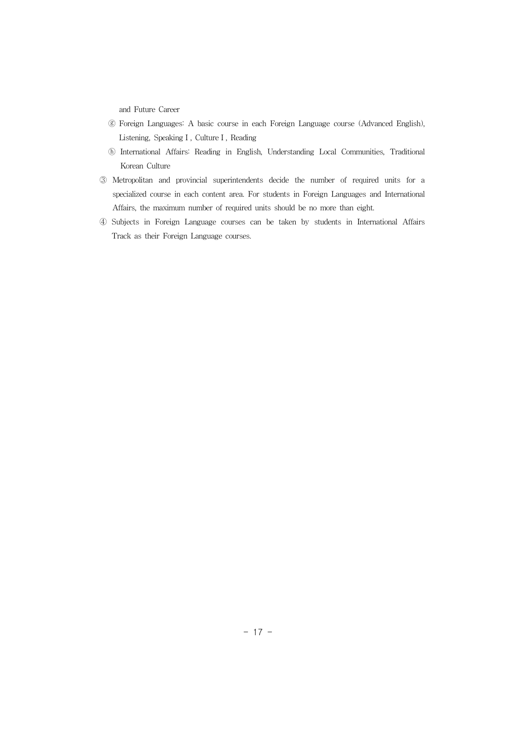and Future Career

- ⓖ Foreign Languages: A basic course in each Foreign Language course (Advanced English), Listening, SpeakingⅠ, CultureⅠ, Reading
- ⓗ International Affairs: Reading in English, Understanding Local Communities, Traditional Korean Culture
- ③ Metropolitan and provincial superintendents decide the number of required units for a specialized course in each content area. For students in Foreign Languages and International Affairs, the maximum number of required units should be no more than eight.
- ④ Subjects in Foreign Language courses can be taken by students in International Affairs Track as their Foreign Language courses.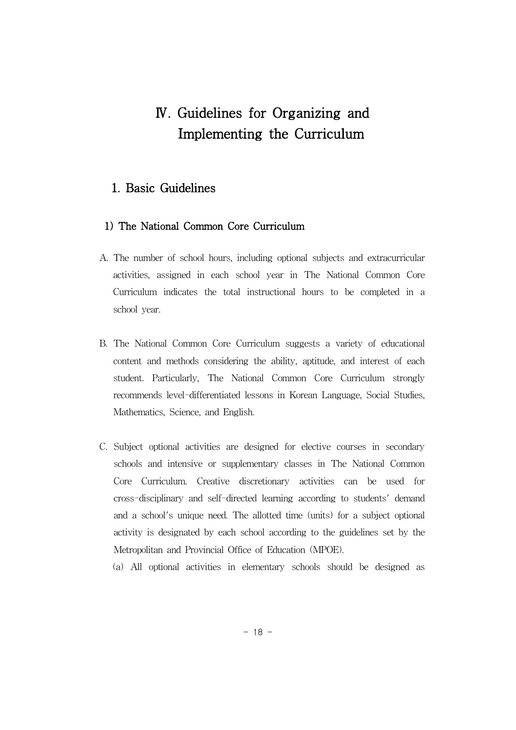# Ⅳ. Guidelines for Organizing and Implementing the Curriculum

#### 1. Basic Guidelines

#### 1) The National Common Core Curriculum

- A. The number of school hours, including optional subjects and extracurricular activities, assigned in each school year in The National Common Core Curriculum indicates the total instructional hours to be completed in a school year.
- B. The National Common Core Curriculum suggests a variety of educational content and methods considering the ability, aptitude, and interest of each student. Particularly, The National Common Core Curriculum strongly recommends level-differentiated lessons in Korean Language, Social Studies, Mathematics, Science, and English.
- C. Subject optional activities are designed for elective courses in secondary schools and intensive or supplementary classes in The National Common Core Curriculum. Creative discretionary activities can be used for cross-disciplinary and self-directed learning according to students' demand and a school's unique need. The allotted time (units) for a subject optional activity is designated by each school according to the guidelines set by the Metropolitan and Provincial Office of Education (MPOE).

(a) All optional activities in elementary schools should be designed as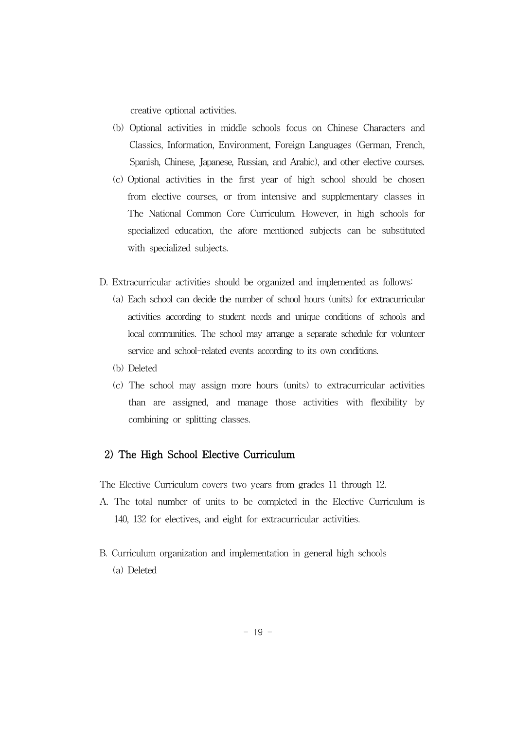creative optional activities.

- (b) Optional activities in middle schools focus on Chinese Characters and Classics, Information, Environment, Foreign Languages (German, French, Spanish, Chinese, Japanese, Russian, and Arabic), and other elective courses.
- (c) Optional activities in the first year of high school should be chosen from elective courses, or from intensive and supplementary classes in The National Common Core Curriculum. However, in high schools for specialized education, the afore mentioned subjects can be substituted with specialized subjects.
- D. Extracurricular activities should be organized and implemented as follows:
	- (a) Each school can decide the number of school hours (units) for extracurricular activities according to student needs and unique conditions of schools and local communities. The school may arrange a separate schedule for volunteer service and school-related events according to its own conditions.
	- (b) Deleted
	- (c) The school may assign more hours (units) to extracurricular activities than are assigned, and manage those activities with flexibility by combining or splitting classes.

#### 2) The High School Elective Curriculum

The Elective Curriculum covers two years from grades 11 through 12.

- A. The total number of units to be completed in the Elective Curriculum is 140, 132 for electives, and eight for extracurricular activities.
- B. Curriculum organization and implementation in general high schools (a) Deleted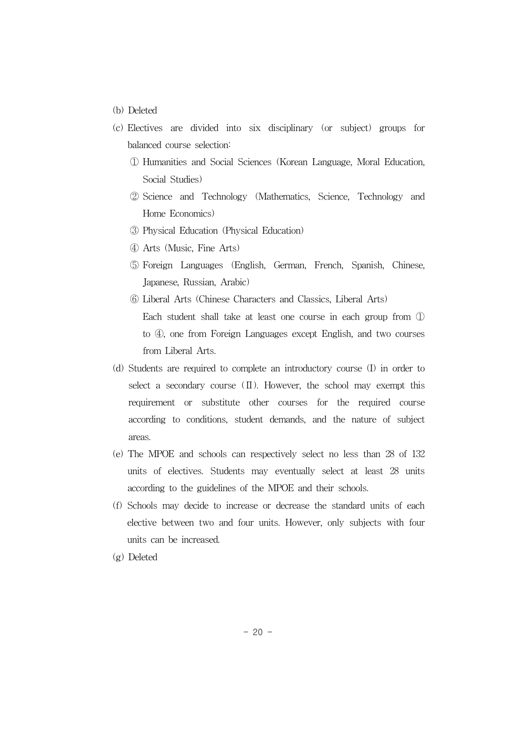- (b) Deleted
- (c) Electives are divided into six disciplinary (or subject) groups for balanced course selection:
	- ① Humanities and Social Sciences (Korean Language, Moral Education, Social Studies)
	- ② Science and Technology (Mathematics, Science, Technology and Home Economics)
	- ③ Physical Education (Physical Education)
	- ④ Arts (Music, Fine Arts)
	- ⑤ Foreign Languages (English, German, French, Spanish, Chinese, Japanese, Russian, Arabic)
	- ⑥ Liberal Arts (Chinese Characters and Classics, Liberal Arts) Each student shall take at least one course in each group from ① to ④, one from Foreign Languages except English, and two courses from Liberal Arts.
- (d) Students are required to complete an introductory course (I) in order to select a secondary course  $(\Pi)$ . However, the school may exempt this requirement or substitute other courses for the required course according to conditions, student demands, and the nature of subject areas.
- (e) The MPOE and schools can respectively select no less than 28 of 132 units of electives. Students may eventually select at least 28 units according to the guidelines of the MPOE and their schools.
- (f) Schools may decide to increase or decrease the standard units of each elective between two and four units. However, only subjects with four units can be increased.
- (g) Deleted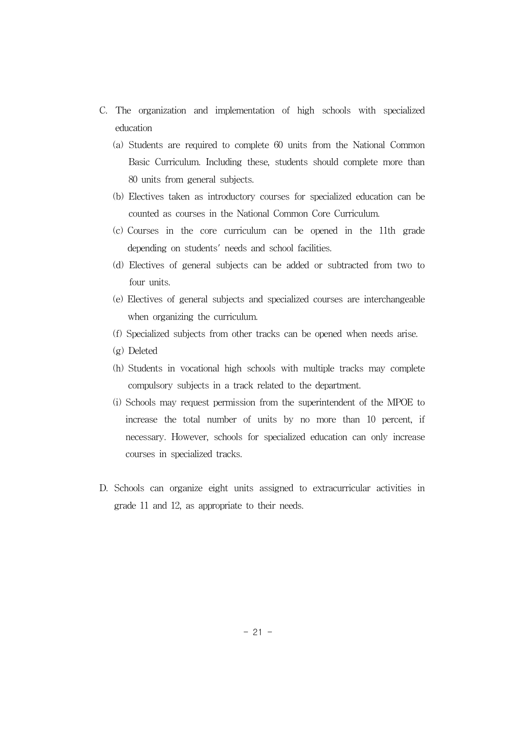- C. The organization and implementation of high schools with specialized education
	- (a) Students are required to complete 60 units from the National Common Basic Curriculum. Including these, students should complete more than 80 units from general subjects.
	- (b) Electives taken as introductory courses for specialized education can be counted as courses in the National Common Core Curriculum.
	- (c) Courses in the core curriculum can be opened in the 11th grade depending on students' needs and school facilities.
	- (d) Electives of general subjects can be added or subtracted from two to four units.
	- (e) Electives of general subjects and specialized courses are interchangeable when organizing the curriculum.
	- (f) Specialized subjects from other tracks can be opened when needs arise.
	- (g) Deleted
	- (h) Students in vocational high schools with multiple tracks may complete compulsory subjects in a track related to the department.
	- (i) Schools may request permission from the superintendent of the MPOE to increase the total number of units by no more than 10 percent, if necessary. However, schools for specialized education can only increase courses in specialized tracks.
- D. Schools can organize eight units assigned to extracurricular activities in grade 11 and 12, as appropriate to their needs.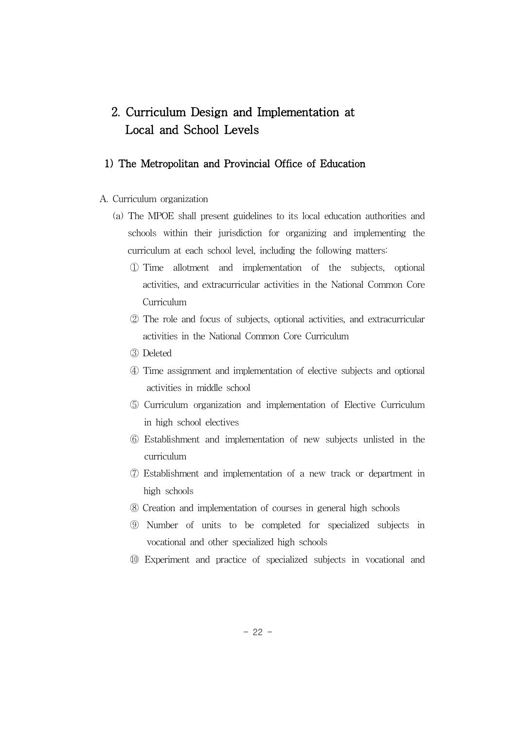# 2. Curriculum Design and Implementation at Local and School Levels

#### 1) The Metropolitan and Provincial Office of Education

- A. Curriculum organization
	- (a) The MPOE shall present guidelines to its local education authorities and schools within their jurisdiction for organizing and implementing the curriculum at each school level, including the following matters:
		- ① Time allotment and implementation of the subjects, optional activities, and extracurricular activities in the National Common Core Curriculum
		- ② The role and focus of subjects, optional activities, and extracurricular activities in the National Common Core Curriculum
		- ③ Deleted
		- ④ Time assignment and implementation of elective subjects and optional activities in middle school
		- ⑤ Curriculum organization and implementation of Elective Curriculum in high school electives
		- ⑥ Establishment and implementation of new subjects unlisted in the curriculum
		- ⑦ Establishment and implementation of a new track or department in high schools
		- ⑧ Creation and implementation of courses in general high schools
		- ⑨ Number of units to be completed for specialized subjects in vocational and other specialized high schools
		- ⑩ Experiment and practice of specialized subjects in vocational and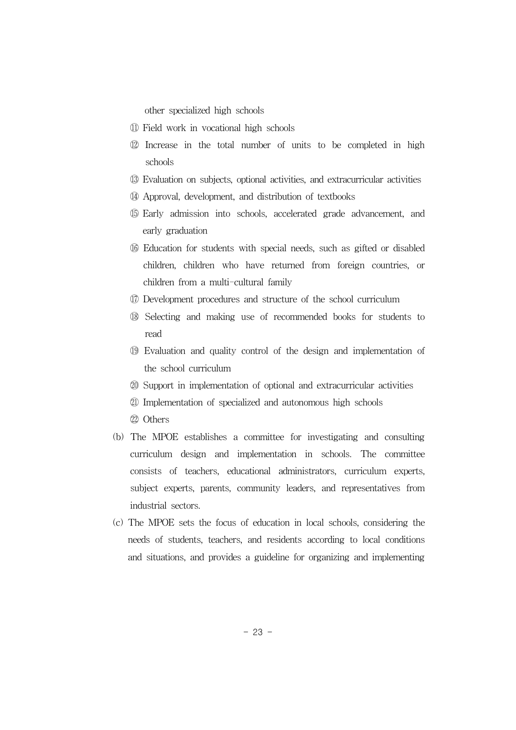other specialized high schools

- ⑪ Field work in vocational high schools
- ⑫ Increase in the total number of units to be completed in high schools
- ⑬ Evaluation on subjects, optional activities, and extracurricular activities
- ⑭ Approval, development, and distribution of textbooks
- ⑮ Early admission into schools, accelerated grade advancement, and early graduation
- ꊉꊘ Education for students with special needs, such as gifted or disabled children, children who have returned from foreign countries, or children from a multi-cultural family
- ꊉꊙ Development procedures and structure of the school curriculum
- ꊉꊚ Selecting and making use of recommended books for students to read
- ꊉꊛ Evaluation and quality control of the design and implementation of the school curriculum
- ꊊꊒ Support in implementation of optional and extracurricular activities
- ꊊꊓ Implementation of specialized and autonomous high schools
- ꊊꊔ Others
- (b) The MPOE establishes a committee for investigating and consulting curriculum design and implementation in schools. The committee consists of teachers, educational administrators, curriculum experts, subject experts, parents, community leaders, and representatives from industrial sectors.
- (c) The MPOE sets the focus of education in local schools, considering the needs of students, teachers, and residents according to local conditions and situations, and provides a guideline for organizing and implementing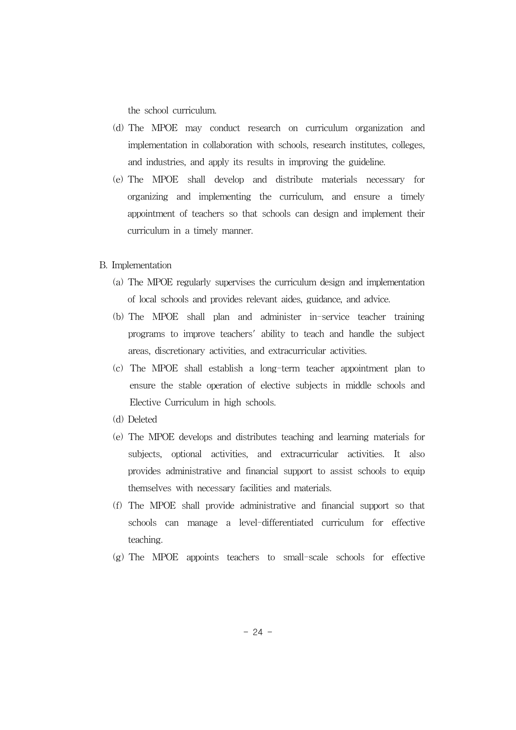the school curriculum.

- (d) The MPOE may conduct research on curriculum organization and implementation in collaboration with schools, research institutes, colleges, and industries, and apply its results in improving the guideline.
- (e) The MPOE shall develop and distribute materials necessary for organizing and implementing the curriculum, and ensure a timely appointment of teachers so that schools can design and implement their curriculum in a timely manner.
- B. Implementation
	- (a) The MPOE regularly supervises the curriculum design and implementation of local schools and provides relevant aides, guidance, and advice.
	- (b) The MPOE shall plan and administer in-service teacher training programs to improve teachers' ability to teach and handle the subject areas, discretionary activities, and extracurricular activities.
	- (c) The MPOE shall establish a long-term teacher appointment plan to ensure the stable operation of elective subjects in middle schools and Elective Curriculum in high schools.
	- (d) Deleted
	- (e) The MPOE develops and distributes teaching and learning materials for subjects, optional activities, and extracurricular activities. It also provides administrative and financial support to assist schools to equip themselves with necessary facilities and materials.
	- (f) The MPOE shall provide administrative and financial support so that schools can manage a level-differentiated curriculum for effective teaching.
	- (g) The MPOE appoints teachers to small-scale schools for effective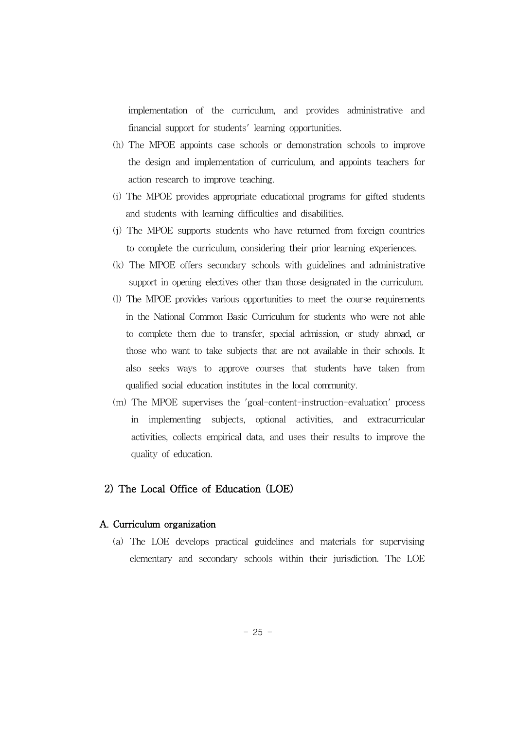implementation of the curriculum, and provides administrative and financial support for students' learning opportunities.

- (h) The MPOE appoints case schools or demonstration schools to improve the design and implementation of curriculum, and appoints teachers for action research to improve teaching.
- (i) The MPOE provides appropriate educational programs for gifted students and students with learning difficulties and disabilities.
- (j) The MPOE supports students who have returned from foreign countries to complete the curriculum, considering their prior learning experiences.
- (k) The MPOE offers secondary schools with guidelines and administrative support in opening electives other than those designated in the curriculum.
- (l) The MPOE provides various opportunities to meet the course requirements in the National Common Basic Curriculum for students who were not able to complete them due to transfer, special admission, or study abroad, or those who want to take subjects that are not available in their schools. It also seeks ways to approve courses that students have taken from qualified social education institutes in the local community.
- (m) The MPOE supervises the 'goal-content-instruction-evaluation' process in implementing subjects, optional activities, and extracurricular activities, collects empirical data, and uses their results to improve the quality of education.

#### 2) The Local Office of Education (LOE)

#### A. Curriculum organization

(a) The LOE develops practical guidelines and materials for supervising elementary and secondary schools within their jurisdiction. The LOE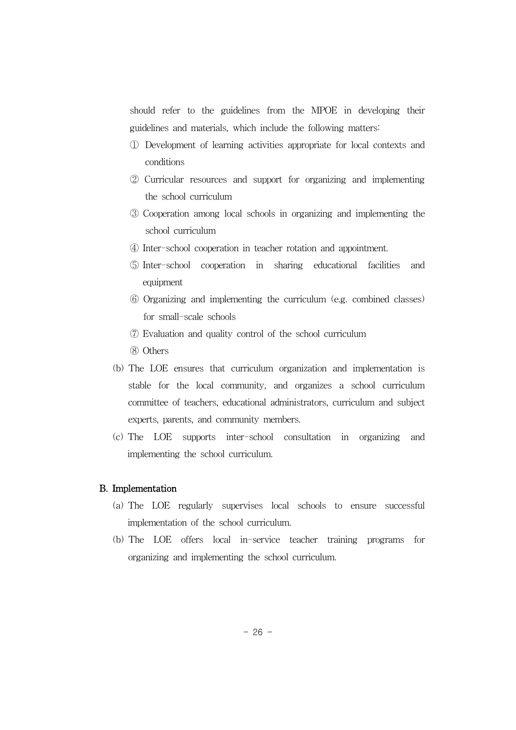should refer to the guidelines from the MPOE in developing their guidelines and materials, which include the following matters:

- ① Development of learning activities appropriate for local contexts and conditions
- ② Curricular resources and support for organizing and implementing the school curriculum
- ③ Cooperation among local schools in organizing and implementing the school curriculum
- ④ Inter-school cooperation in teacher rotation and appointment.
- ⑤ Inter-school cooperation in sharing educational facilities and equipment
- ⑥ Organizing and implementing the curriculum (e.g. combined classes) for small-scale schools
- ⑦ Evaluation and quality control of the school curriculum
- ⑧ Others
- (b) The LOE ensures that curriculum organization and implementation is stable for the local community, and organizes a school curriculum committee of teachers, educational administrators, curriculum and subject experts, parents, and community members.
- (c) The LOE supports inter-school consultation in organizing and implementing the school curriculum.

#### B. Implementation

- (a) The LOE regularly supervises local schools to ensure successful implementation of the school curriculum.
- (b) The LOE offers local in-service teacher training programs for organizing and implementing the school curriculum.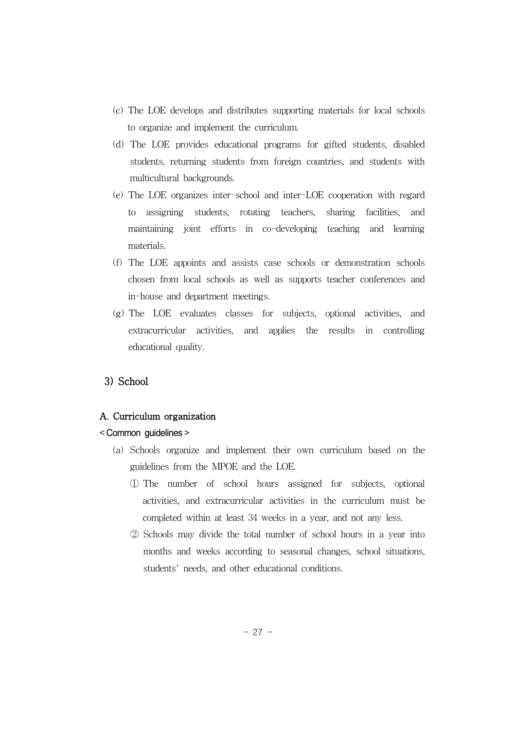- (c) The LOE develops and distributes supporting materials for local schools to organize and implement the curriculum.
- (d) The LOE provides educational programs for gifted students, disabled students, returning students from foreign countries, and students with multicultural backgrounds.
- (e) The LOE organizes inter-school and inter-LOE cooperation with regard to assigning students, rotating teachers, sharing facilities, and maintaining joint efforts in co-developing teaching and learning materials.
- (f) The LOE appoints and assists case schools or demonstration schools chosen from local schools as well as supports teacher conferences and in-house and department meetings.
- (g) The LOE evaluates classes for subjects, optional activities, and extracurricular activities, and applies the results in controlling educational quality.

#### 3) School

#### A. Curriculum organization

#### < Common guidelines >

- (a) Schools organize and implement their own curriculum based on the guidelines from the MPOE and the LOE.
	- ① The number of school hours assigned for subjects, optional activities, and extracurricular activities in the curriculum must be completed within at least 34 weeks in a year, and not any less.
	- ② Schools may divide the total number of school hours in a year into months and weeks according to seasonal changes, school situations, students' needs, and other educational conditions.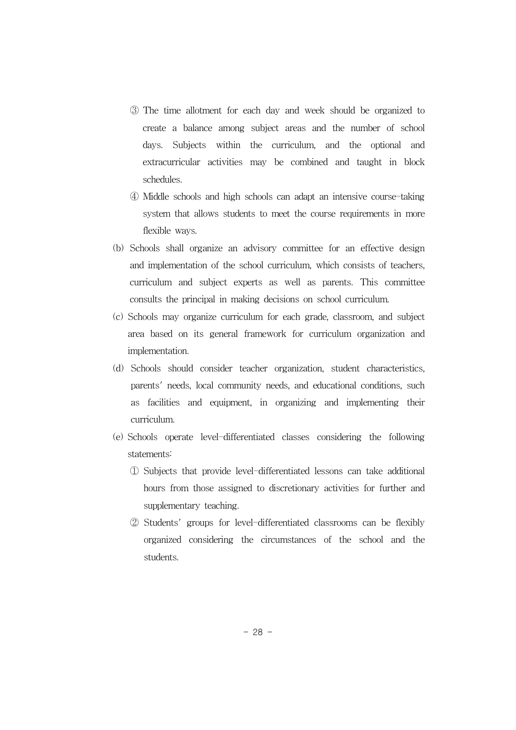- ③ The time allotment for each day and week should be organized to create a balance among subject areas and the number of school days. Subjects within the curriculum, and the optional and extracurricular activities may be combined and taught in block schedules.
- ④ Middle schools and high schools can adapt an intensive course-taking system that allows students to meet the course requirements in more flexible ways.
- (b) Schools shall organize an advisory committee for an effective design and implementation of the school curriculum, which consists of teachers, curriculum and subject experts as well as parents. This committee consults the principal in making decisions on school curriculum.
- (c) Schools may organize curriculum for each grade, classroom, and subject area based on its general framework for curriculum organization and implementation.
- (d) Schools should consider teacher organization, student characteristics, parents' needs, local community needs, and educational conditions, such as facilities and equipment, in organizing and implementing their curriculum.
- (e) Schools operate level-differentiated classes considering the following statements:
	- ① Subjects that provide level-differentiated lessons can take additional hours from those assigned to discretionary activities for further and supplementary teaching.
	- ② Students' groups for level-differentiated classrooms can be flexibly organized considering the circumstances of the school and the students.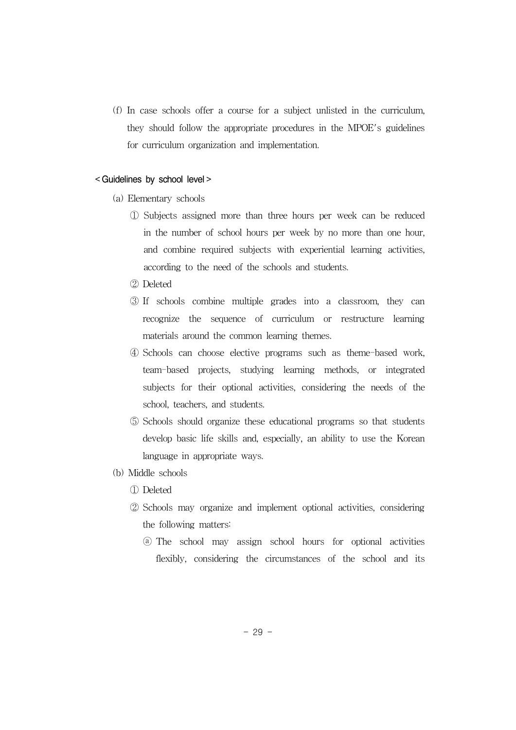(f) In case schools offer a course for a subject unlisted in the curriculum, they should follow the appropriate procedures in the MPOE's guidelines for curriculum organization and implementation.

#### < Guidelines by school level >

- (a) Elementary schools
	- ① Subjects assigned more than three hours per week can be reduced in the number of school hours per week by no more than one hour, and combine required subjects with experiential learning activities, according to the need of the schools and students.
	- ② Deleted
	- ③ If schools combine multiple grades into a classroom, they can recognize the sequence of curriculum or restructure learning materials around the common learning themes.
	- ④ Schools can choose elective programs such as theme-based work, team-based projects, studying learning methods, or integrated subjects for their optional activities, considering the needs of the school, teachers, and students.
	- ⑤ Schools should organize these educational programs so that students develop basic life skills and, especially, an ability to use the Korean language in appropriate ways.
- (b) Middle schools
	- ① Deleted
	- ② Schools may organize and implement optional activities, considering the following matters:
		- ⓐ The school may assign school hours for optional activities flexibly, considering the circumstances of the school and its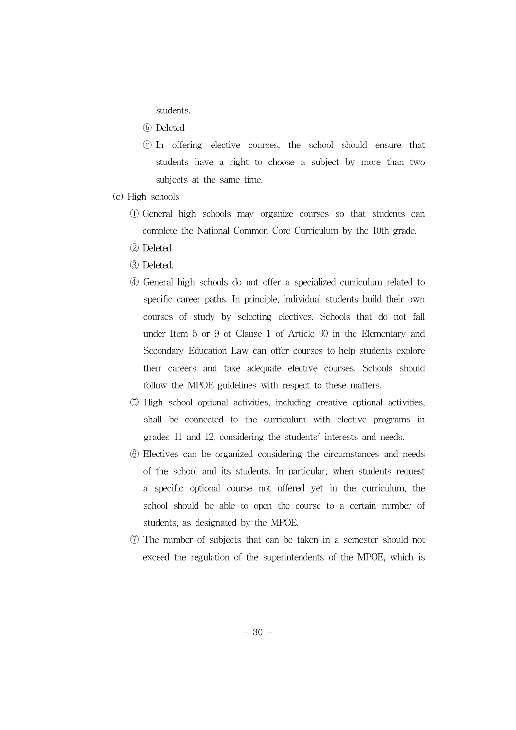students.

- ⓑ Deleted
- ⓒ In offering elective courses, the school should ensure that students have a right to choose a subject by more than two subjects at the same time.
- (c) High schools
	- ⓛ General high schools may organize courses so that students can complete the National Common Core Curriculum by the 10th grade.
	- ② Deleted
	- ③ Deleted.
	- ④ General high schools do not offer a specialized curriculum related to specific career paths. In principle, individual students build their own courses of study by selecting electives. Schools that do not fall under Item 5 or 9 of Clause 1 of Article 90 in the Elementary and Secondary Education Law can offer courses to help students explore their careers and take adequate elective courses. Schools should follow the MPOE guidelines with respect to these matters.
	- ⑤ High school optional activities, including creative optional activities, shall be connected to the curriculum with elective programs in grades 11 and 12, considering the students' interests and needs.
	- ⑥ Electives can be organized considering the circumstances and needs of the school and its students. In particular, when students request a specific optional course not offered yet in the curriculum, the school should be able to open the course to a certain number of students, as designated by the MPOE.
	- ⑦ The number of subjects that can be taken in a semester should not exceed the regulation of the superintendents of the MPOE, which is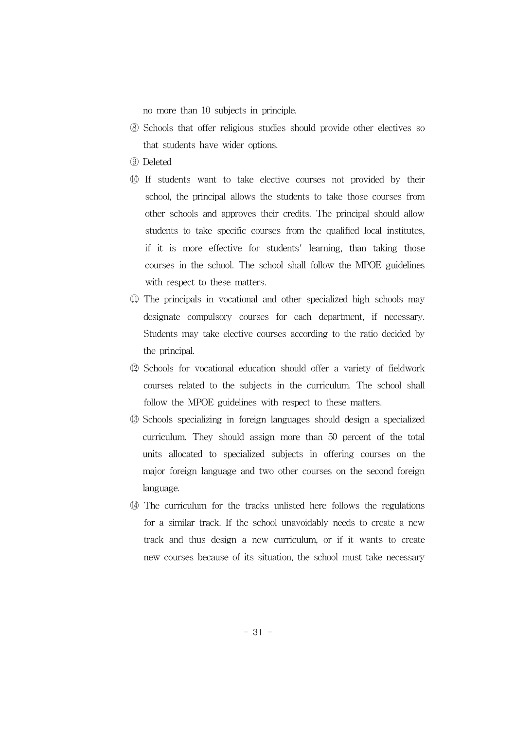no more than 10 subjects in principle.

- ⑧ Schools that offer religious studies should provide other electives so that students have wider options.
- ⑨ Deleted
- ⑩ If students want to take elective courses not provided by their school, the principal allows the students to take those courses from other schools and approves their credits. The principal should allow students to take specific courses from the qualified local institutes, if it is more effective for students' learning, than taking those courses in the school. The school shall follow the MPOE guidelines with respect to these matters.
- ⑪ The principals in vocational and other specialized high schools may designate compulsory courses for each department, if necessary. Students may take elective courses according to the ratio decided by the principal.
- ⑫ Schools for vocational education should offer a variety of fieldwork courses related to the subjects in the curriculum. The school shall follow the MPOE guidelines with respect to these matters.
- ⑬ Schools specializing in foreign languages should design a specialized curriculum. They should assign more than 50 percent of the total units allocated to specialized subjects in offering courses on the major foreign language and two other courses on the second foreign language.
- ⑭ The curriculum for the tracks unlisted here follows the regulations for a similar track. If the school unavoidably needs to create a new track and thus design a new curriculum, or if it wants to create new courses because of its situation, the school must take necessary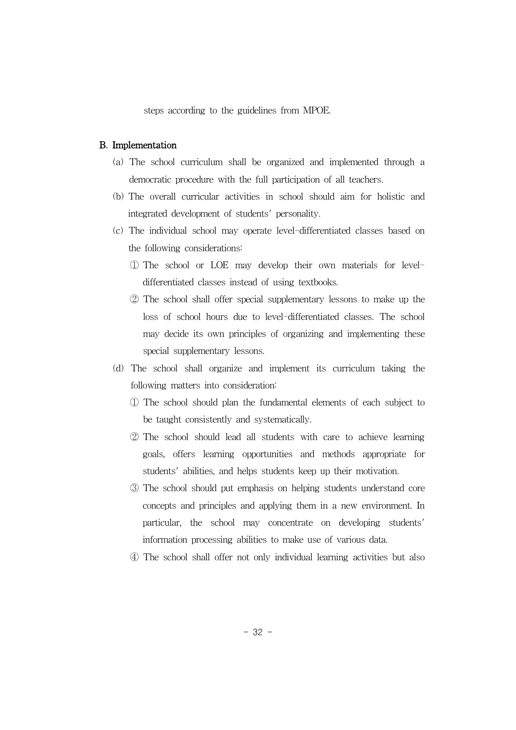steps according to the guidelines from MPOE.

#### B. Implementation

- (a) The school curriculum shall be organized and implemented through a democratic procedure with the full participation of all teachers.
- (b) The overall curricular activities in school should aim for holistic and integrated development of students' personality.
- (c) The individual school may operate level-differentiated classes based on the following considerations:
	- ① The school or LOE may develop their own materials for leveldifferentiated classes instead of using textbooks.
	- ② The school shall offer special supplementary lessons to make up the loss of school hours due to level-differentiated classes. The school may decide its own principles of organizing and implementing these special supplementary lessons.
- (d) The school shall organize and implement its curriculum taking the following matters into consideration:
	- ① The school should plan the fundamental elements of each subject to be taught consistently and systematically.
	- ② The school should lead all students with care to achieve learning goals, offers learning opportunities and methods appropriate for students' abilities, and helps students keep up their motivation.
	- ③ The school should put emphasis on helping students understand core concepts and principles and applying them in a new environment. In particular, the school may concentrate on developing students' information processing abilities to make use of various data.
	- ④ The school shall offer not only individual learning activities but also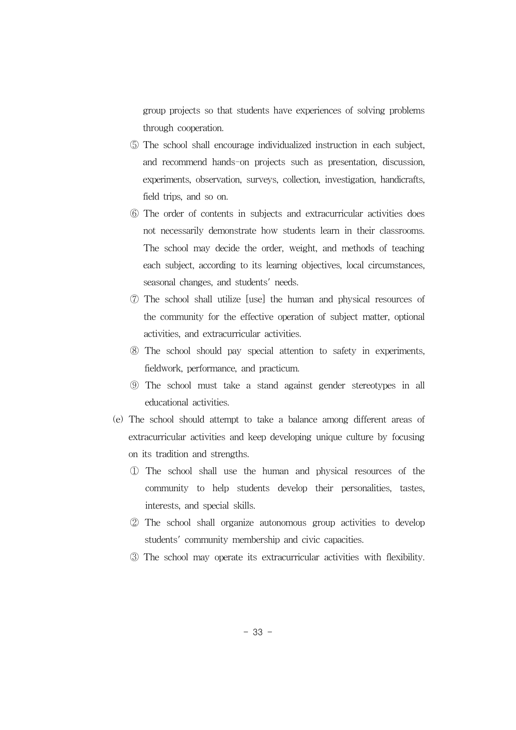group projects so that students have experiences of solving problems through cooperation.

- ⑤ The school shall encourage individualized instruction in each subject, and recommend hands-on projects such as presentation, discussion, experiments, observation, surveys, collection, investigation, handicrafts, field trips, and so on.
- ⑥ The order of contents in subjects and extracurricular activities does not necessarily demonstrate how students learn in their classrooms. The school may decide the order, weight, and methods of teaching each subject, according to its learning objectives, local circumstances, seasonal changes, and students' needs.
- ⑦ The school shall utilize [use] the human and physical resources of the community for the effective operation of subject matter, optional activities, and extracurricular activities.
- ⑧ The school should pay special attention to safety in experiments, fieldwork, performance, and practicum.
- ⑨ The school must take a stand against gender stereotypes in all educational activities.
- (e) The school should attempt to take a balance among different areas of extracurricular activities and keep developing unique culture by focusing on its tradition and strengths.
	- ① The school shall use the human and physical resources of the community to help students develop their personalities, tastes, interests, and special skills.
	- ② The school shall organize autonomous group activities to develop students' community membership and civic capacities.
	- ③ The school may operate its extracurricular activities with flexibility.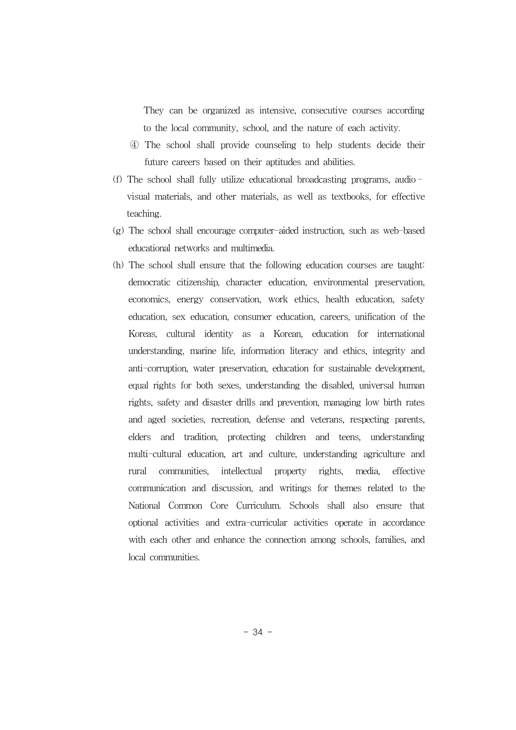They can be organized as intensive, consecutive courses according to the local community, school, and the nature of each activity.

- ④ The school shall provide counseling to help students decide their future careers based on their aptitudes and abilities.
- (f) The school shall fully utilize educational broadcasting programs, audio visual materials, and other materials, as well as textbooks, for effective teaching.
- (g) The school shall encourage computer-aided instruction, such as web-based educational networks and multimedia.
- (h) The school shall ensure that the following education courses are taught: democratic citizenship, character education, environmental preservation, economics, energy conservation, work ethics, health education, safety education, sex education, consumer education, careers, unification of the Koreas, cultural identity as a Korean, education for international understanding, marine life, information literacy and ethics, integrity and anti-corruption, water preservation, education for sustainable development, equal rights for both sexes, understanding the disabled, universal human rights, safety and disaster drills and prevention, managing low birth rates and aged societies, recreation, defense and veterans, respecting parents, elders and tradition, protecting children and teens, understanding multi-cultural education, art and culture, understanding agriculture and rural communities, intellectual property rights, media, effective communication and discussion, and writings for themes related to the National Common Core Curriculum. Schools shall also ensure that optional activities and extra-curricular activities operate in accordance with each other and enhance the connection among schools, families, and local communities.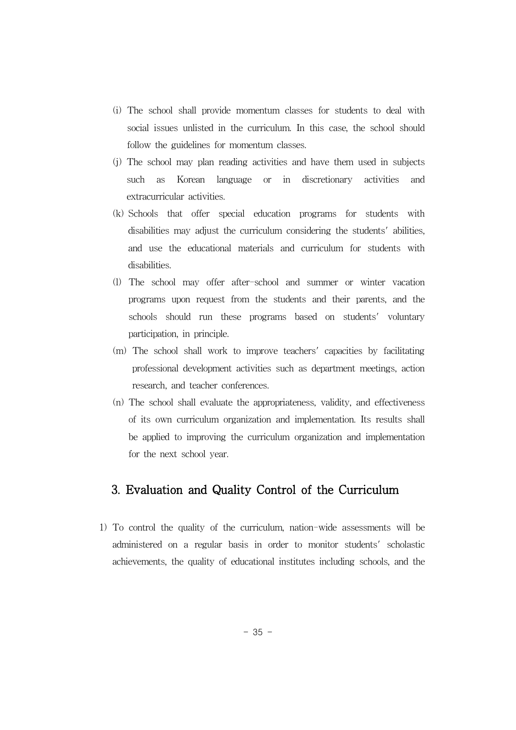- (i) The school shall provide momentum classes for students to deal with social issues unlisted in the curriculum. In this case, the school should follow the guidelines for momentum classes.
- (j) The school may plan reading activities and have them used in subjects such as Korean language or in discretionary activities and extracurricular activities.
- (k) Schools that offer special education programs for students with disabilities may adjust the curriculum considering the students' abilities, and use the educational materials and curriculum for students with disabilities.
- (l) The school may offer after-school and summer or winter vacation programs upon request from the students and their parents, and the schools should run these programs based on students' voluntary participation, in principle.
- (m) The school shall work to improve teachers' capacities by facilitating professional development activities such as department meetings, action research, and teacher conferences.
- (n) The school shall evaluate the appropriateness, validity, and effectiveness of its own curriculum organization and implementation. Its results shall be applied to improving the curriculum organization and implementation for the next school year.

# 3. Evaluation and Quality Control of the Curriculum

1) To control the quality of the curriculum, nation-wide assessments will be administered on a regular basis in order to monitor students' scholastic achievements, the quality of educational institutes including schools, and the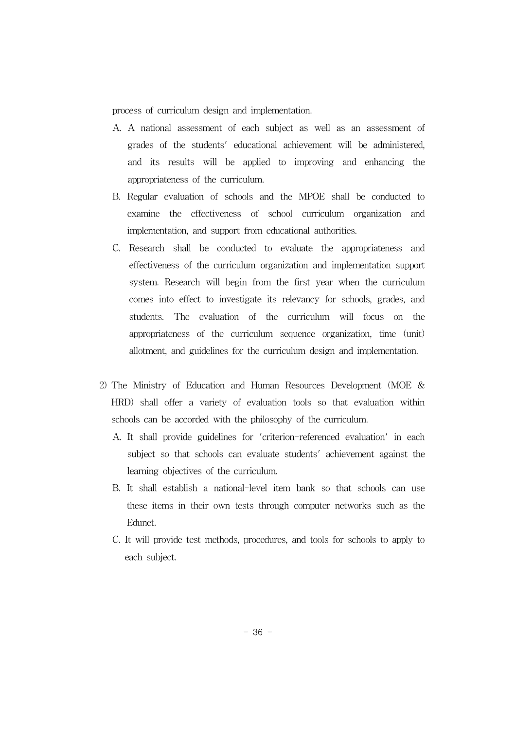process of curriculum design and implementation.

- A. A national assessment of each subject as well as an assessment of grades of the students' educational achievement will be administered, and its results will be applied to improving and enhancing the appropriateness of the curriculum.
- B. Regular evaluation of schools and the MPOE shall be conducted to examine the effectiveness of school curriculum organization and implementation, and support from educational authorities.
- C. Research shall be conducted to evaluate the appropriateness and effectiveness of the curriculum organization and implementation support system. Research will begin from the first year when the curriculum comes into effect to investigate its relevancy for schools, grades, and students. The evaluation of the curriculum will focus on the appropriateness of the curriculum sequence organization, time (unit) allotment, and guidelines for the curriculum design and implementation.
- 2) The Ministry of Education and Human Resources Development (MOE & HRD) shall offer a variety of evaluation tools so that evaluation within schools can be accorded with the philosophy of the curriculum.
	- A. It shall provide guidelines for 'criterion-referenced evaluation' in each subject so that schools can evaluate students' achievement against the learning objectives of the curriculum.
	- B. It shall establish a national-level item bank so that schools can use these items in their own tests through computer networks such as the Edunet.
	- C. It will provide test methods, procedures, and tools for schools to apply to each subject.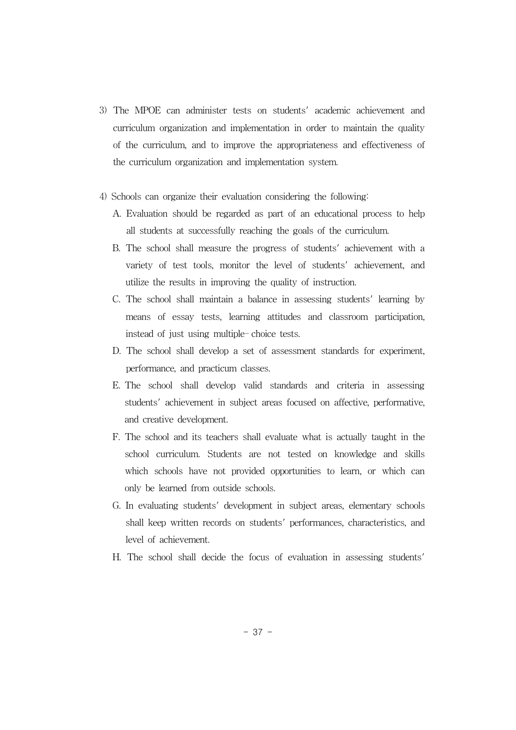- 3) The MPOE can administer tests on students' academic achievement and curriculum organization and implementation in order to maintain the quality of the curriculum, and to improve the appropriateness and effectiveness of the curriculum organization and implementation system.
- 4) Schools can organize their evaluation considering the following:
	- A. Evaluation should be regarded as part of an educational process to help all students at successfully reaching the goals of the curriculum.
	- B. The school shall measure the progress of students' achievement with a variety of test tools, monitor the level of students' achievement, and utilize the results in improving the quality of instruction.
	- C. The school shall maintain a balance in assessing students' learning by means of essay tests, learning attitudes and classroom participation, instead of just using multiple- choice tests.
	- D. The school shall develop a set of assessment standards for experiment, performance, and practicum classes.
	- E. The school shall develop valid standards and criteria in assessing students' achievement in subject areas focused on affective, performative, and creative development.
	- F. The school and its teachers shall evaluate what is actually taught in the school curriculum. Students are not tested on knowledge and skills which schools have not provided opportunities to learn, or which can only be learned from outside schools.
	- G. In evaluating students' development in subject areas, elementary schools shall keep written records on students' performances, characteristics, and level of achievement.
	- H. The school shall decide the focus of evaluation in assessing students'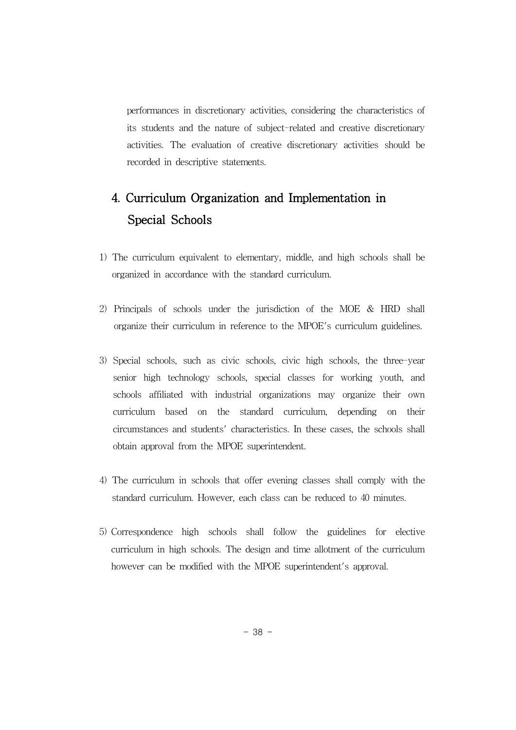performances in discretionary activities, considering the characteristics of its students and the nature of subject-related and creative discretionary activities. The evaluation of creative discretionary activities should be recorded in descriptive statements.

# 4. Curriculum Organization and Implementation in Special Schools

- 1) The curriculum equivalent to elementary, middle, and high schools shall be organized in accordance with the standard curriculum.
- 2) Principals of schools under the jurisdiction of the MOE & HRD shall organize their curriculum in reference to the MPOE's curriculum guidelines.
- 3) Special schools, such as civic schools, civic high schools, the three-year senior high technology schools, special classes for working youth, and schools affiliated with industrial organizations may organize their own curriculum based on the standard curriculum, depending on their circumstances and students' characteristics. In these cases, the schools shall obtain approval from the MPOE superintendent.
- 4) The curriculum in schools that offer evening classes shall comply with the standard curriculum. However, each class can be reduced to 40 minutes.
- 5) Correspondence high schools shall follow the guidelines for elective curriculum in high schools. The design and time allotment of the curriculum however can be modified with the MPOE superintendent's approval.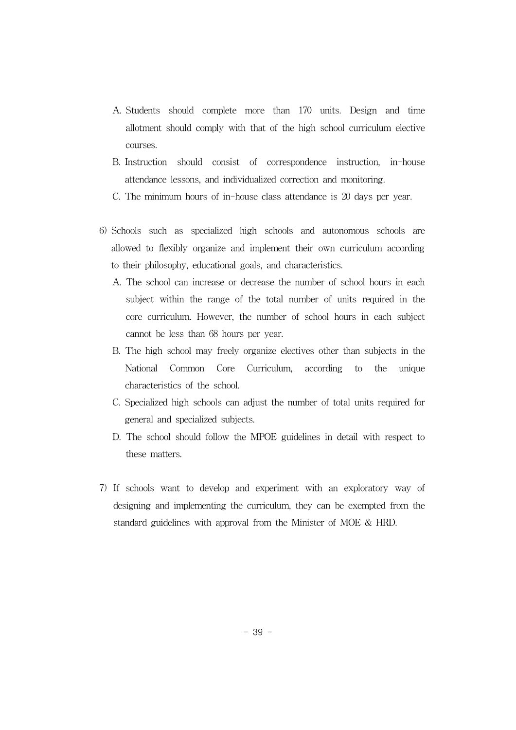- A. Students should complete more than 170 units. Design and time allotment should comply with that of the high school curriculum elective courses.
- B. Instruction should consist of correspondence instruction, in-house attendance lessons, and individualized correction and monitoring.
- C. The minimum hours of in-house class attendance is 20 days per year.
- 6) Schools such as specialized high schools and autonomous schools are allowed to flexibly organize and implement their own curriculum according to their philosophy, educational goals, and characteristics.
	- A. The school can increase or decrease the number of school hours in each subject within the range of the total number of units required in the core curriculum. However, the number of school hours in each subject cannot be less than 68 hours per year.
	- B. The high school may freely organize electives other than subjects in the National Common Core Curriculum, according to the unique characteristics of the school.
	- C. Specialized high schools can adjust the number of total units required for general and specialized subjects.
	- D. The school should follow the MPOE guidelines in detail with respect to these matters.
- 7) If schools want to develop and experiment with an exploratory way of designing and implementing the curriculum, they can be exempted from the standard guidelines with approval from the Minister of MOE & HRD.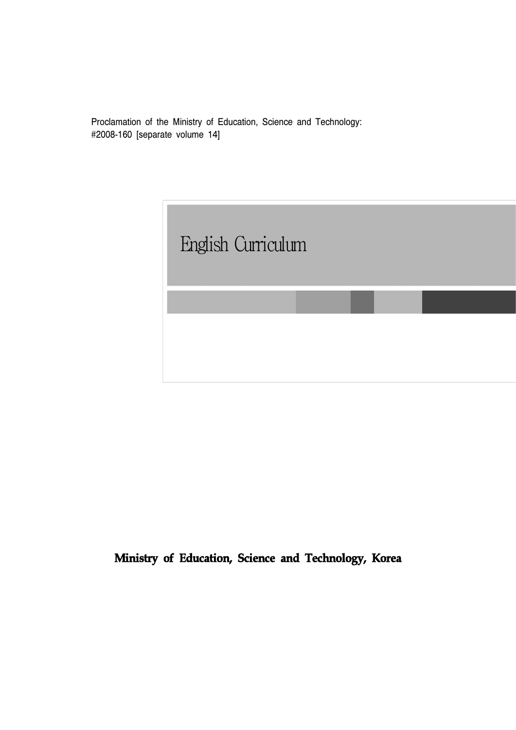Proclamation of the Ministry of Education, Science and Technology: #2008-160 [separate volume 14]

English Curriculum

**Ministry of Education, Science and Technology, Korea**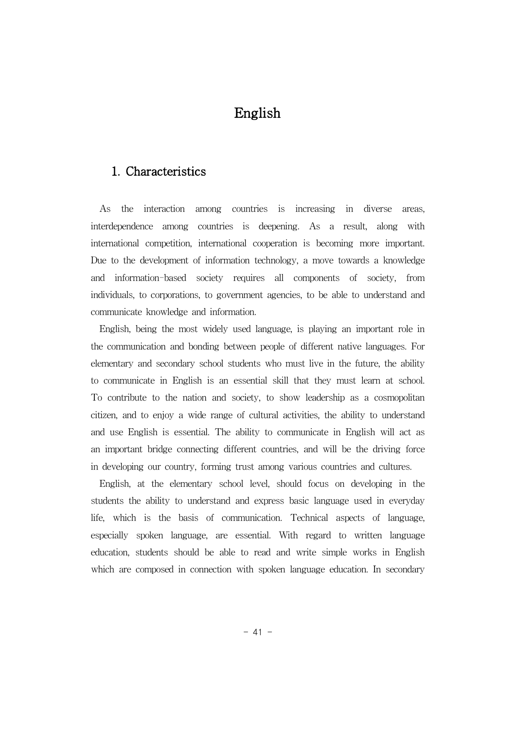# English

# 1. Characteristics

As the interaction among countries is increasing in diverse areas, interdependence among countries is deepening. As a result, along with international competition, international cooperation is becoming more important. Due to the development of information technology, a move towards a knowledge and information-based society requires all components of society, from individuals, to corporations, to government agencies, to be able to understand and communicate knowledge and information.

English, being the most widely used language, is playing an important role in the communication and bonding between people of different native languages. For elementary and secondary school students who must live in the future, the ability to communicate in English is an essential skill that they must learn at school. To contribute to the nation and society, to show leadership as a cosmopolitan citizen, and to enjoy a wide range of cultural activities, the ability to understand and use English is essential. The ability to communicate in English will act as an important bridge connecting different countries, and will be the driving force in developing our country, forming trust among various countries and cultures.

English, at the elementary school level, should focus on developing in the students the ability to understand and express basic language used in everyday life, which is the basis of communication. Technical aspects of language, especially spoken language, are essential. With regard to written language education, students should be able to read and write simple works in English which are composed in connection with spoken language education. In secondary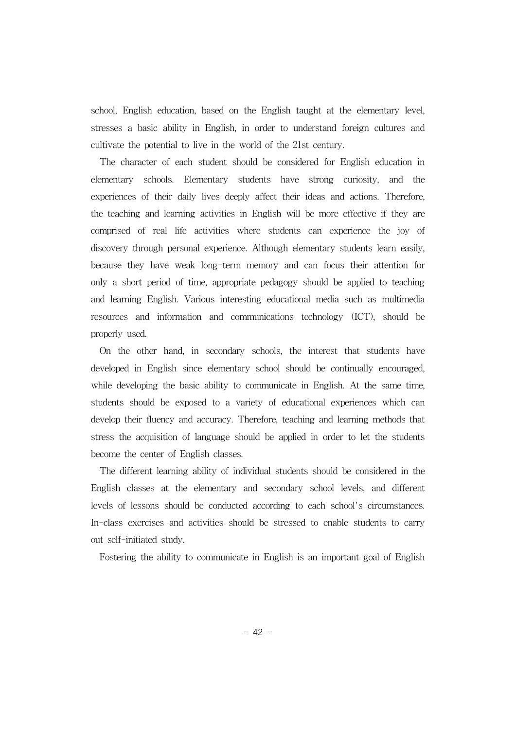school, English education, based on the English taught at the elementary level, stresses a basic ability in English, in order to understand foreign cultures and cultivate the potential to live in the world of the 21st century.

The character of each student should be considered for English education in elementary schools. Elementary students have strong curiosity, and the experiences of their daily lives deeply affect their ideas and actions. Therefore, the teaching and learning activities in English will be more effective if they are comprised of real life activities where students can experience the joy of discovery through personal experience. Although elementary students learn easily, because they have weak long-term memory and can focus their attention for only a short period of time, appropriate pedagogy should be applied to teaching and learning English. Various interesting educational media such as multimedia resources and information and communications technology (ICT), should be properly used.

On the other hand, in secondary schools, the interest that students have developed in English since elementary school should be continually encouraged, while developing the basic ability to communicate in English. At the same time, students should be exposed to a variety of educational experiences which can develop their fluency and accuracy. Therefore, teaching and learning methods that stress the acquisition of language should be applied in order to let the students become the center of English classes.

The different learning ability of individual students should be considered in the English classes at the elementary and secondary school levels, and different levels of lessons should be conducted according to each school's circumstances. In-class exercises and activities should be stressed to enable students to carry out self-initiated study.

Fostering the ability to communicate in English is an important goal of English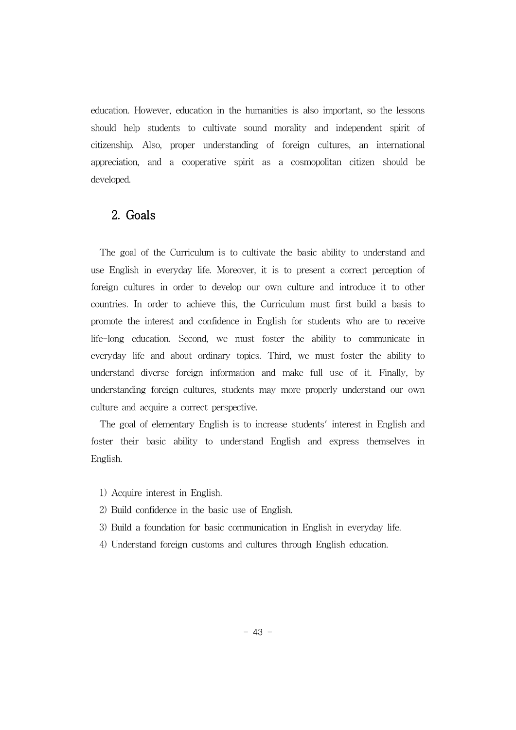education. However, education in the humanities is also important, so the lessons should help students to cultivate sound morality and independent spirit of citizenship. Also, proper understanding of foreign cultures, an international appreciation, and a cooperative spirit as a cosmopolitan citizen should be developed.

# 2. Goals

The goal of the Curriculum is to cultivate the basic ability to understand and use English in everyday life. Moreover, it is to present a correct perception of foreign cultures in order to develop our own culture and introduce it to other countries. In order to achieve this, the Curriculum must first build a basis to promote the interest and confidence in English for students who are to receive life-long education. Second, we must foster the ability to communicate in everyday life and about ordinary topics. Third, we must foster the ability to understand diverse foreign information and make full use of it. Finally, by understanding foreign cultures, students may more properly understand our own culture and acquire a correct perspective.

The goal of elementary English is to increase students' interest in English and foster their basic ability to understand English and express themselves in English.

- 1) Acquire interest in English.
- 2) Build confidence in the basic use of English.
- 3) Build a foundation for basic communication in English in everyday life.
- 4) Understand foreign customs and cultures through English education.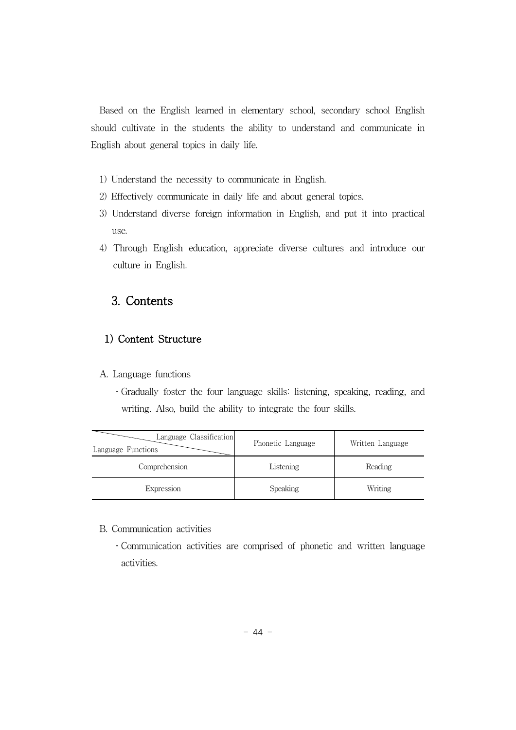Based on the English learned in elementary school, secondary school English should cultivate in the students the ability to understand and communicate in English about general topics in daily life.

- 1) Understand the necessity to communicate in English.
- 2) Effectively communicate in daily life and about general topics.
- 3) Understand diverse foreign information in English, and put it into practical use.
- 4) Through English education, appreciate diverse cultures and introduce our culture in English.

# 3. Contents

## 1) Content Structure

A. Language functions

․Gradually foster the four language skills: listening, speaking, reading, and writing. Also, build the ability to integrate the four skills.

| Language Classification<br>Language Functions | Phonetic Language | Written Language |
|-----------------------------------------------|-------------------|------------------|
| Comprehension                                 | Listening         | Reading          |
| Expression                                    | Speaking          | Writing          |

#### B. Communication activities

․Communication activities are comprised of phonetic and written language activities.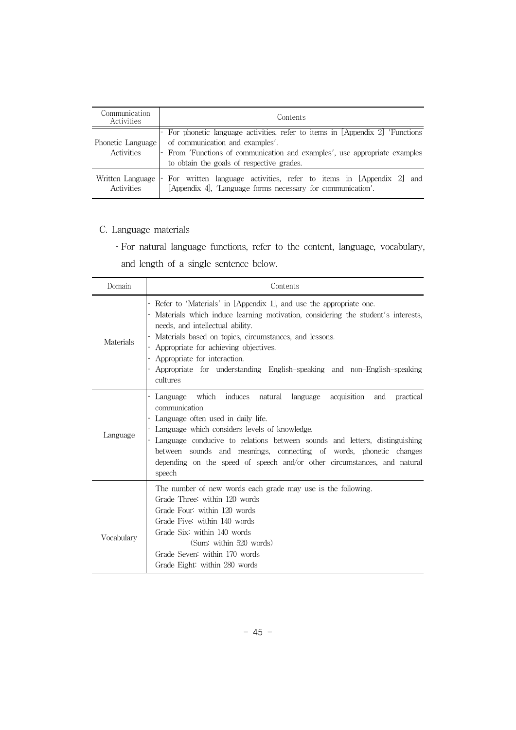| Communication<br>Activities            | Contents                                                                                                                                                                                                                                    |  |
|----------------------------------------|---------------------------------------------------------------------------------------------------------------------------------------------------------------------------------------------------------------------------------------------|--|
| Phonetic Language<br><b>Activities</b> | - For phonetic language activities, refer to items in [Appendix 2] 'Functions<br>of communication and examples'.<br>- From 'Functions of communication and examples', use appropriate examples<br>to obtain the goals of respective grades. |  |
| Written Language<br><b>Activities</b>  | For written language activities, refer to items in [Appendix 2] and<br>[Appendix 4], 'Language forms necessary for communication'.                                                                                                          |  |

- C. Language materials
	- ․For natural language functions, refer to the content, language, vocabulary,

and length of a single sentence below.

| Domain     | Contents                                                                                                                                                                                                                                                                                                                                                                                                                  |  |
|------------|---------------------------------------------------------------------------------------------------------------------------------------------------------------------------------------------------------------------------------------------------------------------------------------------------------------------------------------------------------------------------------------------------------------------------|--|
| Materials  | Refer to 'Materials' in [Appendix 1], and use the appropriate one.<br>Materials which induce learning motivation, considering the student's interests,<br>needs, and intellectual ability.<br>Materials based on topics, circumstances, and lessons.<br>Appropriate for achieving objectives.<br>Appropriate for interaction.<br>Appropriate for understanding English-speaking and non-English-speaking<br>cultures      |  |
| Language   | Language which induces natural language acquisition and<br>practical<br>communication<br>Language often used in daily life.<br>Language which considers levels of knowledge.<br>Language conducive to relations between sounds and letters, distinguishing<br>sounds and meanings, connecting of words, phonetic changes<br>between<br>depending on the speed of speech and/or other circumstances, and natural<br>speech |  |
| Vocabulary | The number of new words each grade may use is the following.<br>Grade Three: within 120 words<br>Grade Four: within 120 words<br>Grade Five: within 140 words<br>Grade Six: within 140 words<br>(Sum: within 520 words)<br>Grade Seven: within 170 words<br>Grade Eight: within 280 words                                                                                                                                 |  |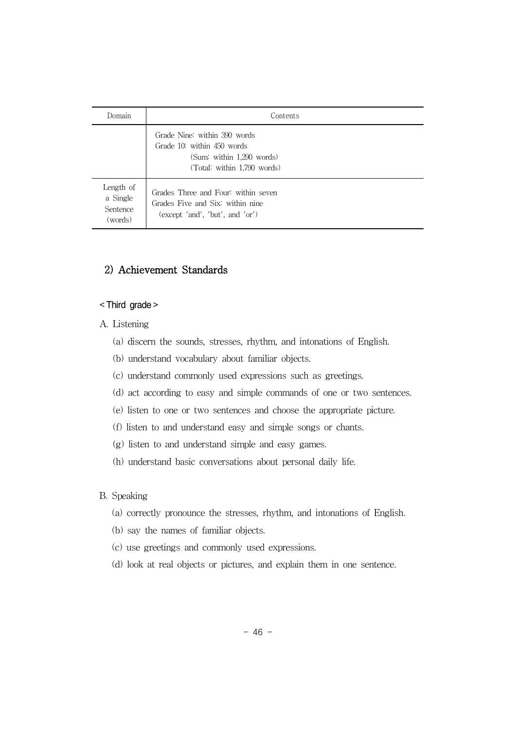| Domain                                       | Contents                                                                                                               |
|----------------------------------------------|------------------------------------------------------------------------------------------------------------------------|
|                                              | Grade Nine: within 390 words<br>Grade 10: within 450 words<br>(Sum: within 1.290 words)<br>(Total: within 1,790 words) |
| Length of<br>a Single<br>Sentence<br>(words) | Grades Three and Four: within seven<br>Grades Five and Six: within nine<br>(except $'and'$ , $'but'$ , and $'or'$ )    |

# 2) Achievement Standards

#### < Third grade >

- A. Listening
	- (a) discern the sounds, stresses, rhythm, and intonations of English.
	- (b) understand vocabulary about familiar objects.
	- (c) understand commonly used expressions such as greetings.
	- (d) act according to easy and simple commands of one or two sentences.
	- (e) listen to one or two sentences and choose the appropriate picture.
	- (f) listen to and understand easy and simple songs or chants.
	- (g) listen to and understand simple and easy games.
	- (h) understand basic conversations about personal daily life.

#### B. Speaking

- (a) correctly pronounce the stresses, rhythm, and intonations of English.
- (b) say the names of familiar objects.
- (c) use greetings and commonly used expressions.
- (d) look at real objects or pictures, and explain them in one sentence.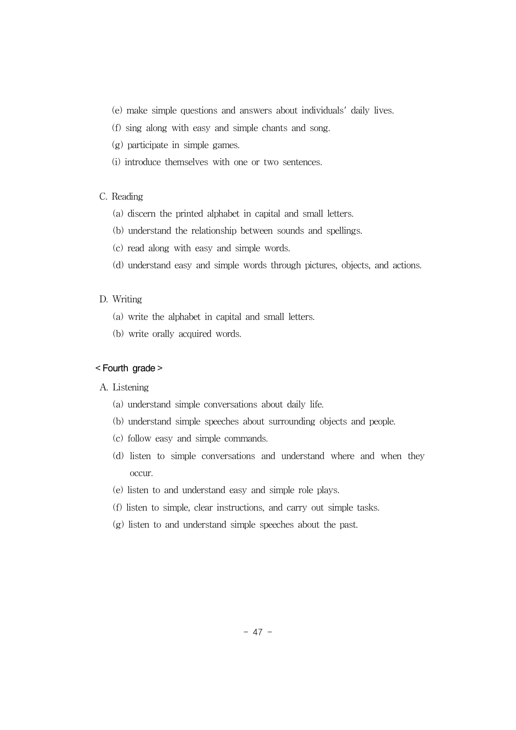- (e) make simple questions and answers about individuals' daily lives.
- (f) sing along with easy and simple chants and song.
- (g) participate in simple games.
- (i) introduce themselves with one or two sentences.

#### C. Reading

- (a) discern the printed alphabet in capital and small letters.
- (b) understand the relationship between sounds and spellings.
- (c) read along with easy and simple words.
- (d) understand easy and simple words through pictures, objects, and actions.

#### D. Writing

- (a) write the alphabet in capital and small letters.
- (b) write orally acquired words.

#### < Fourth grade >

#### A. Listening

- (a) understand simple conversations about daily life.
- (b) understand simple speeches about surrounding objects and people.
- (c) follow easy and simple commands.
- (d) listen to simple conversations and understand where and when they occur.
- (e) listen to and understand easy and simple role plays.
- (f) listen to simple, clear instructions, and carry out simple tasks.
- (g) listen to and understand simple speeches about the past.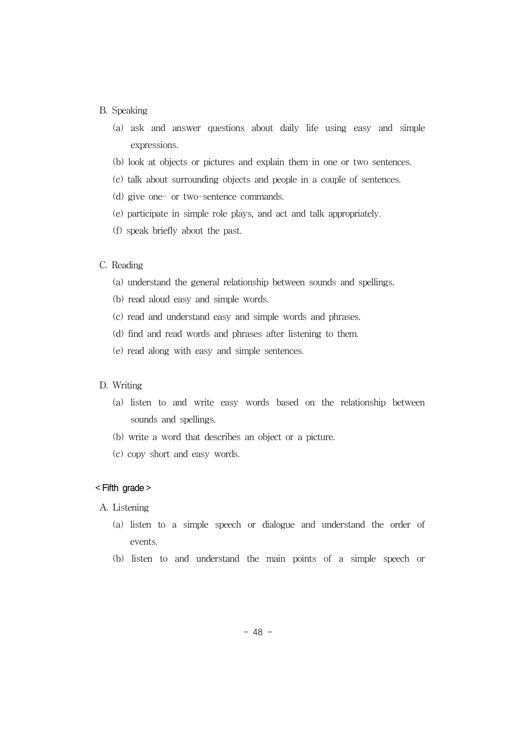#### B. Speaking

- (a) ask and answer questions about daily life using easy and simple expressions.
- (b) look at objects or pictures and explain them in one or two sentences.
- (c) talk about surrounding objects and people in a couple of sentences.
- (d) give one- or two-sentence commands.
- (e) participate in simple role plays, and act and talk appropriately.
- (f) speak briefly about the past.

#### C. Reading

- (a) understand the general relationship between sounds and spellings.
- (b) read aloud easy and simple words.
- (c) read and understand easy and simple words and phrases.
- (d) find and read words and phrases after listening to them.
- (e) read along with easy and simple sentences.

#### D. Writing

- (a) listen to and write easy words based on the relationship between sounds and spellings.
- (b) write a word that describes an object or a picture.
- (c) copy short and easy words.

#### < Fifth grade >

- A. Listening
	- (a) listen to a simple speech or dialogue and understand the order of events.
	- (b) listen to and understand the main points of a simple speech or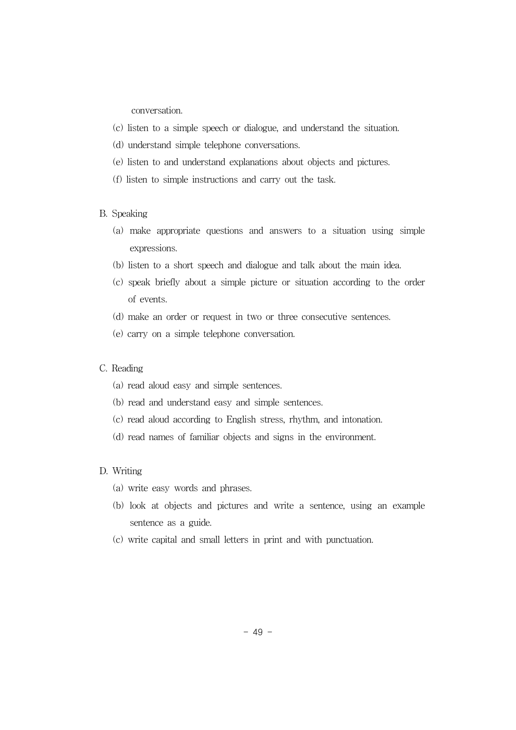conversation.

- (c) listen to a simple speech or dialogue, and understand the situation.
- (d) understand simple telephone conversations.
- (e) listen to and understand explanations about objects and pictures.
- (f) listen to simple instructions and carry out the task.

#### B. Speaking

- (a) make appropriate questions and answers to a situation using simple expressions.
- (b) listen to a short speech and dialogue and talk about the main idea.
- (c) speak briefly about a simple picture or situation according to the order of events.
- (d) make an order or request in two or three consecutive sentences.
- (e) carry on a simple telephone conversation.

#### C. Reading

- (a) read aloud easy and simple sentences.
- (b) read and understand easy and simple sentences.
- (c) read aloud according to English stress, rhythm, and intonation.
- (d) read names of familiar objects and signs in the environment.

#### D. Writing

- (a) write easy words and phrases.
- (b) look at objects and pictures and write a sentence, using an example sentence as a guide.
- (c) write capital and small letters in print and with punctuation.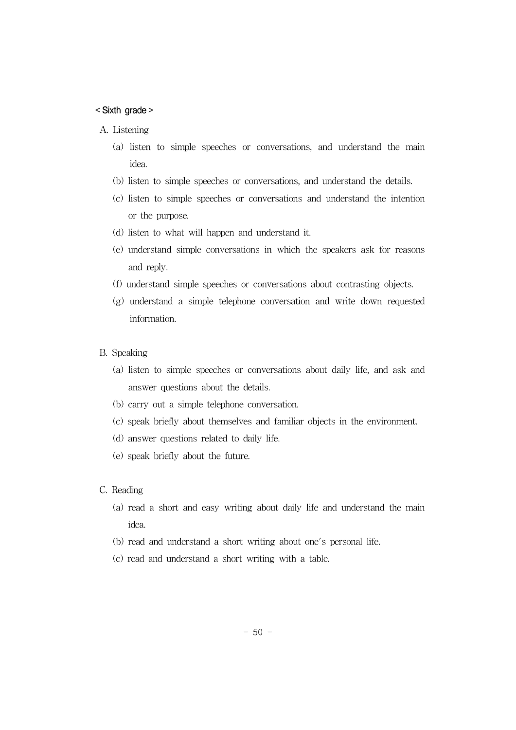#### < Sixth grade >

#### A. Listening

- (a) listen to simple speeches or conversations, and understand the main idea.
- (b) listen to simple speeches or conversations, and understand the details.
- (c) listen to simple speeches or conversations and understand the intention or the purpose.
- (d) listen to what will happen and understand it.
- (e) understand simple conversations in which the speakers ask for reasons and reply.
- (f) understand simple speeches or conversations about contrasting objects.
- (g) understand a simple telephone conversation and write down requested information.
- B. Speaking
	- (a) listen to simple speeches or conversations about daily life, and ask and answer questions about the details.
	- (b) carry out a simple telephone conversation.
	- (c) speak briefly about themselves and familiar objects in the environment.
	- (d) answer questions related to daily life.
	- (e) speak briefly about the future.
- C. Reading
	- (a) read a short and easy writing about daily life and understand the main idea.
	- (b) read and understand a short writing about one's personal life.
	- (c) read and understand a short writing with a table.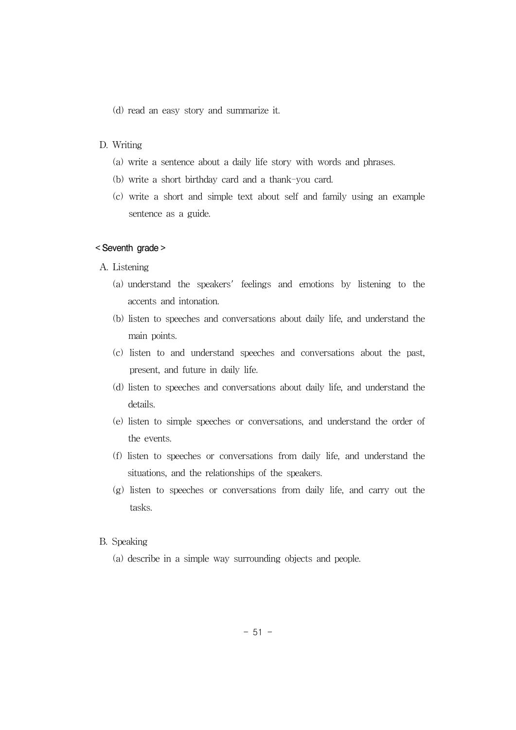(d) read an easy story and summarize it.

#### D. Writing

- (a) write a sentence about a daily life story with words and phrases.
- (b) write a short birthday card and a thank-you card.
- (c) write a short and simple text about self and family using an example sentence as a guide.

#### < Seventh grade >

- A. Listening
	- (a) understand the speakers' feelings and emotions by listening to the accents and intonation.
	- (b) listen to speeches and conversations about daily life, and understand the main points.
	- (c) listen to and understand speeches and conversations about the past, present, and future in daily life.
	- (d) listen to speeches and conversations about daily life, and understand the details.
	- (e) listen to simple speeches or conversations, and understand the order of the events.
	- (f) listen to speeches or conversations from daily life, and understand the situations, and the relationships of the speakers.
	- (g) listen to speeches or conversations from daily life, and carry out the tasks.

#### B. Speaking

(a) describe in a simple way surrounding objects and people.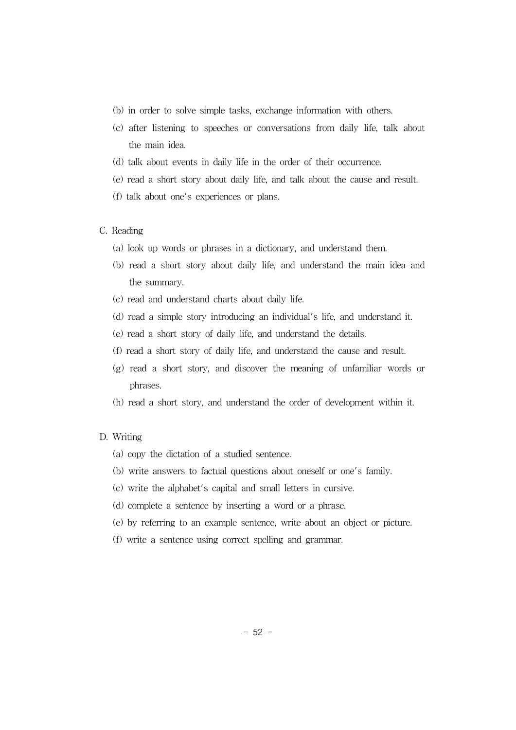- (b) in order to solve simple tasks, exchange information with others.
- (c) after listening to speeches or conversations from daily life, talk about the main idea.
- (d) talk about events in daily life in the order of their occurrence.
- (e) read a short story about daily life, and talk about the cause and result.
- (f) talk about one's experiences or plans.

#### C. Reading

- (a) look up words or phrases in a dictionary, and understand them.
- (b) read a short story about daily life, and understand the main idea and the summary.
- (c) read and understand charts about daily life.
- (d) read a simple story introducing an individual's life, and understand it.
- (e) read a short story of daily life, and understand the details.
- (f) read a short story of daily life, and understand the cause and result.
- (g) read a short story, and discover the meaning of unfamiliar words or phrases.
- (h) read a short story, and understand the order of development within it.

#### D. Writing

- (a) copy the dictation of a studied sentence.
- (b) write answers to factual questions about oneself or one's family.
- (c) write the alphabet's capital and small letters in cursive.
- (d) complete a sentence by inserting a word or a phrase.
- (e) by referring to an example sentence, write about an object or picture.
- (f) write a sentence using correct spelling and grammar.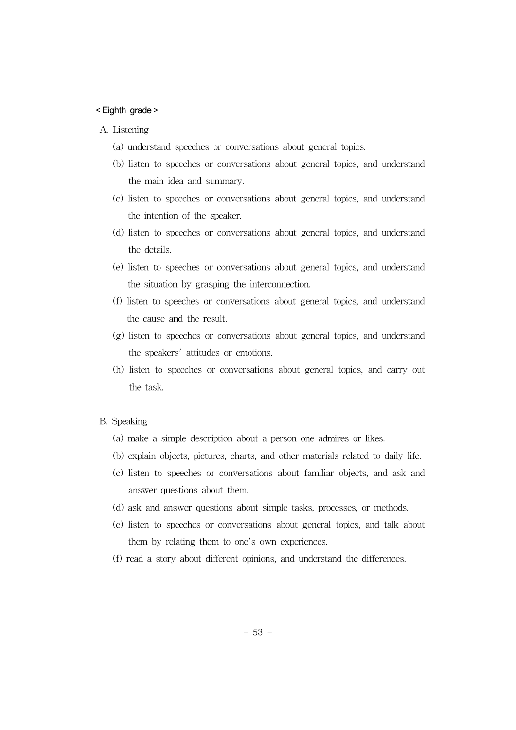#### < Eighth grade >

#### A. Listening

- (a) understand speeches or conversations about general topics.
- (b) listen to speeches or conversations about general topics, and understand the main idea and summary.
- (c) listen to speeches or conversations about general topics, and understand the intention of the speaker.
- (d) listen to speeches or conversations about general topics, and understand the details.
- (e) listen to speeches or conversations about general topics, and understand the situation by grasping the interconnection.
- (f) listen to speeches or conversations about general topics, and understand the cause and the result.
- (g) listen to speeches or conversations about general topics, and understand the speakers' attitudes or emotions.
- (h) listen to speeches or conversations about general topics, and carry out the task.
- B. Speaking
	- (a) make a simple description about a person one admires or likes.
	- (b) explain objects, pictures, charts, and other materials related to daily life.
	- (c) listen to speeches or conversations about familiar objects, and ask and answer questions about them.
	- (d) ask and answer questions about simple tasks, processes, or methods.
	- (e) listen to speeches or conversations about general topics, and talk about them by relating them to one's own experiences.
	- (f) read a story about different opinions, and understand the differences.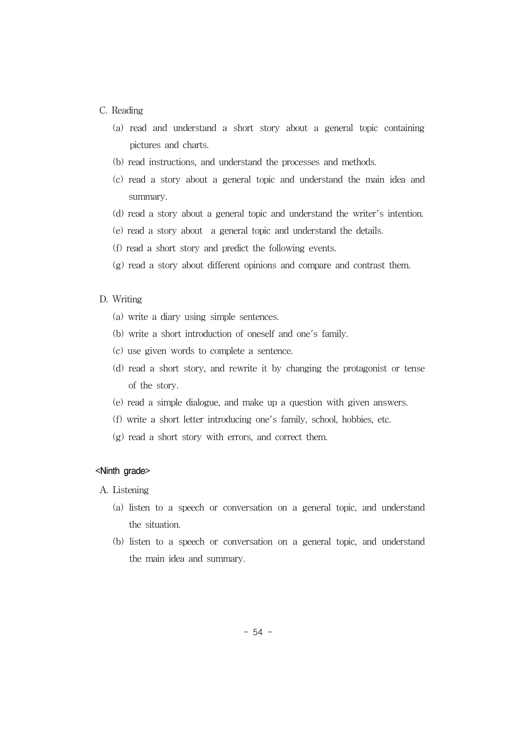#### C. Reading

- (a) read and understand a short story about a general topic containing pictures and charts.
- (b) read instructions, and understand the processes and methods.
- (c) read a story about a general topic and understand the main idea and summary.
- (d) read a story about a general topic and understand the writer's intention.
- (e) read a story about a general topic and understand the details.
- (f) read a short story and predict the following events.
- (g) read a story about different opinions and compare and contrast them.

#### D. Writing

- (a) write a diary using simple sentences.
- (b) write a short introduction of oneself and one's family.
- (c) use given words to complete a sentence.
- (d) read a short story, and rewrite it by changing the protagonist or tense of the story.
- (e) read a simple dialogue, and make up a question with given answers.
- (f) write a short letter introducing one's family, school, hobbies, etc.
- (g) read a short story with errors, and correct them.

#### <Ninth grade>

- A. Listening
	- (a) listen to a speech or conversation on a general topic, and understand the situation.
	- (b) listen to a speech or conversation on a general topic, and understand the main idea and summary.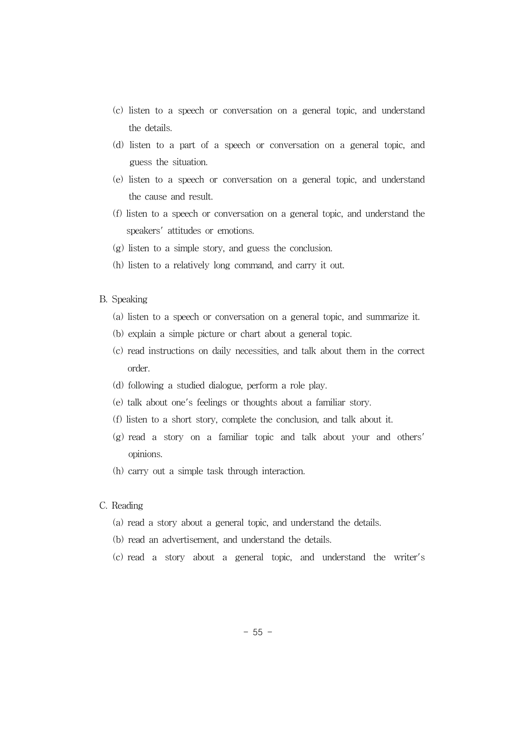- (c) listen to a speech or conversation on a general topic, and understand the details.
- (d) listen to a part of a speech or conversation on a general topic, and guess the situation.
- (e) listen to a speech or conversation on a general topic, and understand the cause and result.
- (f) listen to a speech or conversation on a general topic, and understand the speakers' attitudes or emotions.
- (g) listen to a simple story, and guess the conclusion.
- (h) listen to a relatively long command, and carry it out.
- B. Speaking
	- (a) listen to a speech or conversation on a general topic, and summarize it.
	- (b) explain a simple picture or chart about a general topic.
	- (c) read instructions on daily necessities, and talk about them in the correct order.
	- (d) following a studied dialogue, perform a role play.
	- (e) talk about one's feelings or thoughts about a familiar story.
	- (f) listen to a short story, complete the conclusion, and talk about it.
	- (g) read a story on a familiar topic and talk about your and others' opinions.
	- (h) carry out a simple task through interaction.
- C. Reading
	- (a) read a story about a general topic, and understand the details.
	- (b) read an advertisement, and understand the details.
	- (c) read a story about a general topic, and understand the writer's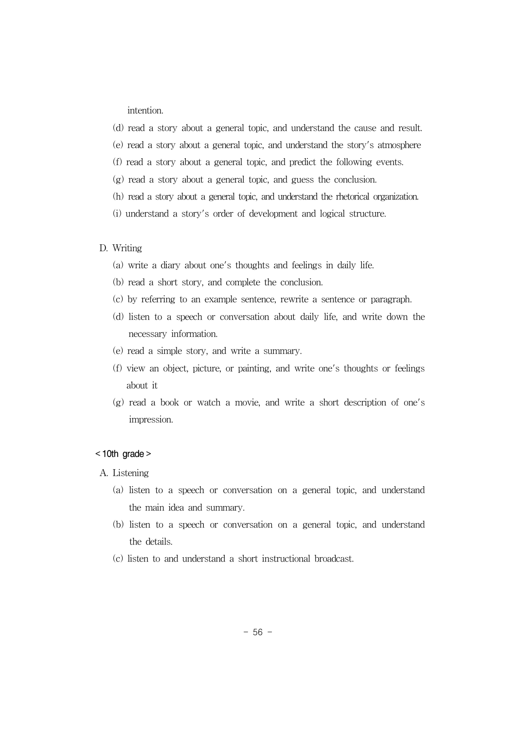intention.

- (d) read a story about a general topic, and understand the cause and result.
- (e) read a story about a general topic, and understand the story's atmosphere
- (f) read a story about a general topic, and predict the following events.
- (g) read a story about a general topic, and guess the conclusion.
- (h) read a story about a general topic, and understand the rhetorical organization.
- (i) understand a story's order of development and logical structure.

#### D. Writing

- (a) write a diary about one's thoughts and feelings in daily life.
- (b) read a short story, and complete the conclusion.
- (c) by referring to an example sentence, rewrite a sentence or paragraph.
- (d) listen to a speech or conversation about daily life, and write down the necessary information.
- (e) read a simple story, and write a summary.
- (f) view an object, picture, or painting, and write one's thoughts or feelings about it
- (g) read a book or watch a movie, and write a short description of one's impression.

#### $<$  10th grade  $>$

- A. Listening
	- (a) listen to a speech or conversation on a general topic, and understand the main idea and summary.
	- (b) listen to a speech or conversation on a general topic, and understand the details.
	- (c) listen to and understand a short instructional broadcast.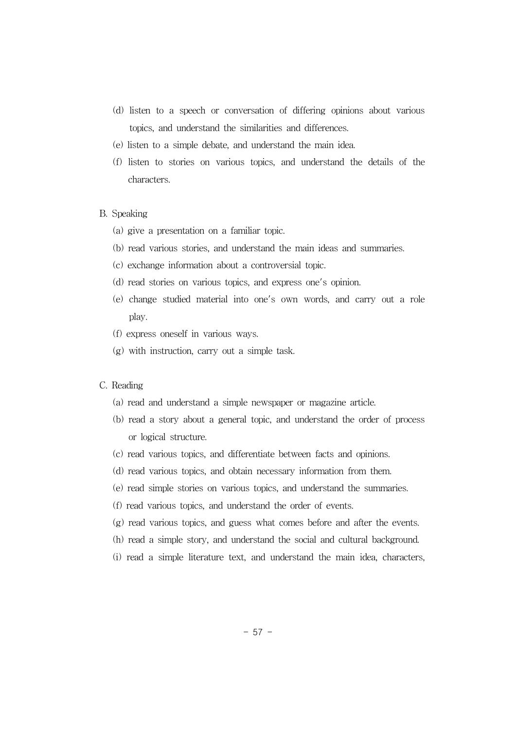- (d) listen to a speech or conversation of differing opinions about various topics, and understand the similarities and differences.
- (e) listen to a simple debate, and understand the main idea.
- (f) listen to stories on various topics, and understand the details of the characters.

#### B. Speaking

- (a) give a presentation on a familiar topic.
- (b) read various stories, and understand the main ideas and summaries.
- (c) exchange information about a controversial topic.
- (d) read stories on various topics, and express one's opinion.
- (e) change studied material into one's own words, and carry out a role play.
- (f) express oneself in various ways.
- (g) with instruction, carry out a simple task.
- C. Reading
	- (a) read and understand a simple newspaper or magazine article.
	- (b) read a story about a general topic, and understand the order of process or logical structure.
	- (c) read various topics, and differentiate between facts and opinions.
	- (d) read various topics, and obtain necessary information from them.
	- (e) read simple stories on various topics, and understand the summaries.
	- (f) read various topics, and understand the order of events.
	- (g) read various topics, and guess what comes before and after the events.
	- (h) read a simple story, and understand the social and cultural background.
	- (i) read a simple literature text, and understand the main idea, characters,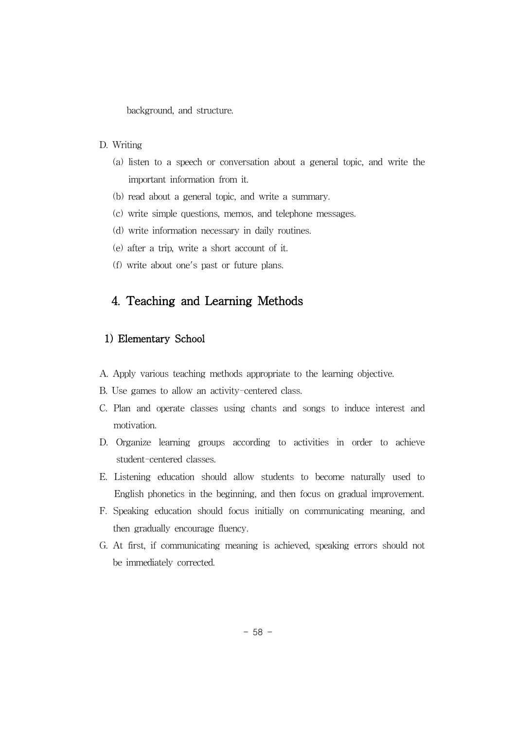background, and structure.

- D. Writing
	- (a) listen to a speech or conversation about a general topic, and write the important information from it.
	- (b) read about a general topic, and write a summary.
	- (c) write simple questions, memos, and telephone messages.
	- (d) write information necessary in daily routines.
	- (e) after a trip, write a short account of it.
	- (f) write about one's past or future plans.

# 4. Teaching and Learning Methods

### 1) Elementary School

- A. Apply various teaching methods appropriate to the learning objective.
- B. Use games to allow an activity-centered class.
- C. Plan and operate classes using chants and songs to induce interest and motivation.
- D. Organize learning groups according to activities in order to achieve student-centered classes.
- E. Listening education should allow students to become naturally used to English phonetics in the beginning, and then focus on gradual improvement.
- F. Speaking education should focus initially on communicating meaning, and then gradually encourage fluency.
- G. At first, if communicating meaning is achieved, speaking errors should not be immediately corrected.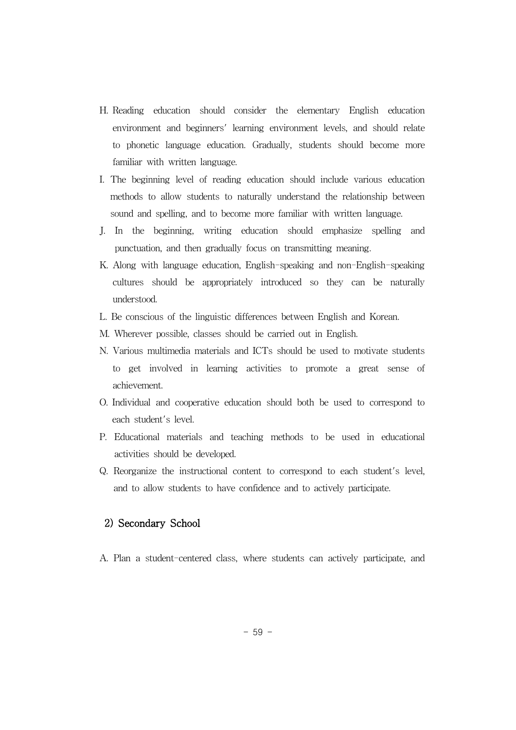- H. Reading education should consider the elementary English education environment and beginners' learning environment levels, and should relate to phonetic language education. Gradually, students should become more familiar with written language.
- I. The beginning level of reading education should include various education methods to allow students to naturally understand the relationship between sound and spelling, and to become more familiar with written language.
- J. In the beginning, writing education should emphasize spelling and punctuation, and then gradually focus on transmitting meaning.
- K. Along with language education, English-speaking and non-English-speaking cultures should be appropriately introduced so they can be naturally understood.
- L. Be conscious of the linguistic differences between English and Korean.
- M. Wherever possible, classes should be carried out in English.
- N. Various multimedia materials and ICTs should be used to motivate students to get involved in learning activities to promote a great sense of achievement.
- O. Individual and cooperative education should both be used to correspond to each student's level.
- P. Educational materials and teaching methods to be used in educational activities should be developed.
- Q. Reorganize the instructional content to correspond to each student's level, and to allow students to have confidence and to actively participate.

### 2) Secondary School

A. Plan a student-centered class, where students can actively participate, and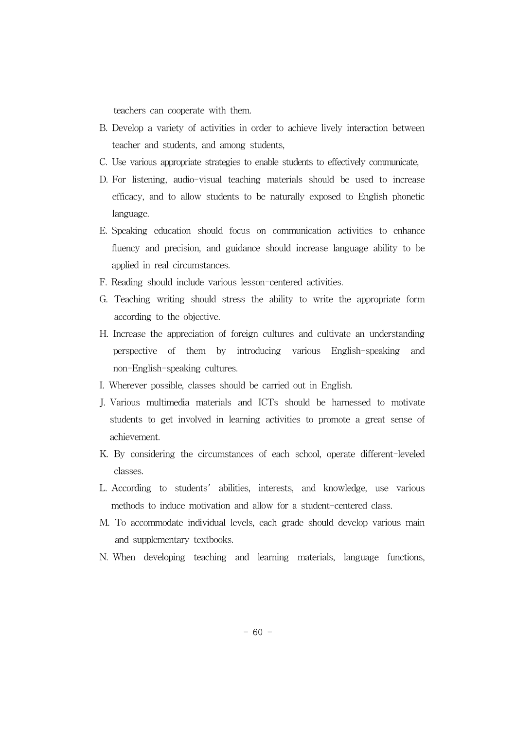teachers can cooperate with them.

- B. Develop a variety of activities in order to achieve lively interaction between teacher and students, and among students,
- C. Use various appropriate strategies to enable students to effectively communicate,
- D. For listening, audio-visual teaching materials should be used to increase efficacy, and to allow students to be naturally exposed to English phonetic language.
- E. Speaking education should focus on communication activities to enhance fluency and precision, and guidance should increase language ability to be applied in real circumstances.
- F. Reading should include various lesson-centered activities.
- G. Teaching writing should stress the ability to write the appropriate form according to the objective.
- H. Increase the appreciation of foreign cultures and cultivate an understanding perspective of them by introducing various English-speaking and non-English-speaking cultures.
- I. Wherever possible, classes should be carried out in English.
- J. Various multimedia materials and ICTs should be harnessed to motivate students to get involved in learning activities to promote a great sense of achievement.
- K. By considering the circumstances of each school, operate different-leveled classes.
- L. According to students' abilities, interests, and knowledge, use various methods to induce motivation and allow for a student-centered class.
- M. To accommodate individual levels, each grade should develop various main and supplementary textbooks.
- N. When developing teaching and learning materials, language functions,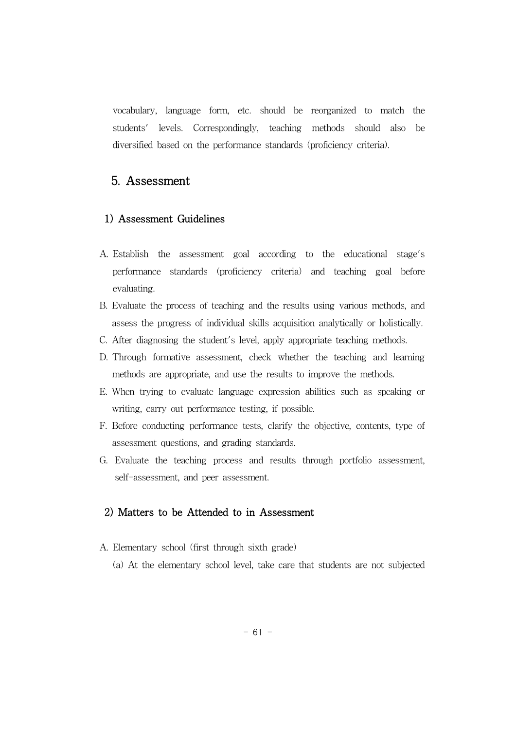vocabulary, language form, etc. should be reorganized to match the students' levels. Correspondingly, teaching methods should also be diversified based on the performance standards (proficiency criteria).

# 5. Assessment

#### 1) Assessment Guidelines

- A. Establish the assessment goal according to the educational stage's performance standards (proficiency criteria) and teaching goal before evaluating.
- B. Evaluate the process of teaching and the results using various methods, and assess the progress of individual skills acquisition analytically or holistically.
- C. After diagnosing the student's level, apply appropriate teaching methods.
- D. Through formative assessment, check whether the teaching and learning methods are appropriate, and use the results to improve the methods.
- E. When trying to evaluate language expression abilities such as speaking or writing, carry out performance testing, if possible.
- F. Before conducting performance tests, clarify the objective, contents, type of assessment questions, and grading standards.
- G. Evaluate the teaching process and results through portfolio assessment, self-assessment, and peer assessment.

## 2) Matters to be Attended to in Assessment

- A. Elementary school (first through sixth grade)
	- (a) At the elementary school level, take care that students are not subjected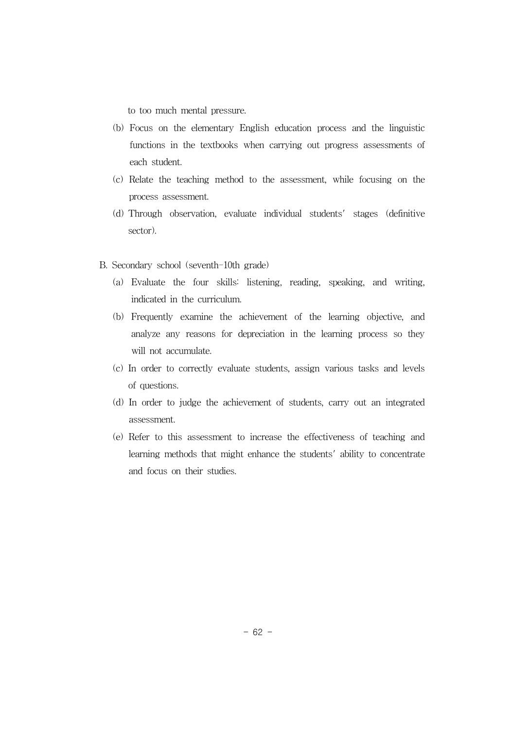to too much mental pressure.

- (b) Focus on the elementary English education process and the linguistic functions in the textbooks when carrying out progress assessments of each student.
- (c) Relate the teaching method to the assessment, while focusing on the process assessment.
- (d) Through observation, evaluate individual students' stages (definitive sector).
- B. Secondary school (seventh-10th grade)
	- (a) Evaluate the four skills: listening, reading, speaking, and writing, indicated in the curriculum.
	- (b) Frequently examine the achievement of the learning objective, and analyze any reasons for depreciation in the learning process so they will not accumulate.
	- (c) In order to correctly evaluate students, assign various tasks and levels of questions.
	- (d) In order to judge the achievement of students, carry out an integrated assessment.
	- (e) Refer to this assessment to increase the effectiveness of teaching and learning methods that might enhance the students' ability to concentrate and focus on their studies.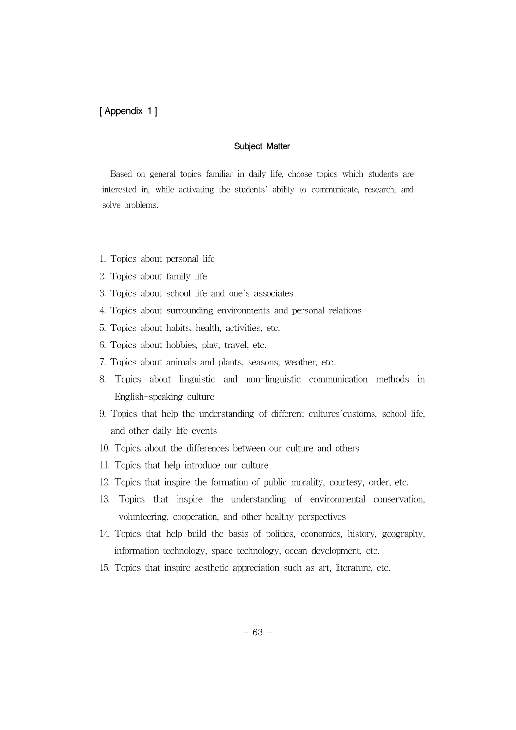[ Appendix 1 ]

#### Subject Matter

Based on general topics familiar in daily life, choose topics which students are interested in, while activating the students' ability to communicate, research, and solve problems.

- 1. Topics about personal life
- 2. Topics about family life
- 3. Topics about school life and one's associates
- 4. Topics about surrounding environments and personal relations
- 5. Topics about habits, health, activities, etc.
- 6. Topics about hobbies, play, travel, etc.
- 7. Topics about animals and plants, seasons, weather, etc.
- 8. Topics about linguistic and non-linguistic communication methods in English-speaking culture
- 9. Topics that help the understanding of different cultures'customs, school life, and other daily life events
- 10. Topics about the differences between our culture and others
- 11. Topics that help introduce our culture
- 12. Topics that inspire the formation of public morality, courtesy, order, etc.
- 13. Topics that inspire the understanding of environmental conservation, volunteering, cooperation, and other healthy perspectives
- 14. Topics that help build the basis of politics, economics, history, geography, information technology, space technology, ocean development, etc.
- 15. Topics that inspire aesthetic appreciation such as art, literature, etc.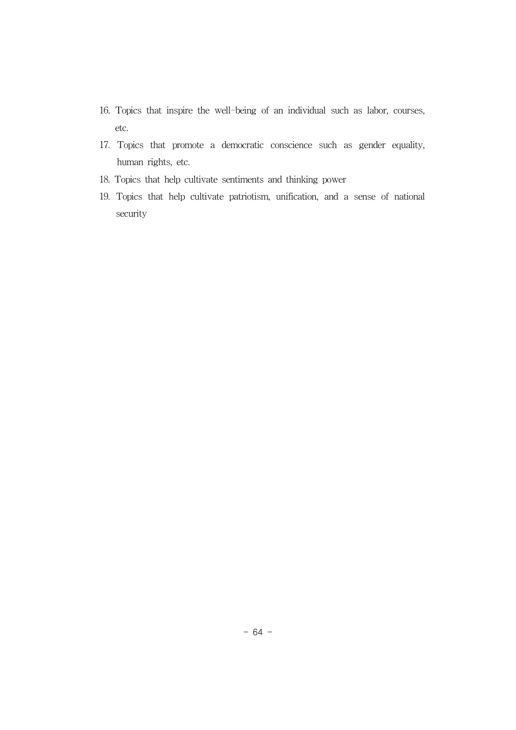- 16. Topics that inspire the well-being of an individual such as labor, courses, etc.
- 17. Topics that promote a democratic conscience such as gender equality, human rights, etc.
- 18. Topics that help cultivate sentiments and thinking power
- 19. Topics that help cultivate patriotism, unification, and a sense of national security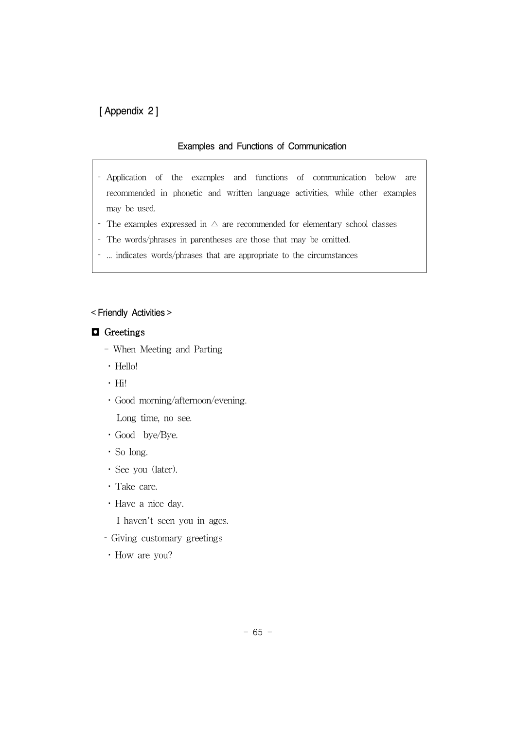# [ Appendix 2 ]

#### Examples and Functions of Communication

- Application of the examples and functions of communication below are recommended in phonetic and written language activities, while other examples may be used.
- The examples expressed in  $\triangle$  are recommended for elementary school classes
- The words/phrases in parentheses are those that may be omitted.
- ... indicates words/phrases that are appropriate to the circumstances

#### < Friendly Activities >

#### ◘ Greetings

- When Meeting and Parting
- Hello!
- Hi!
- Good morning/afternoon/evening.

Long time, no see.

- Good bye/Bye.
- So long.
- See you (later).
- Take care.
- Have a nice day.

I haven't seen you in ages.

- Giving customary greetings
- How are you?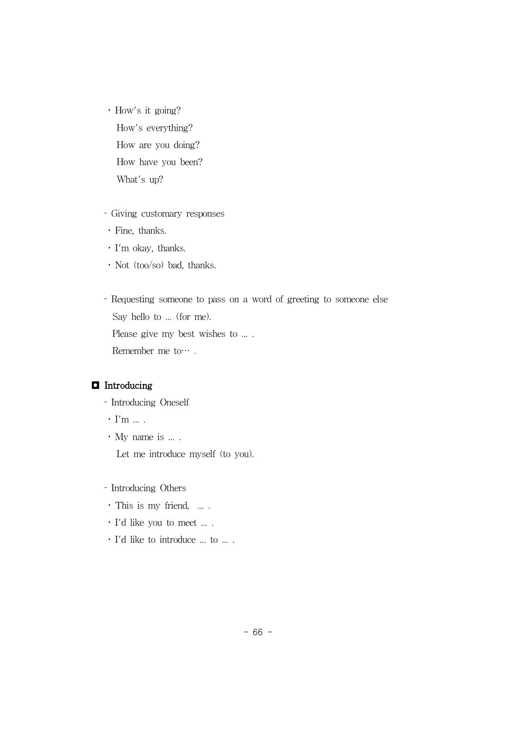How's it going? How's everything? How are you doing? How have you been? What's up?

- Giving customary responses
- Fine, thanks.
- I'm okay, thanks.
- Not (too/so) bad, thanks.

 Requesting someone to pass on a word of greeting to someone else Say hello to ... (for me). Please give my best wishes to .... Remember me to….

### ◘ Introducing

- Introducing Oneself
- $\cdot$  I'm  $\ldots$  .
- My name is ... .

Let me introduce myself (to you).

- Introducing Others
- · This is my friend, ....
- I'd like you to meet ... .
- I'd like to introduce ... to ... .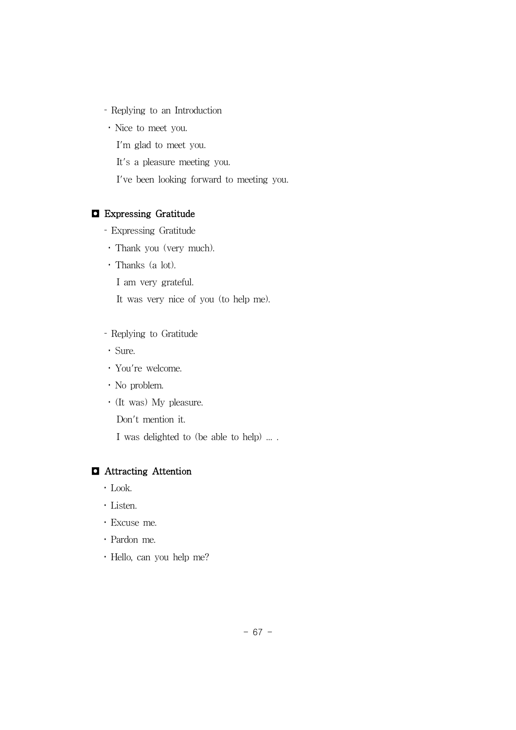- Replying to an Introduction
- Nice to meet you.
	- I'm glad to meet you.
	- It's a pleasure meeting you.
	- I've been looking forward to meeting you.

### ◘ Expressing Gratitude

- Expressing Gratitude
- Thank you (very much).
- Thanks (a lot).
	- I am very grateful.
	- It was very nice of you (to help me).
- Replying to Gratitude
- Sure.
- You're welcome.
- No problem.
- (It was) My pleasure.
	- Don't mention it.
	- I was delighted to (be able to help) ... .

### ◘ Attracting Attention

- Look.
- Listen.
- Excuse me.
- Pardon me.
- Hello, can you help me?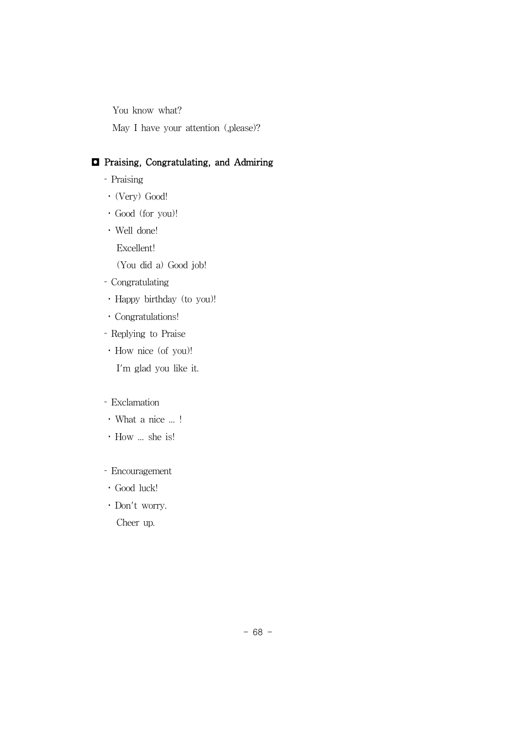You know what?

May I have your attention (,please)?

### ◘ Praising, Congratulating, and Admiring

- Praising
- (Very) Good!
- Good (for you)!
- Well done!

Excellent!

(You did a) Good job!

- Congratulating
- Happy birthday (to you)!
- Congratulations!
- Replying to Praise
- How nice (of you)!

I'm glad you like it.

#### Exclamation

- What a nice ... !
- How ... she is!
- Encouragement
- Good luck!
- Don't worry.

Cheer up.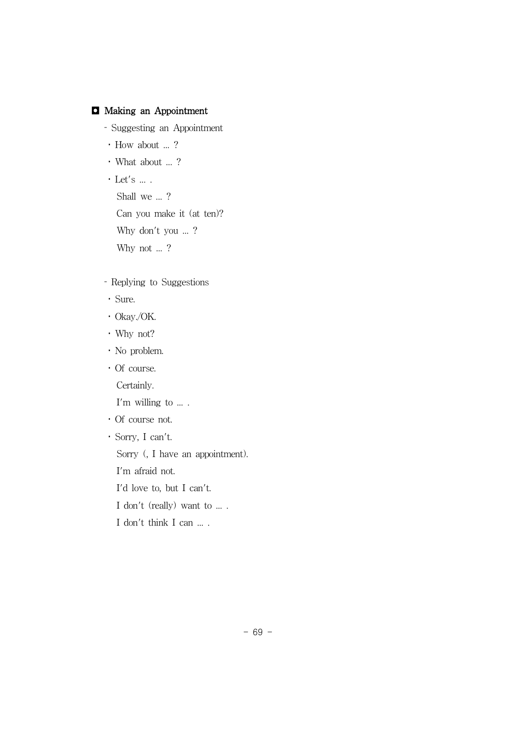## ◘ Making an Appointment

- Suggesting an Appointment
- How about ... ?
- What about ... ?
- $\cdot$  Let's  $\ldots$  . Shall we ...? Can you make it (at ten)? Why don't you ... ? Why not ...?
- Replying to Suggestions
- Sure.
- Okay./OK.
- Why not?
- No problem.
- Of course.
	- Certainly.

I'm willing to ... .

- Of course not.
- Sorry, I can't.

Sorry (, I have an appointment).

I'm afraid not.

- I'd love to, but I can't.
- I don't (really) want to ... .
- I don't think I can ... .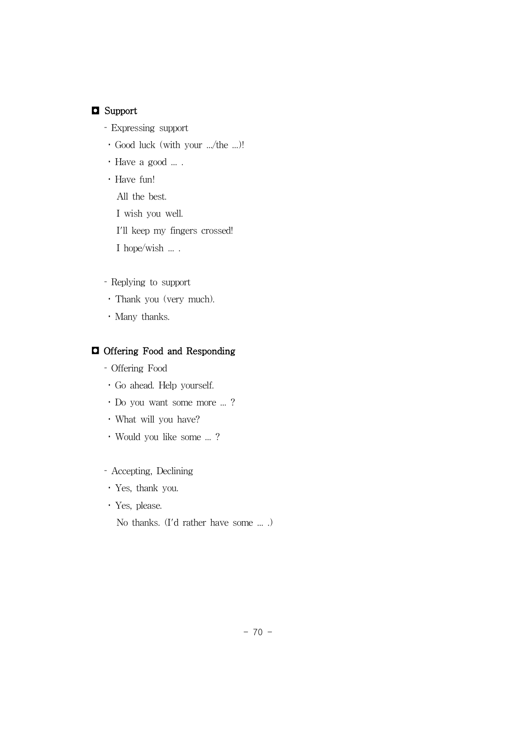## ◘ Support

- Expressing support
- Good luck (with your .../the ...)!
- Have a good ... .
- Have fun!
	- All the best.
	- I wish you well.

I'll keep my fingers crossed!

I hope/wish ... .

- Replying to support
- Thank you (very much).
- Many thanks.

## ◘ Offering Food and Responding

- Offering Food
- Go ahead. Help yourself.
- Do you want some more ... ?
- What will you have?
- Would you like some ... ?
- Accepting, Declining
- Yes, thank you.
- Yes, please.

No thanks. (I'd rather have some ... .)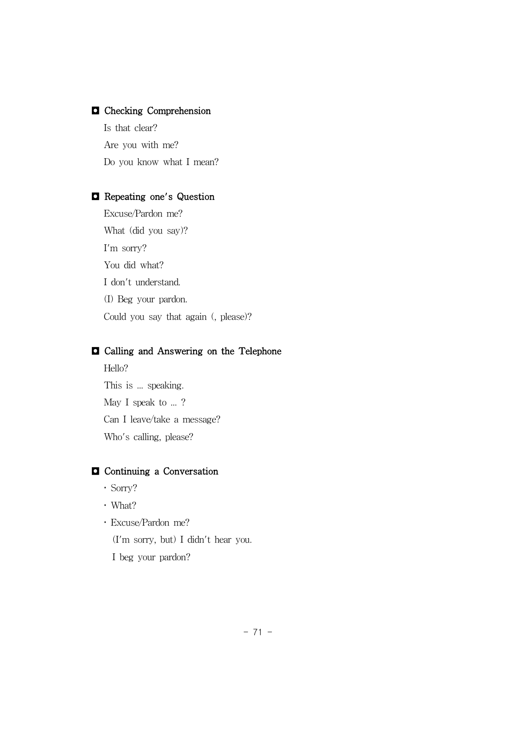## ◘ Checking Comprehension

Is that clear? Are you with me? Do you know what I mean?

## ◘ Repeating one's Question

Excuse/Pardon me? What (did you say)? I'm sorry? You did what? I don't understand. (I) Beg your pardon. Could you say that again (, please)?

#### ◘ Calling and Answering on the Telephone

Hello? This is ... speaking. May I speak to ...? Can I leave/take a message? Who's calling, please?

# ◘ Continuing a Conversation

- Sorry?
- What?
- Excuse/Pardon me?

(I'm sorry, but) I didn't hear you.

I beg your pardon?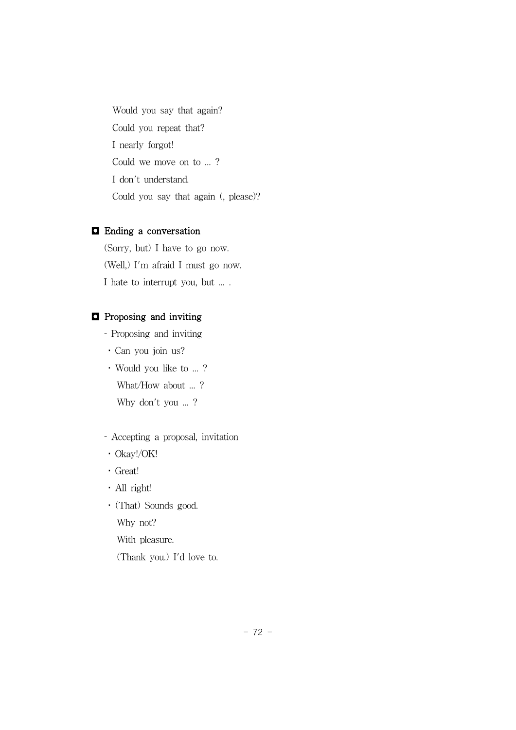Would you say that again? Could you repeat that? I nearly forgot! Could we move on to ... ? I don't understand. Could you say that again (, please)?

#### ◘ Ending a conversation

(Sorry, but) I have to go now. (Well,) I'm afraid I must go now. I hate to interrupt you, but ... .

## ◘ Proposing and inviting

Proposing and inviting

- Can you join us?
- Would you like to ... ? What/How about ... ? Why don't you ...?

## Accepting a proposal, invitation

- Okay!/OK!
- Great!
- All right!
- (That) Sounds good.

Why not?

With pleasure.

(Thank you.) I'd love to.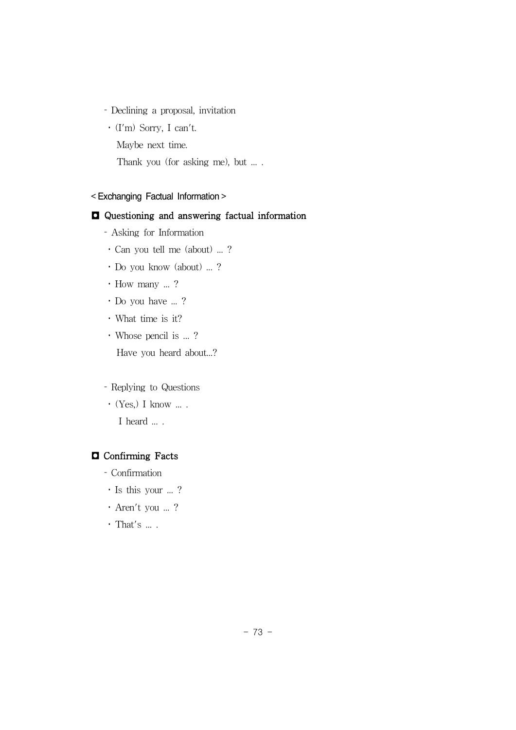- Declining a proposal, invitation
- (I'm) Sorry, I can't.
	- Maybe next time.
	- Thank you (for asking me), but ... .

#### < Exchanging Factual Information >

#### ◘ Questioning and answering factual information

- Asking for Information
- Can you tell me (about) ... ?
- Do you know (about) ... ?
- How many ... ?
- Do you have ... ?
- What time is it?
- Whose pencil is ... ?

Have you heard about...?

#### Replying to Questions

 $\cdot$  (Yes,) I know  $\ldots$ . I heard ....

#### ◘ Confirming Facts

- Confirmation
- Is this your ... ?
- Aren't you ... ?
- $\cdot$  That's  $\ldots$  .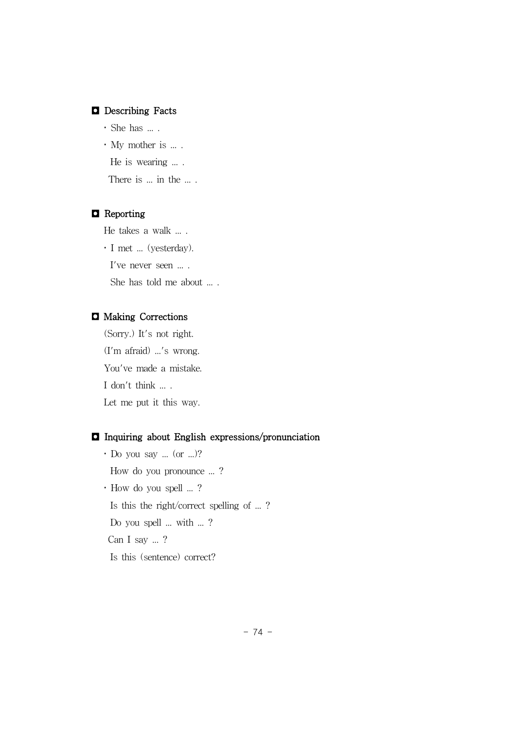## ◘ Describing Facts

- She has ... .
- My mother is ... .

He is wearing ... .

There is ... in the ....

## ◘ Reporting

He takes a walk ... .

I met ... (yesterday).

I've never seen ... .

She has told me about ... .

## ◘ Making Corrections

(Sorry.) It's not right. (I'm afraid) ...'s wrong. You've made a mistake. I don't think ... . Let me put it this way.

## ◘ Inquiring about English expressions/pronunciation

 Do you say ... (or ...)? How do you pronounce ... ? How do you spell ... ? Is this the right/correct spelling of ... ? Do you spell ... with ... ? Can I say ... ? Is this (sentence) correct?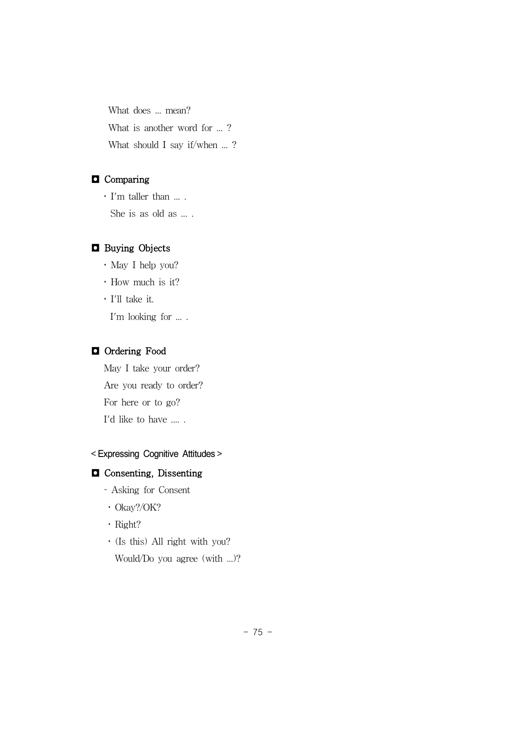What does ... mean? What is another word for ...? What should I say if/when ...?

# ◘ Comparing

 I'm taller than ... . She is as old as ... .

## ◘ Buying Objects

May I help you?

How much is it?

 I'll take it. I'm looking for ... .

## ◘ Ordering Food

May I take your order? Are you ready to order? For here or to go? I'd like to have .... .

#### < Expressing Cognitive Attitudes >

# ◘ Consenting, Dissenting

- Asking for Consent
- Okay?/OK?
- · Right?
- (Is this) All right with you?

Would/Do you agree (with ...)?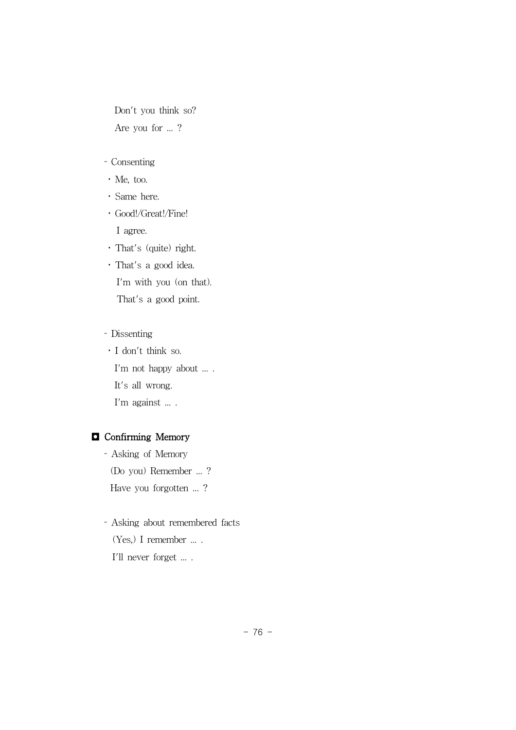Don't you think so? Are you for ... ?

# Consenting

- Me, too.
- Same here.
- Good!/Great!/Fine!

I agree. That's (quite) right.

 That's a good idea. I'm with you (on that).

That's a good point.

#### Dissenting

 I don't think so. I'm not happy about ... . It's all wrong. I'm against ... .

# ◘ Confirming Memory

 Asking of Memory (Do you) Remember ... ? Have you forgotten ...?

 Asking about remembered facts  $(Yes, I$  remember  $\ldots$ . I'll never forget ... .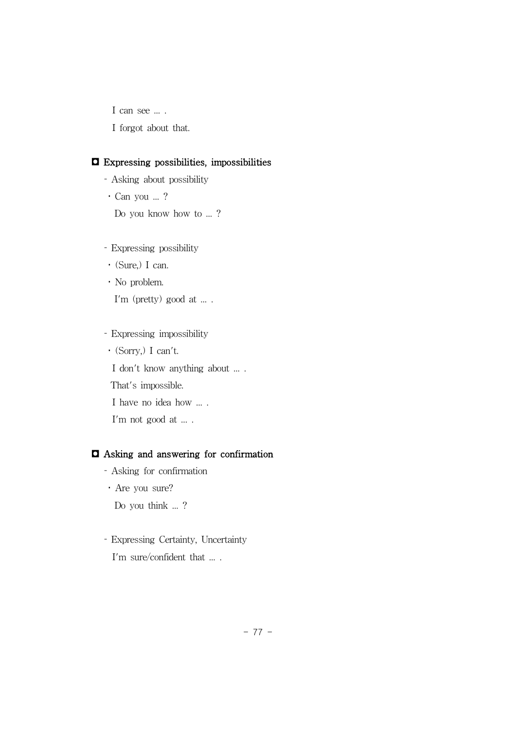I can see ... .

I forgot about that.

#### ◘ Expressing possibilities, impossibilities

- Asking about possibility
- Can you ... ?

Do you know how to ... ?

- Expressing possibility
- (Sure,) I can.
- No problem.

I'm (pretty) good at ... .

Expressing impossibility

(Sorry,) I can't.

I don't know anything about ... .

That's impossible.

I have no idea how ... .

I'm not good at ... .

#### ◘ Asking and answering for confirmation

- Asking for confirmation
- Are you sure?

Do you think ... ?

# Expressing Certainty, Uncertainty I'm sure/confident that ... .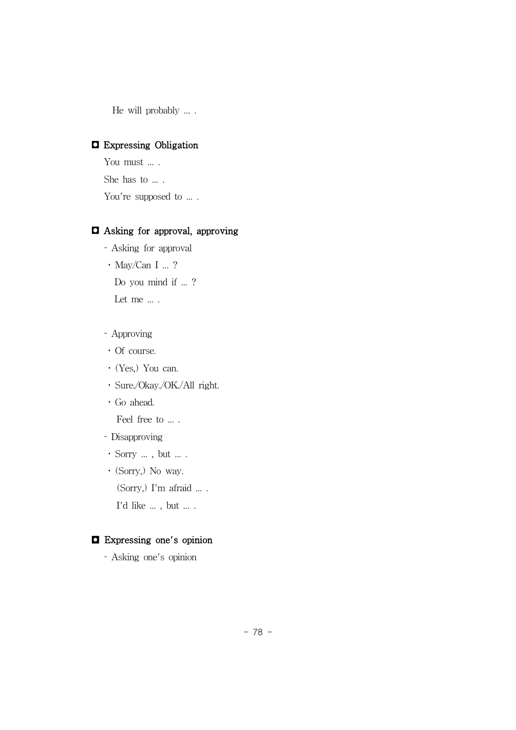He will probably ... .

## ◘ Expressing Obligation

You must ... . She has to ... . You're supposed to ... .

#### ◘ Asking for approval, approving

- Asking for approval
- May/Can I ... ?

Do you mind if ...?

Let me ... .

- Approving
- Of course.
- (Yes,) You can.
- Sure./Okay./OK./All right.
- Go ahead.

Feel free to ... .

- Disapproving
- Sorry ... , but ... .
- (Sorry,) No way.

(Sorry,) I'm afraid ... .

 $\mathbf{I}'\mathbf{d}$  like  $\ldots$  , but  $\ldots$  .

## ◘ Expressing one's opinion

Asking one's opinion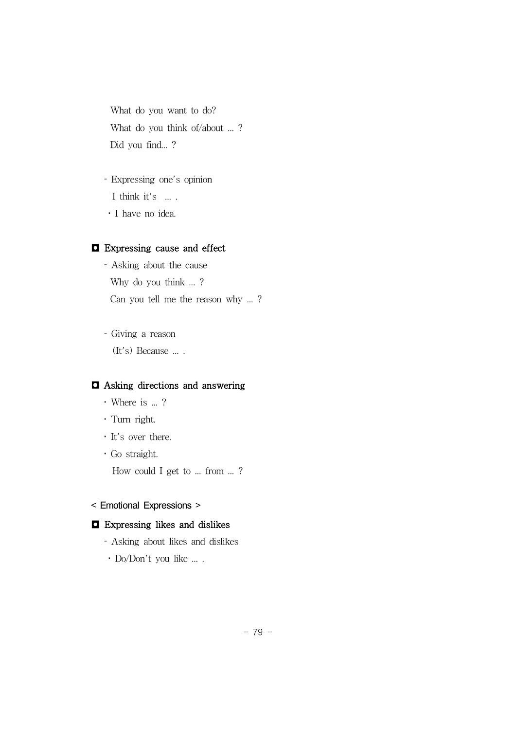What do you want to do? What do you think of/about ... ? Did you find... ?

 Expressing one's opinion I think it's  $\ldots$ . I have no idea.

### ◘ Expressing cause and effect

- Asking about the cause Why do you think ... ? Can you tell me the reason why ... ?
- Giving a reason (It's) Because ... .

## ◘ Asking directions and answering

- Where is ... ?
- Turn right.
- It's over there.
- Go straight.

How could I get to ... from ... ?

#### < Emotional Expressions >

#### ◘ Expressing likes and dislikes

- Asking about likes and dislikes
- Do/Don't you like ... .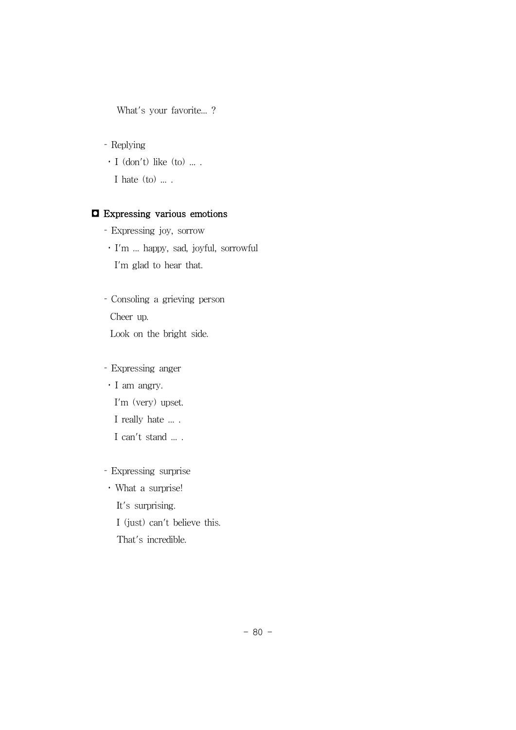What's your favorite...?

Replying

 $\cdot$  I (don't) like (to) ....

I hate  $(to)$  ....

## ◘ Expressing various emotions

- Expressing joy, sorrow
- I'm ... happy, sad, joyful, sorrowful I'm glad to hear that.

 Consoling a grieving person Cheer up. Look on the bright side.

Expressing anger

 I am angry. I'm (very) upset.

I really hate ... .

I can't stand ... .

Expressing surprise

What a surprise!

It's surprising.

I (just) can't believe this.

That's incredible.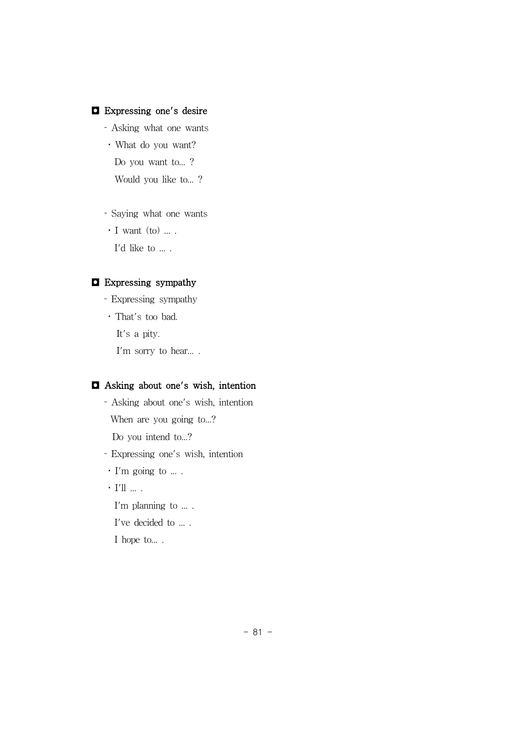## ◘ Expressing one's desire

- Asking what one wants
- What do you want?
	- Do you want to...?

Would you like to... ?

- Saying what one wants
- **·** I want (to) ... .

I'd like to  $\ldots$  .

## ◘ Expressing sympathy

- Expressing sympathy That's too bad.
	- It's a pity.

I'm sorry to hear....

#### ◘ Asking about one's wish, intention

 Asking about one's wish, intention When are you going to...? Do you intend to...?

Expressing one's wish, intention

- I'm going to ... .
- $\cdot$  I'll  $\ldots$  .

I'm planning to ... .

- I've decided to ... .
- I hope to... .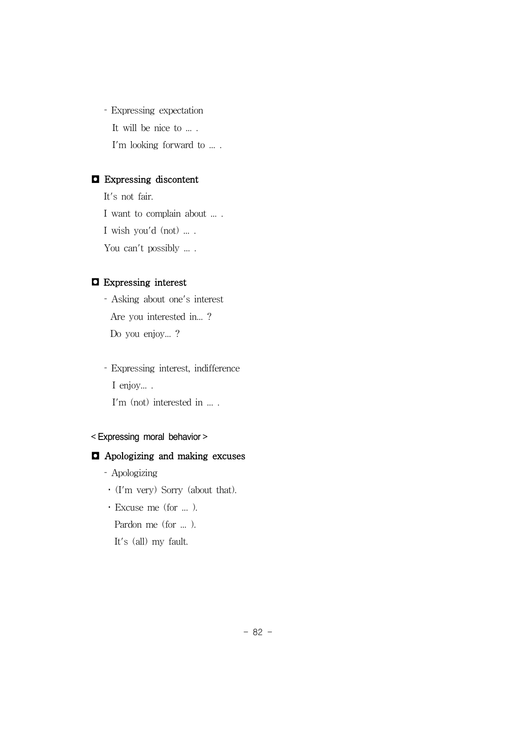Expressing expectation It will be nice to ... . I'm looking forward to ... .

# ◘ Expressing discontent

It's not fair. I want to complain about ... . I wish you'd (not) ... . You can't possibly ... .

# ◘ Expressing interest

 Asking about one's interest Are you interested in... ? Do you enjoy... ?

 Expressing interest, indifference I enjoy... . I'm (not) interested in ... .

## < Expressing moral behavior >

#### ◘ Apologizing and making excuses

- Apologizing
- (I'm very) Sorry (about that).
- Excuse me (for ... ).

Pardon me (for ... ).

It's (all) my fault.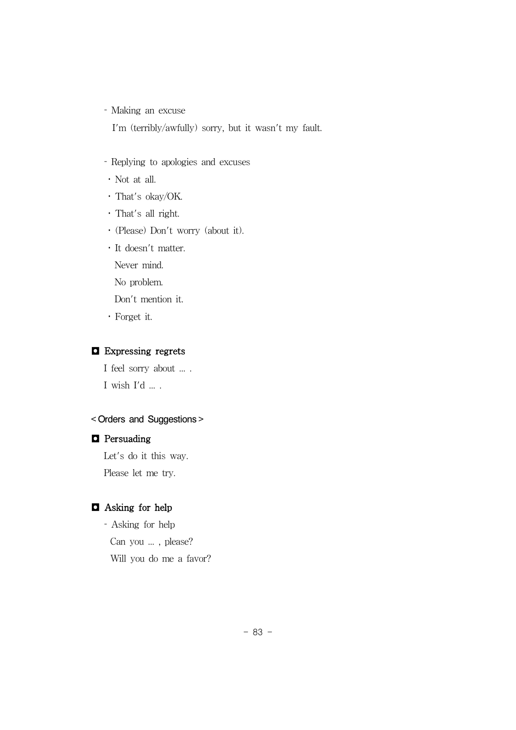Making an excuse

I'm (terribly/awfully) sorry, but it wasn't my fault.

- Replying to apologies and excuses
- Not at all.
- That's okay/OK.
- That's all right.
- (Please) Don't worry (about it).
- It doesn't matter.

Never mind.

No problem.

Don't mention it.

Forget it.

#### ◘ Expressing regrets

I feel sorry about ... .  $I$  wish  $I'd$   $\ldots$  .

## < Orders and Suggestions >

## ◘ Persuading

Let's do it this way. Please let me try.

# ◘ Asking for help

 Asking for help Can you ... , please? Will you do me a favor?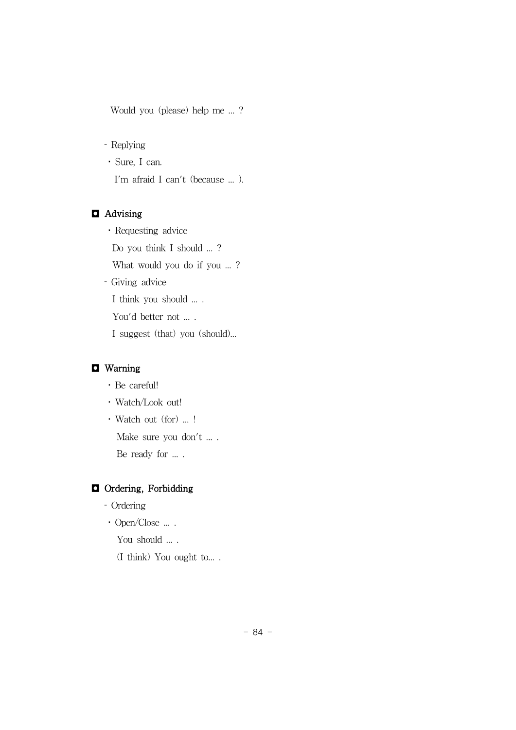Would you (please) help me ... ?

Replying

 Sure, I can. I'm afraid I can't (because ... ).

## ◘ Advising

 Requesting advice Do you think I should ... ? What would you do if you ...? Giving advice I think you should ... . You'd better not ... . I suggest (that) you (should)...

## ◘ Warning

- Be careful!
- Watch/Look out!
- Watch out (for) ... !

Make sure you don't ... .

Be ready for ....

# ◘ Ordering, Forbidding

- Ordering
- Open/Close ... .

You should ....

(I think) You ought to... .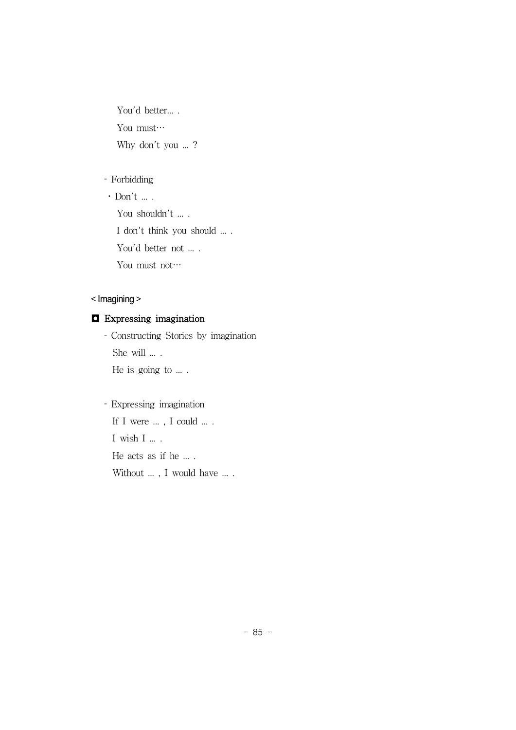You'd better.... You must… Why don't you ...?

#### Forbidding

 $\cdot$  Don't ... . You shouldn't ... . I don't think you should ... . You'd better not ... . You must not…

## < Imagining >

# ◘ Expressing imagination

 Constructing Stories by imagination She will ... . He is going to ... .

 Expressing imagination If I were ..., I could ... . I wish I ... .

He acts as if he ... .

Without  $\ldots$  , I would have  $\ldots$  .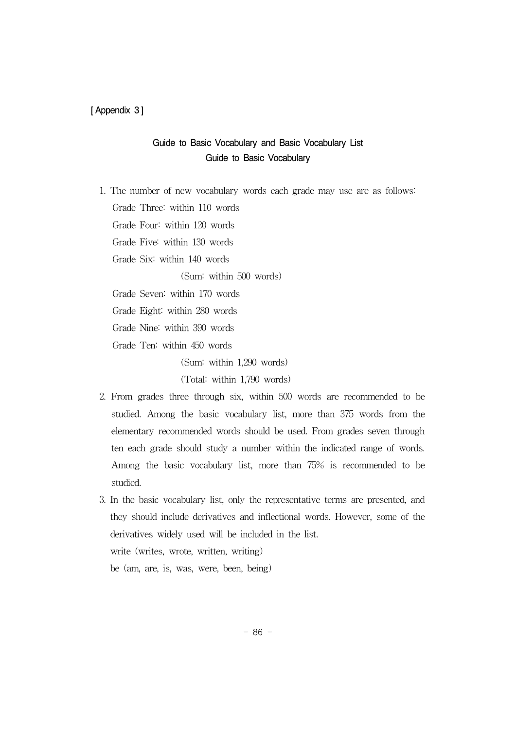[ Appendix 3]

# Guide to Basic Vocabulary and Basic Vocabulary List Guide to Basic Vocabulary

1. The number of new vocabulary words each grade may use are as follows: Grade Three: within 110 words

Grade Four: within 120 words

Grade Five: within 130 words

Grade Six: within 140 words

(Sum: within 500 words)

Grade Seven: within 170 words

Grade Eight: within 280 words

Grade Nine: within 390 words

Grade Ten: within 450 words

(Sum: within 1,290 words)

(Total: within 1,790 words)

- 2. From grades three through six, within 500 words are recommended to be studied. Among the basic vocabulary list, more than 375 words from the elementary recommended words should be used. From grades seven through ten each grade should study a number within the indicated range of words. Among the basic vocabulary list, more than 75% is recommended to be studied.
- 3. In the basic vocabulary list, only the representative terms are presented, and they should include derivatives and inflectional words. However, some of the derivatives widely used will be included in the list. write (writes, wrote, written, writing) be (am, are, is, was, were, been, being)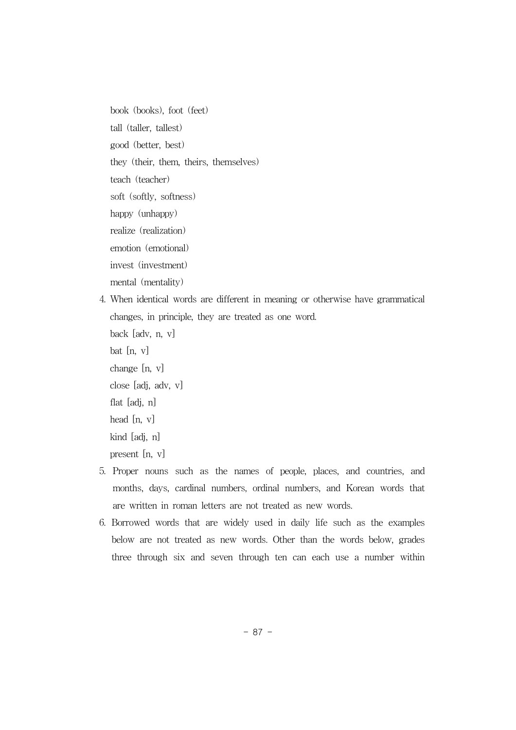book (books), foot (feet) tall (taller, tallest) good (better, best) they (their, them, theirs, themselves) teach (teacher) soft (softly, softness) happy (unhappy) realize (realization) emotion (emotional) invest (investment) mental (mentality)

- 4. When identical words are different in meaning or otherwise have grammatical changes, in principle, they are treated as one word. back [adv, n, v] bat [n, v] change [n, v] close [adj, adv, v] flat [adj, n] head [n, v] kind [adj, n] present [n, v]
- 5. Proper nouns such as the names of people, places, and countries, and months, days, cardinal numbers, ordinal numbers, and Korean words that are written in roman letters are not treated as new words.
- 6. Borrowed words that are widely used in daily life such as the examples below are not treated as new words. Other than the words below, grades three through six and seven through ten can each use a number within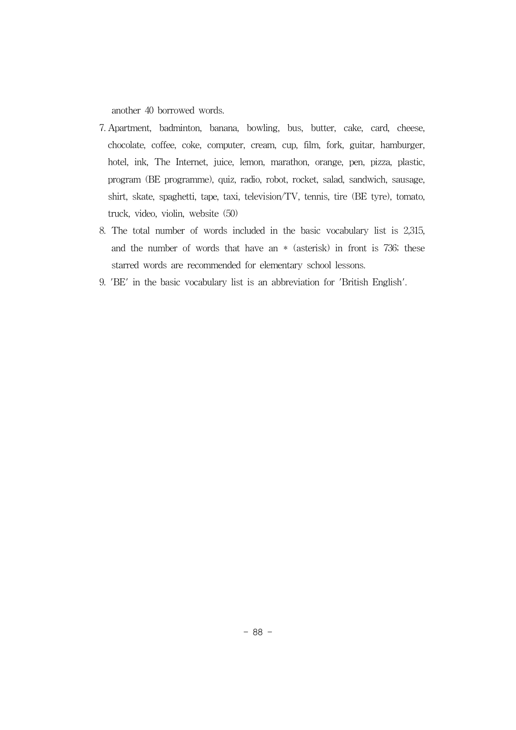another 40 borrowed words.

- 7. Apartment, badminton, banana, bowling, bus, butter, cake, card, cheese, chocolate, coffee, coke, computer, cream, cup, film, fork, guitar, hamburger, hotel, ink, The Internet, juice, lemon, marathon, orange, pen, pizza, plastic, program (BE programme), quiz, radio, robot, rocket, salad, sandwich, sausage, shirt, skate, spaghetti, tape, taxi, television/TV, tennis, tire (BE tyre), tomato, truck, video, violin, website (50)
- 8. The total number of words included in the basic vocabulary list is 2,315, and the number of words that have an \* (asterisk) in front is 736; these starred words are recommended for elementary school lessons.
- 9. 'BE' in the basic vocabulary list is an abbreviation for 'British English'.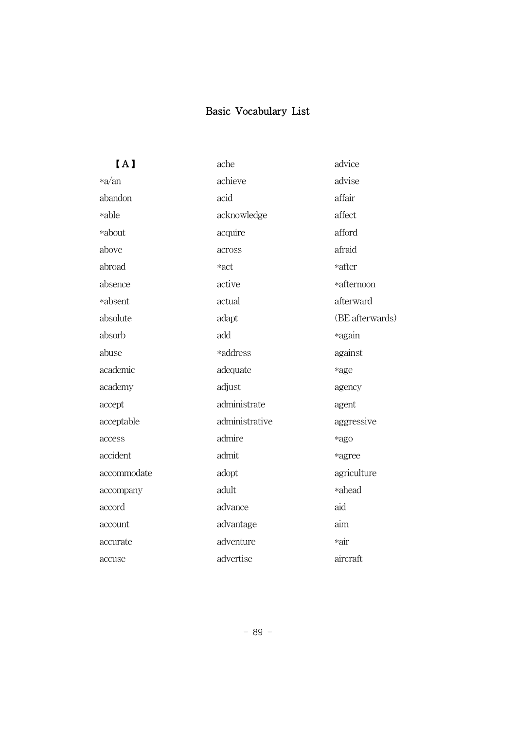# Basic Vocabulary List

 $\mathbf{I}$  A

| [A]         | ache           | advice          |
|-------------|----------------|-----------------|
| $*a$ /an    | achieve        | advise          |
| abandon     | acid           | affair          |
| *able       | acknowledge    | affect          |
| *about      | acquire        | afford          |
| above       | across         | afraid          |
| abroad      | *act           | *after          |
| absence     | active         | *afternoon      |
| *absent     | actual         | afterward       |
| absolute    | adapt          | (BE afterwards) |
| absorb      | add            | *again          |
| abuse       | *address       | against         |
| academic    | adequate       | *age            |
| academy     | adjust         | agency          |
| accept      | administrate   | agent           |
| acceptable  | administrative | aggressive      |
| access      | admire         | *ago            |
| accident    | admit          | *agree          |
| accommodate | adopt          | agriculture     |
| accompany   | adult          | *ahead          |
| accord      | advance        | aid             |
| account     | advantage      | aim             |
| accurate    | adventure      | *air            |
| accuse      | advertise      | aircraft        |
|             |                |                 |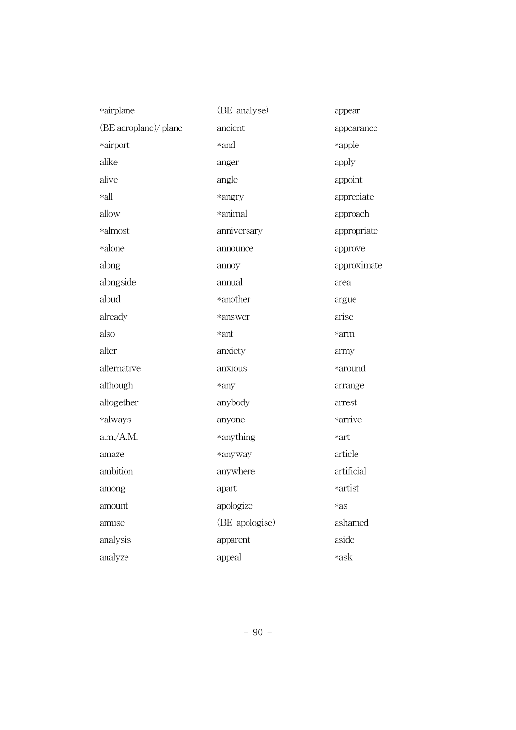| *airplane             | (BE analyse)   | appear      |
|-----------------------|----------------|-------------|
| (BE aeroplane)/ plane | ancient        | appearance  |
| *airport              | *and           | *apple      |
| alike                 | anger          | apply       |
| alive                 | angle          | appoint     |
| *all                  | *angry         | appreciate  |
| allow                 | *animal        | approach    |
| *almost               | anniversary    | appropriate |
| *alone                | announce       | approve     |
| along                 | annoy          | approximate |
| alongside             | annual         | area        |
| aloud                 | *another       | argue       |
| already               | *answer        | arise       |
| also                  | *ant           | *arm        |
| alter                 | anxiety        | army        |
| alternative           | anxious        | *around     |
| although              | *any           | arrange     |
| altogether            | anybody        | arrest      |
| *always               | anyone         | *arrive     |
| a.m./A.M.             | *anything      | *art        |
| amaze                 | *anyway        | article     |
| ambition              | anywhere       | artificial  |
| among                 | apart          | *artist     |
| amount                | apologize      | *as         |
| amuse                 | (BE apologise) | ashamed     |
| analysis              | apparent       | aside       |
| analyze               | appeal         | *ask        |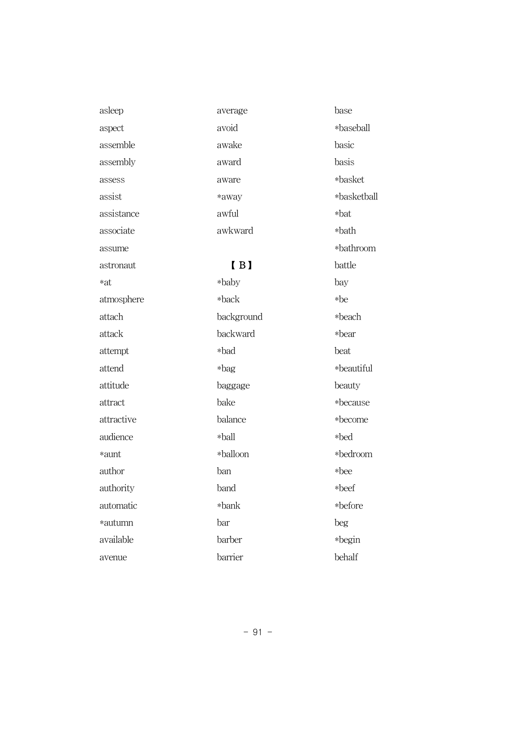asleep aspect assemble assembly assess assist assistance associate assume astronaut \*at atmosphere attach attack attempt attend attitude attract attractive audience \*aunt author authority automatic \*autumn available avenue

average avoid awake award aware \*away awful awkward

# $[B]$

\*baby \*back background backward \*bad \*bag baggage bake balance \*ball \*balloon ban band \*bank bar barber barrier

base \*baseball basic basis \*basket \*basketball \*bat \*bath \*bathroom battle bay \*be \*beach \*bear beat \*beautiful beauty \*because \*become \*bed \*bedroom \*bee \*beef \*before beg \*begin behalf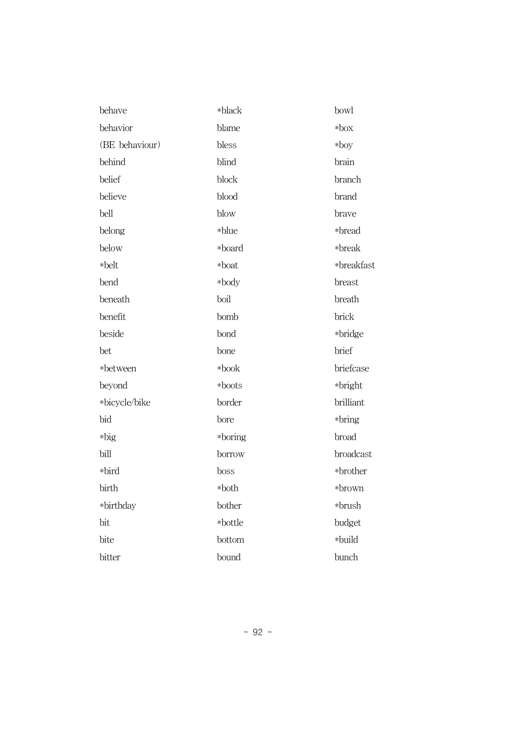| behave         | *black  | bowl       |
|----------------|---------|------------|
| behavior       | blame   | $*$ box    |
| (BE behaviour) | bless   | $*$ boy    |
| behind         | blind   | brain      |
| belief         | block   | branch     |
| believe        | blood   | brand      |
| bell           | blow    | brave      |
| belong         | *blue   | *bread     |
| below          | *board  | *break     |
| *belt          | *boat   | *breakfast |
| bend           | *body   | breast     |
| beneath        | boil    | breath     |
| benefit        | bomb    | brick      |
| beside         | bond    | *bridge    |
| bet            | bone    | brief      |
| *between       | *book   | briefcase  |
| beyond         | *boots  | *bright    |
| *bicycle/bike  | border  | brilliant  |
| bid            | bore    | *bring     |
| *big           | *boring | broad      |
| bill           | borrow  | broadcast  |
| *bird          | boss    | *brother   |
| birth          | *both   | *brown     |
| *birthday      | bother  | *brush     |
| bit            | *bottle | budget     |
| bite           | bottom  | *build     |
| bitter         | bound   | bunch      |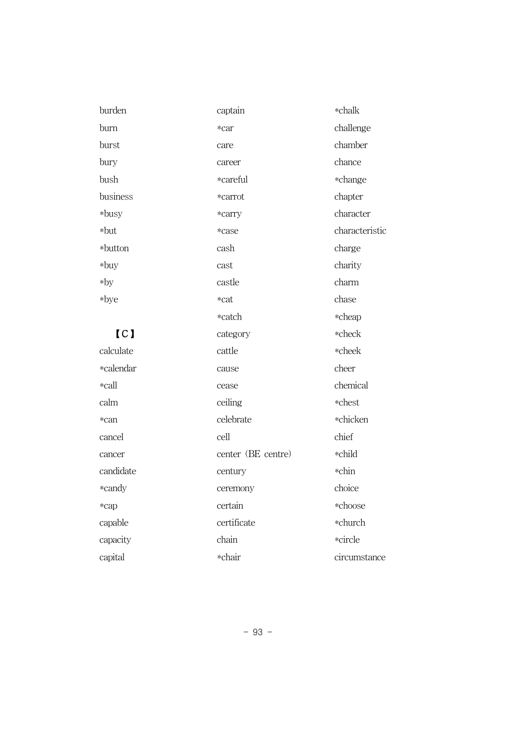| burden    | captain            | *chalk         |
|-----------|--------------------|----------------|
| burn      | *car               | challenge      |
| burst     | care               | chamber        |
| bury      | career             | chance         |
| bush      | *careful           | *change        |
| business  | *carrot            | chapter        |
| $*$ busy  | *carry             | character      |
| *but      | *case              | characteristic |
| *button   | cash               | charge         |
| $*$ buy   | cast               | charity        |
| $*$ by    | castle             | charm          |
| *bye      | *cat               | chase          |
|           | *catch             | *cheap         |
| [CI]      | category           | *check         |
| calculate | cattle             | *cheek         |
| *calendar | cause              | cheer          |
| *call     | cease              | chemical       |
| calm      | ceiling            | *chest         |
| *can      | celebrate          | *chicken       |
| cancel    | cell               | chief          |
| cancer    | center (BE centre) | *child         |
| candidate | century            | *chin          |
| *candy    | ceremony           | choice         |
| *cap      | certain            | *choose        |
| capable   | certificate        | *church        |
| capacity  | chain              | *circle        |
| capital   | *chair             | circumstance   |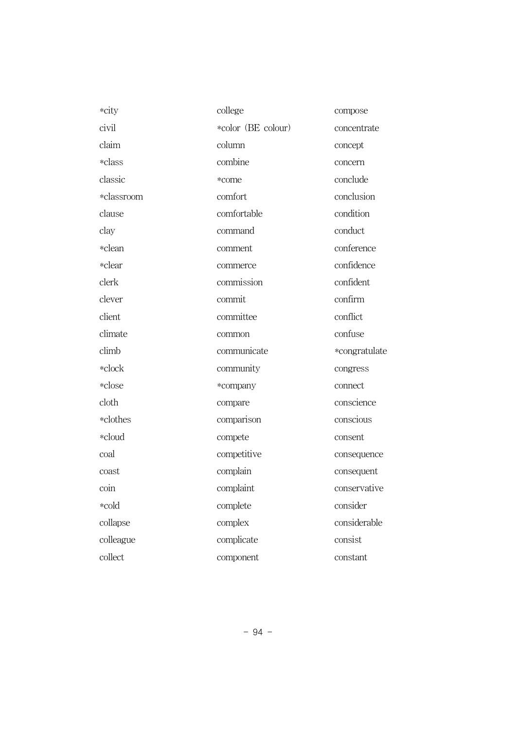| *city      | college            | compose       |
|------------|--------------------|---------------|
| civil      | *color (BE colour) | concentrate   |
| claim      | column             | concept       |
| *class     | combine            | concern       |
| classic    | *come              | conclude      |
| *classroom | comfort            | conclusion    |
| clause     | comfortable        | condition     |
| clay       | command            | conduct       |
| *clean     | comment            | conference    |
| *clear     | commerce           | confidence    |
| clerk      | commission         | confident     |
| clever     | commit             | confirm       |
| client     | committee          | conflict      |
| climate    | common             | confuse       |
| climb      | communicate        | *congratulate |
| *clock     | community          | congress      |
| *close     | *company           | connect       |
| cloth      | compare            | conscience    |
| *clothes   | comparison         | conscious     |
| *cloud     | compete            | consent       |
| coal       | competitive        | consequence   |
| coast      | complain           | consequent    |
| coin       | complaint          | conservative  |
| *cold      | complete           | consider      |
| collapse   | complex            | considerable  |
| colleague  | complicate         | consist       |
| collect    | component          | constant      |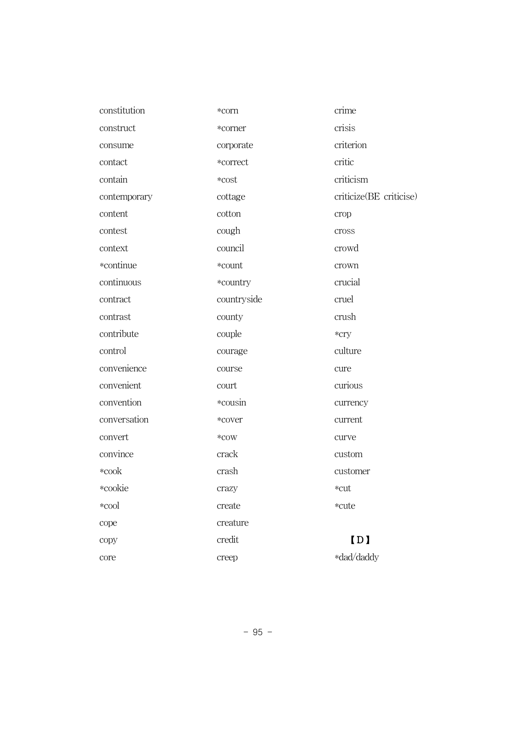| constitution | *corn       | crime                   |
|--------------|-------------|-------------------------|
| construct    | *corner     | crisis                  |
| consume      | corporate   | criterion               |
| contact      | *correct    | critic                  |
| contain      | *cost       | criticism               |
| contemporary | cottage     | criticize(BE criticise) |
| content      | cotton      | crop                    |
| contest      | cough       | cross                   |
| context      | council     | crowd                   |
| *continue    | *count      | crown                   |
| continuous   | *country    | crucial                 |
| contract     | countryside | cruel                   |
| contrast     | county      | crush                   |
| contribute   | couple      | *cry                    |
| control      | courage     | culture                 |
| convenience  | course      | cure                    |
| convenient   | court       | curious                 |
| convention   | *cousin     | currency                |
| conversation | *cover      | current                 |
| convert      | *cow        | curve                   |
| convince     | crack       | custom                  |
| *cook        | crash       | customer                |
| *cookie      | crazy       | *cut                    |
| *cool        | create      | *cute                   |
| cope         | creature    |                         |
| copy         | credit      | [D]                     |
| core         | creep       | *dad/daddy              |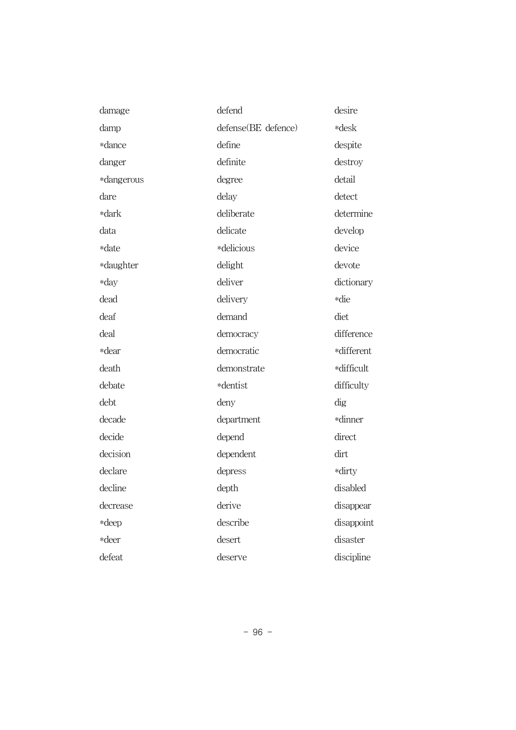| damage     | defend              | desire     |
|------------|---------------------|------------|
| damp       | defense(BE defence) | *desk      |
| *dance     | define              | despite    |
| danger     | definite            | destroy    |
| *dangerous | degree              | detail     |
| dare       | delay               | detect     |
| *dark      | deliberate          | determine  |
| data       | delicate            | develop    |
| *date      | *delicious          | device     |
| *daughter  | delight             | devote     |
| *day       | deliver             | dictionary |
| dead       | delivery            | *die       |
| deaf       | demand              | diet       |
| deal       | democracy           | difference |
| *dear      | democratic          | *different |
| death      | demonstrate         | *difficult |
| debate     | *dentist            | difficulty |
| debt       | deny                | dig        |
| decade     | department          | *dinner    |
| decide     | depend              | direct     |
| decision   | dependent           | dirt       |
| declare    | depress             | *dirty     |
| decline    | depth               | disabled   |
| decrease   | derive              | disappear  |
| *deep      | describe            | disappoint |
| *deer      | desert              | disaster   |
| defeat     | deserve             | discipline |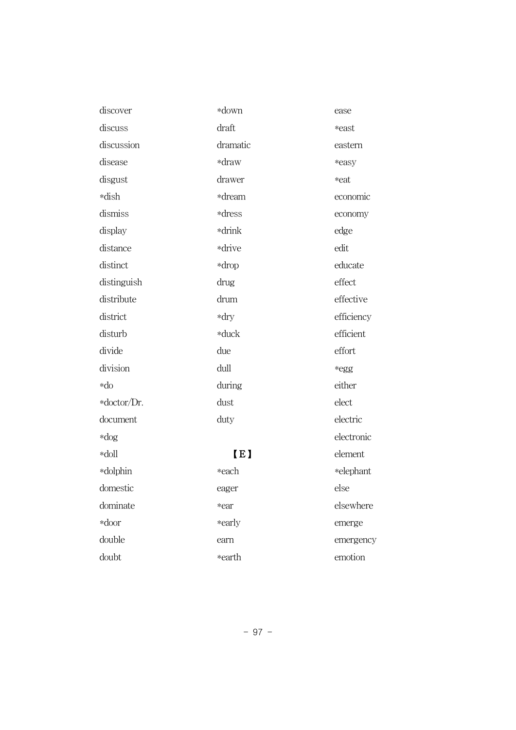| discover    | *down    | ease       |
|-------------|----------|------------|
| discuss     | draft    | *east      |
| discussion  | dramatic | eastern    |
| disease     | *draw    | *easy      |
| disgust     | drawer   | *eat       |
| *dish       | *dream   | economic   |
| dismiss     | *dress   | economy    |
| display     | *drink   | edge       |
| distance    | *drive   | edit       |
| distinct    | *drop    | educate    |
| distinguish | drug     | effect     |
| distribute  | drum     | effective  |
| district    | *dry     | efficiency |
| disturb     | *duck    | efficient  |
| divide      | due      | effort     |
| division    | dull     | *egg       |
| $*do$       | during   | either     |
| *doctor/Dr. | dust     | elect      |
| document    | duty     | electric   |
| $*$ dog     |          | electronic |
| *doll       | [E]      | element    |
| *dolphin    | *each    | *elephant  |
| domestic    | eager    | else       |
| dominate    | *ear     | elsewhere  |
| *door       | *early   | emerge     |
| double      | earn     | emergency  |
| doubt       | *earth   | emotion    |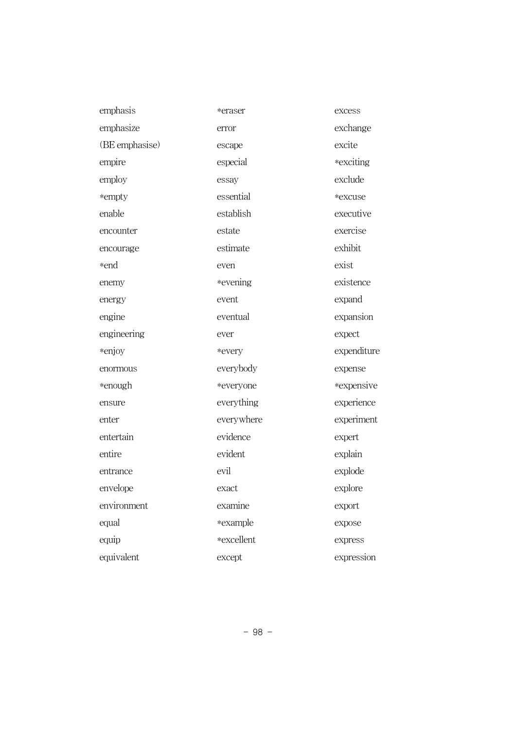| emphasis       | *eraser    | excess      |
|----------------|------------|-------------|
| emphasize      | error      | exchange    |
| (BE emphasise) | escape     | excite      |
| empire         | especial   | *exciting   |
| employ         | essay      | exclude     |
| *empty         | essential  | *excuse     |
| enable         | establish  | executive   |
| encounter      | estate     | exercise    |
| encourage      | estimate   | exhibit     |
| *end           | even       | exist       |
| enemy          | *evening   | existence   |
| energy         | event      | expand      |
| engine         | eventual   | expansion   |
| engineering    | ever       | expect      |
| *enjoy         | *every     | expenditure |
| enormous       | everybody  | expense     |
| *enough        | *everyone  | *expensive  |
| ensure         | everything | experience  |
| enter          | everywhere | experiment  |
| entertain      | evidence   | expert      |
| entire         | evident    | explain     |
| entrance       | evil       | explode     |
| envelope       | exact      | explore     |
| environment    | examine    | export      |
| equal          | *example   | expose      |
| equip          | *excellent | express     |
| equivalent     | except     | expression  |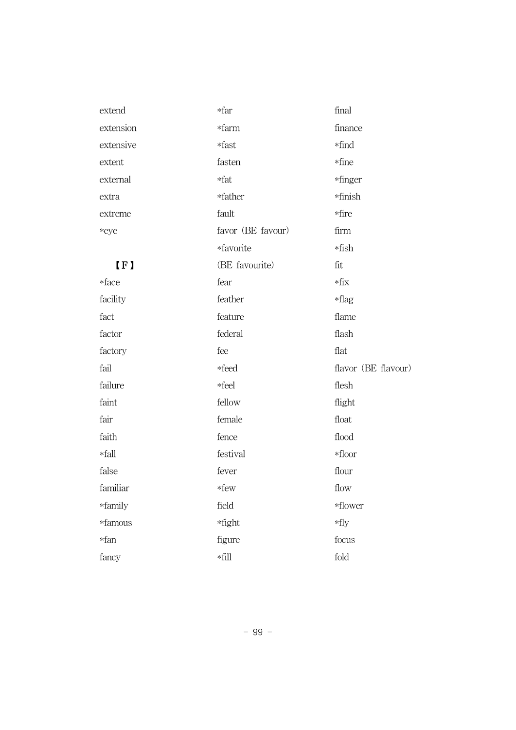| extend    | *far              | final               |
|-----------|-------------------|---------------------|
| extension | *farm             | finance             |
| extensive | *fast             | *find               |
| extent    | fasten            | *fine               |
| external  | $*fat$            | *finger             |
| extra     | *father           | *finish             |
| extreme   | fault             | *fire               |
| *eye      | favor (BE favour) | firm                |
|           | *favorite         | $*fish$             |
| [F]       | (BE favourite)    | fit                 |
| *face     | fear              | $*fix$              |
| facility  | feather           | $*flag$             |
| fact      | feature           | flame               |
| factor    | federal           | flash               |
| factory   | fee               | flat                |
| fail      | *feed             | flavor (BE flavour) |
| failure   | *feel             | flesh               |
| faint     | fellow            | flight              |
| fair      | female            | float               |
| faith     | fence             | flood               |
| *fall     | festival          | $\ast {\rm floor}$  |
| false     | fever             | flour               |
| familiar  | *few              | flow                |
| *family   | field             | *flower             |
| *famous   | *fight            | $*$ fly             |
| *fan      | figure            | focus               |
| fancy     | $\ast\text{fill}$ | fold                |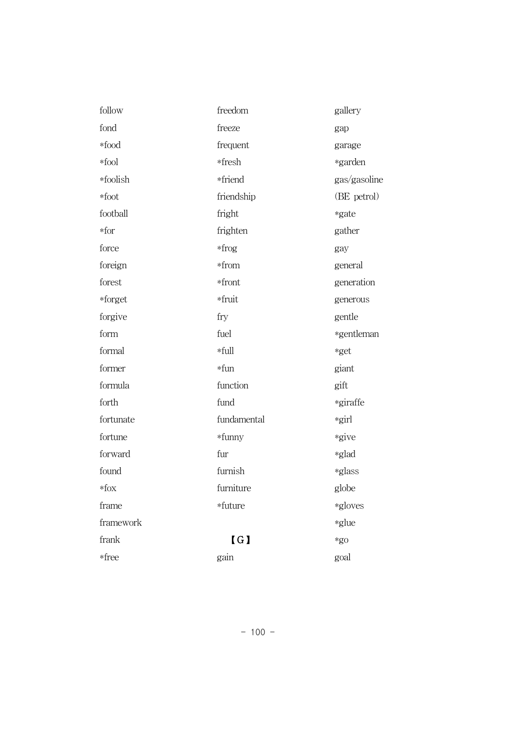| follow    | freedom     | gallery      |
|-----------|-------------|--------------|
| fond      | freeze      | gap          |
| *food     | frequent    | garage       |
| *fool     | *fresh      | *garden      |
| *foolish  | *friend     | gas/gasoline |
| $*foot$   | friendship  | (BE petrol)  |
| football  | fright      | *gate        |
| $*$ for   | frighten    | gather       |
| force     | $*$ frog    | gay          |
| foreign   | *from       | general      |
| forest    | *front      | generation   |
| *forget   | *fruit      | generous     |
| forgive   | fry         | gentle       |
| form      | fuel        | *gentleman   |
| formal    | *full       | *get         |
| former    | *fun        | giant        |
| formula   | function    | gift         |
| forth     | fund        | *giraffe     |
| fortunate | fundamental | *girl        |
| fortune   | *funny      | *give        |
| forward   | fur         | *glad        |
| found     | furnish     | *glass       |
| $*$ fox   | furniture   | globe        |
| frame     | *future     | *gloves      |
| framework |             | *glue        |
| frank     | [G]         | $*$ go       |
| *free     | gain        | goal         |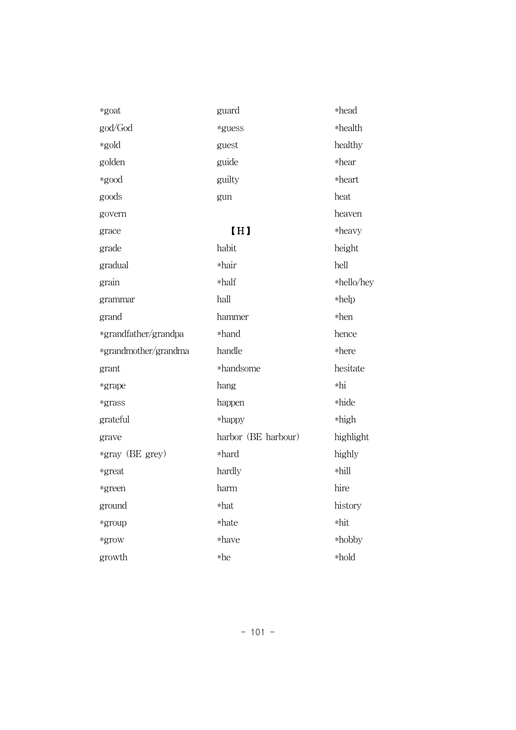| *goat                | guard               | *head      |
|----------------------|---------------------|------------|
| god/God              | *guess              | *health    |
| *gold                | guest               | healthy    |
| golden               | guide               | *hear      |
| *good                | guilty              | *heart     |
| goods                | gun                 | heat       |
| govern               |                     | heaven     |
| grace                | [H]                 | *heavy     |
| grade                | habit               | height     |
| gradual              | *hair               | hell       |
| grain                | *half               | *hello/hey |
| grammar              | hall                | $*$ help   |
| grand                | hammer              | $*hen$     |
| *grandfather/grandpa | *hand               | hence      |
| *grandmother/grandma | handle              | *here      |
| grant                | *handsome           | hesitate   |
| *grape               | hang                | $*$ hi     |
| *grass               | happen              | *hide      |
| grateful             | *happy              | *high      |
| grave                | harbor (BE harbour) | highlight  |
| *gray (BE grey)      | *hard               | highly     |
| *great               | hardly              | *hill      |
| *green               | harm                | hire       |
| ground               | *hat                | history    |
| *group               | *hate               | *hit       |
| *grow                | *have               | *hobby     |
| growth               | *he                 | *hold      |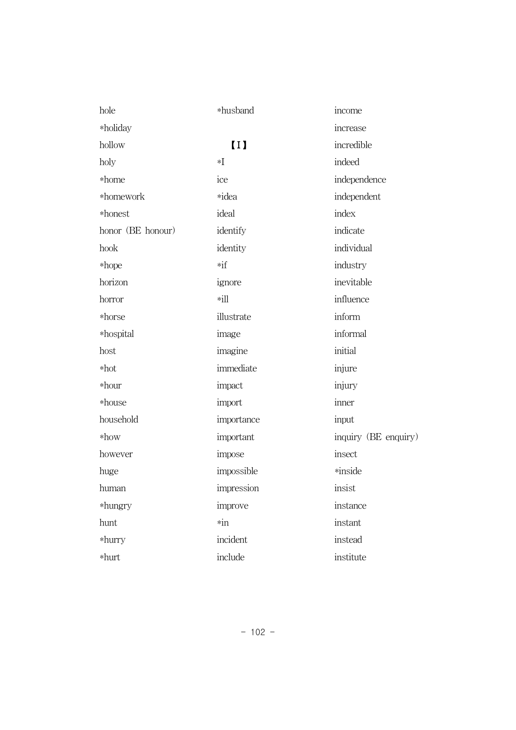| hole              | *husband       | income               |
|-------------------|----------------|----------------------|
| *holiday          |                | increase             |
| hollow            | $\overline{1}$ | incredible           |
| holy              | $\ast$ I       | indeed               |
| *home             | ice            | independence         |
| *homework         | *idea          | independent          |
| *honest           | ideal          | index                |
| honor (BE honour) | identify       | indicate             |
| hook              | identity       | individual           |
| *hope             | $*if$          | industry             |
| horizon           | ignore         | inevitable           |
| horror            | $*ill$         | influence            |
| *horse            | illustrate     | inform               |
| *hospital         | image          | informal             |
| host              | imagine        | initial              |
| $*hot$            | immediate      | injure               |
| $*$ hour          | impact         | injury               |
| *house            | import         | inner                |
| household         | importance     | input                |
| $*$ how           | important      | inquiry (BE enquiry) |
| however           | impose         | insect               |
| huge              | impossible     | *inside              |
| human             | impression     | insist               |
| *hungry           | improve        | instance             |
| hunt              | $*in$          | instant              |
| *hurry            | incident       | instead              |
| *hurt             | include        | institute            |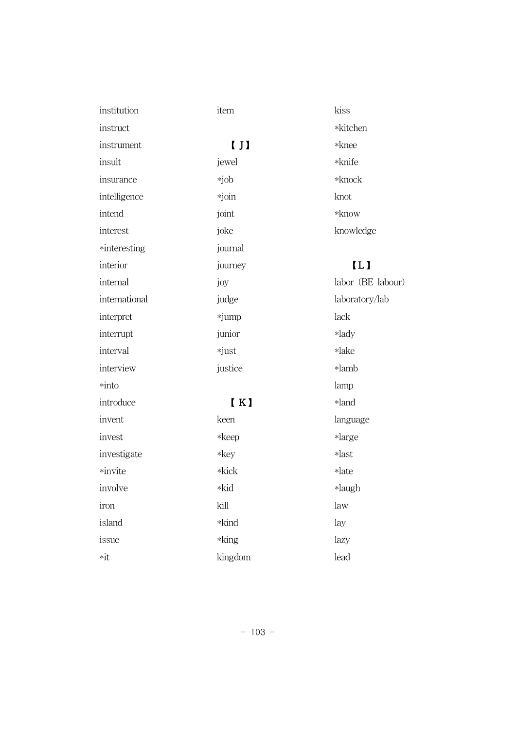| institution        | item                                          | kiss              |
|--------------------|-----------------------------------------------|-------------------|
| instruct           |                                               | *kitchen          |
| instrument         | $\left[\begin{array}{c} 1 \end{array}\right]$ | *knee             |
| insult             | jewel                                         | *knife            |
| insurance          | *job                                          | $*$ knock         |
| intelligence       | *join                                         | knot              |
| intend             | joint                                         | $*$ know          |
| interest           | joke                                          | knowledge         |
| *interesting       | journal                                       |                   |
| interior           | journey                                       | $\overline{L}$    |
| internal           | joy                                           | labor (BE labour) |
| international      | judge                                         | laboratory/lab    |
| interpret          | *jump                                         | lack              |
| interrupt          | junior                                        | *lady             |
| interval           | *just                                         | *lake             |
| interview          | justice                                       | *lamb             |
| *into              |                                               | lamp              |
| introduce          | $\blacksquare$                                | *land             |
| invent             | keen                                          | language          |
| invest             | $*keep$                                       | *large            |
| investigate        | $*$ key                                       | *last             |
| *invite            | *kick                                         | *late             |
| involve            | *kid                                          | *laugh            |
| iron               | kill                                          | law               |
| island             | *kind                                         | lay               |
| issue              | $*$ king                                      | lazy              |
| $\ast \mathrm{it}$ | kingdom                                       | lead              |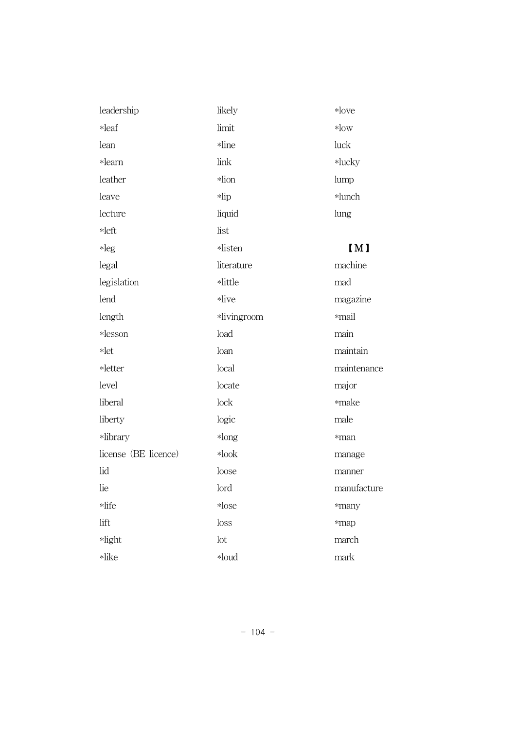| leadership           | likely      | $*$ love    |
|----------------------|-------------|-------------|
| *leaf                | limit       | $*$ low     |
| lean                 | *line       | luck        |
| *learn               | link        | *lucky      |
| leather              | *lion       | lump        |
| leave                | $*lip$      | *lunch      |
| lecture              | liquid      | lung        |
| *left                | list        |             |
| $*leg$               | *listen     | [M]         |
| legal                | literature  | machine     |
| legislation          | *little     | mad         |
| lend                 | *live       | magazine    |
| length               | *livingroom | *mail       |
| *lesson              | load        | main        |
| $*let$               | loan        | maintain    |
| *letter              | local       | maintenance |
| level                | locate      | major       |
| liberal              | lock        | *make       |
| liberty              | logic       | male        |
| *library             | $*long$     | *man        |
| license (BE licence) | $*$ look    | manage      |
| lid                  | loose       | manner      |
| lie                  | lord        | manufacture |
| *life                | $*$ lose    | *many       |
| lift                 | loss        | *map        |
| *light               | lot         | march       |
| *like                | *loud       | mark        |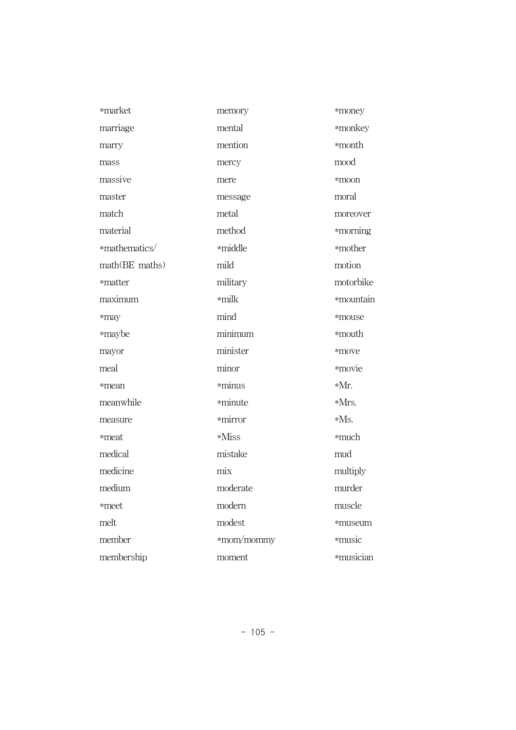| *market        | memory     | *money    |
|----------------|------------|-----------|
| marriage       | mental     | *monkey   |
| marry          | mention    | *month    |
| mass           | mercy      | mood      |
| massive        | mere       | *moon     |
| master         | message    | moral     |
| match          | metal      | moreover  |
| material       | method     | *morning  |
| *mathematics/  | *middle    | *mother   |
| math(BE maths) | mild       | motion    |
| *matter        | military   | motorbike |
| maximum        | *milk      | *mountain |
| *may           | mind       | *mouse    |
| *maybe         | minimum    | *mouth    |
| mayor          | minister   | *move     |
| meal           | minor      | *movie    |
| *mean          | *minus     | *Mr.      |
| meanwhile      | *minute    | *Mrs.     |
| measure        | *mirror    | $*Ms.$    |
| *meat          | *Miss      | *much     |
| medical        | mistake    | mud       |
| medicine       | mix        | multiply  |
| medium         | moderate   | murder    |
| *meet          | modern     | muscle    |
| melt           | modest     | *museum   |
| member         | *mom/mommy | *music    |
| membership     | moment     | *musician |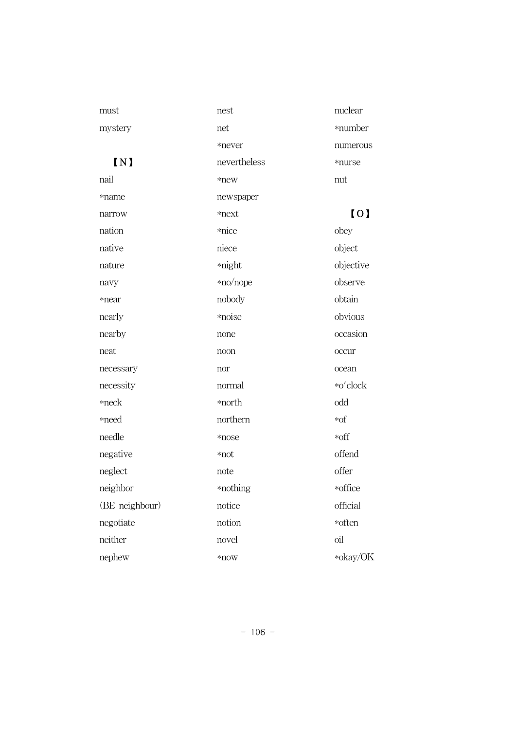| must           | nest         | nuclear   |
|----------------|--------------|-----------|
| mystery        | net          | *number   |
|                | *never       | numerous  |
| $\sqrt{N}$     | nevertheless | *nurse    |
| nail           | *new         | nut       |
| *name          | newspaper    |           |
| narrow         | *next        | [0]       |
| nation         | *nice        | obey      |
| native         | niece        | object    |
| nature         | *night       | objective |
| navy           | *no/nope     | observe   |
| *near          | nobody       | obtain    |
| nearly         | *noise       | obvious   |
| nearby         | none         | occasion  |
| neat           | noon         | occur     |
| necessary      | nor          | ocean     |
| necessity      | normal       | *o'clock  |
| $*neck$        | *north       | odd       |
| *need          | northern     | $*$ of    |
| needle         | *nose        | *off      |
| negative       | *not         | offend    |
| neglect        | note         | offer     |
| neighbor       | *nothing     | *office   |
| (BE neighbour) | notice       | official  |
| negotiate      | notion       | *often    |
| neither        | novel        | oil       |
| nephew         | $*$ now      | *okay/OK  |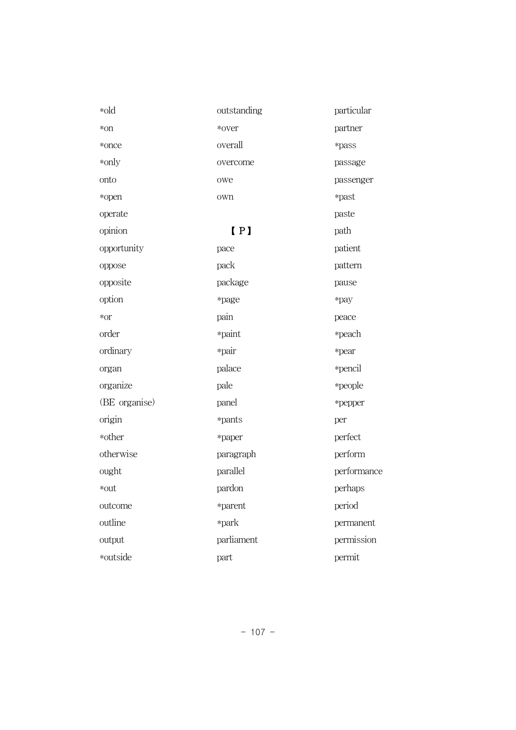| *old          | outstanding | particular  |
|---------------|-------------|-------------|
| *on           | *over       | partner     |
| *once         | overall     | *pass       |
| *only         | overcome    | passage     |
| onto          | owe         | passenger   |
| *open         | own         | *past       |
| operate       |             | paste       |
| opinion       | [P]         | path        |
| opportunity   | pace        | patient     |
| oppose        | pack        | pattern     |
| opposite      | package     | pause       |
| option        | *page       | *pay        |
| *or           | pain        | peace       |
| order         | *paint      | *peach      |
| ordinary      | *pair       | *pear       |
| organ         | palace      | *pencil     |
| organize      | pale        | *people     |
| (BE organise) | panel       | *pepper     |
| origin        | *pants      | per         |
| *other        | *paper      | perfect     |
| otherwise     | paragraph   | perform     |
| ought         | parallel    | performance |
| *out          | pardon      | perhaps     |
| outcome       | *parent     | period      |
| outline       | *park       | permanent   |
| output        | parliament  | permission  |
| *outside      | part        | permit      |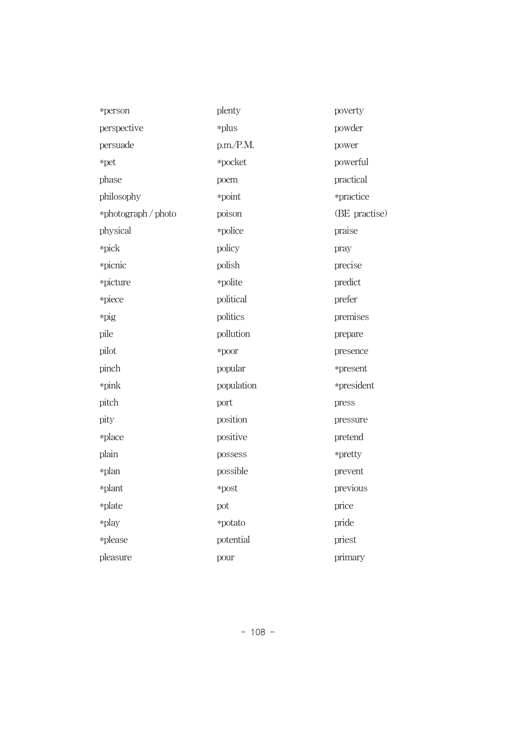| *person             | plenty     | poverty       |
|---------------------|------------|---------------|
| perspective         | *plus      | powder        |
| persuade            | p.m./P.M.  | power         |
| *pet                | *pocket    | powerful      |
| phase               | poem       | practical     |
| philosophy          | *point     | *practice     |
| *photograph / photo | poison     | (BE practise) |
| physical            | *police    | praise        |
| *pick               | policy     | pray          |
| *picnic             | polish     | precise       |
| *picture            | *polite    | predict       |
| *piece              | political  | prefer        |
| *pig                | politics   | premises      |
| pile                | pollution  | prepare       |
| pilot               | *poor      | presence      |
| pinch               | popular    | *present      |
| *pink               | population | *president    |
| pitch               | port       | press         |
| pity                | position   | pressure      |
| *place              | positive   | pretend       |
| plain               | possess    | *pretty       |
| *plan               | possible   | prevent       |
| *plant              | *post      | previous      |
| *plate              | pot        | price         |
| *play               | *potato    | pride         |
| *please             | potential  | priest        |
| pleasure            | pour       | primary       |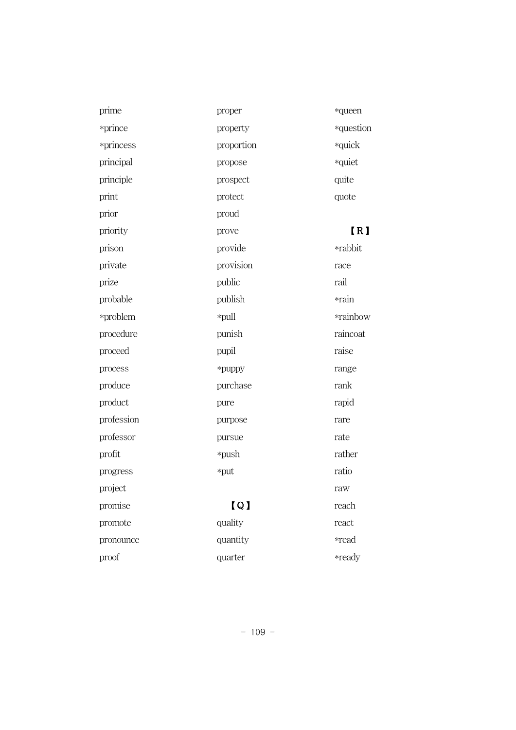| proper            | *queen           |
|-------------------|------------------|
| property          | *question        |
| proportion        | *quick           |
| propose           | *quiet           |
| prospect          | quite            |
| protect           | quote            |
| proud             |                  |
| prove             | [ <sub>R</sub> ] |
| provide           | *rabbit          |
| provision         | race             |
| public            | rail             |
| publish           | *rain            |
| *pull             | *rainbow         |
| punish            | raincoat         |
| pupil             | raise            |
| *puppy            | range            |
| purchase          | rank             |
| pure              | rapid            |
| purpose           | rare             |
| pursue            | rate             |
| *push             | rather           |
| *put              | ratio            |
|                   | raw              |
| $\lceil Q \rceil$ | reach            |
| quality           | react            |
| quantity          | *read            |
| quarter           | *ready           |
|                   |                  |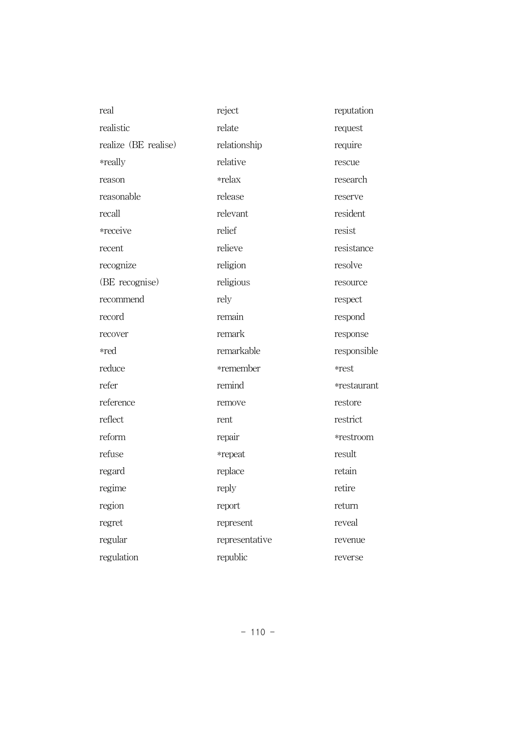| real                 | reject         | reputation  |
|----------------------|----------------|-------------|
| realistic            | relate         | request     |
| realize (BE realise) | relationship   | require     |
| *really              | relative       | rescue      |
| reason               | *relax         | research    |
| reasonable           | release        | reserve     |
| recall               | relevant       | resident    |
| *receive             | relief         | resist      |
| recent               | relieve        | resistance  |
| recognize            | religion       | resolve     |
| (BE recognise)       | religious      | resource    |
| recommend            | rely           | respect     |
| record               | remain         | respond     |
| recover              | remark         | response    |
| *red                 | remarkable     | responsible |
| reduce               | *remember      | *rest       |
| refer                | remind         | *restaurant |
| reference            | remove         | restore     |
| reflect              | rent           | restrict    |
| reform               | repair         | *restroom   |
| refuse               | *repeat        | result      |
| regard               | replace        | retain      |
| regime               | reply          | retire      |
| region               | report         | return      |
| regret               | represent      | reveal      |
| regular              | representative | revenue     |
| regulation           | republic       | reverse     |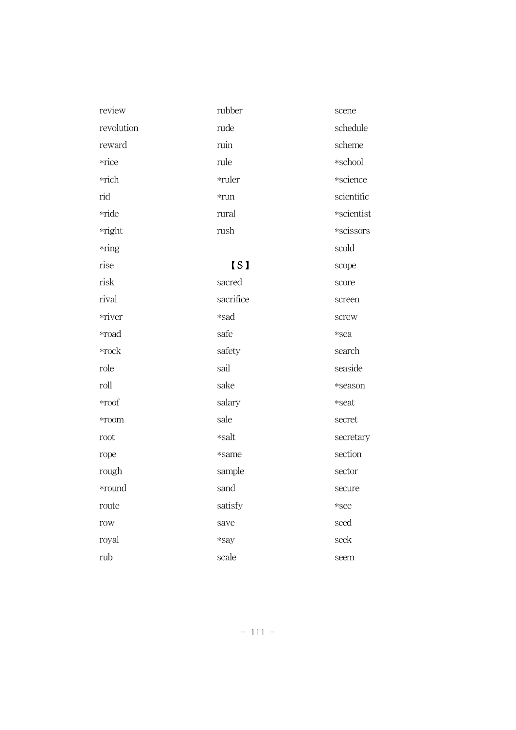| review        | rubber     | scene      |
|---------------|------------|------------|
| revolution    | rude       | schedule   |
| reward        | ruin       | scheme     |
| *rice         | rule       | *school    |
| *rich         | *ruler     | *science   |
| rid           | $*run$     | scientific |
| *ride         | rural      | *scientist |
| *right        | rush       | *scissors  |
| *ring         |            | scold      |
| rise          | <b>IS1</b> | scope      |
| risk          | sacred     | score      |
| rival         | sacrifice  | screen     |
| *river        | *sad       | screw      |
| *road         | safe       | *sea       |
| $*{\rm rock}$ | safety     | search     |
| role          | sail       | seaside    |
| roll          | sake       | *season    |
| $*$ roof      | salary     | *seat      |
| *room         | sale       | secret     |
| root          | *salt      | secretary  |
| rope          | *same      | section    |
| rough         | sample     | sector     |
| *round        | sand       | secure     |
| route         | satisfy    | *see       |
| row           | save       | seed       |
| royal         | *say       | seek       |
| rub           | scale      | seem       |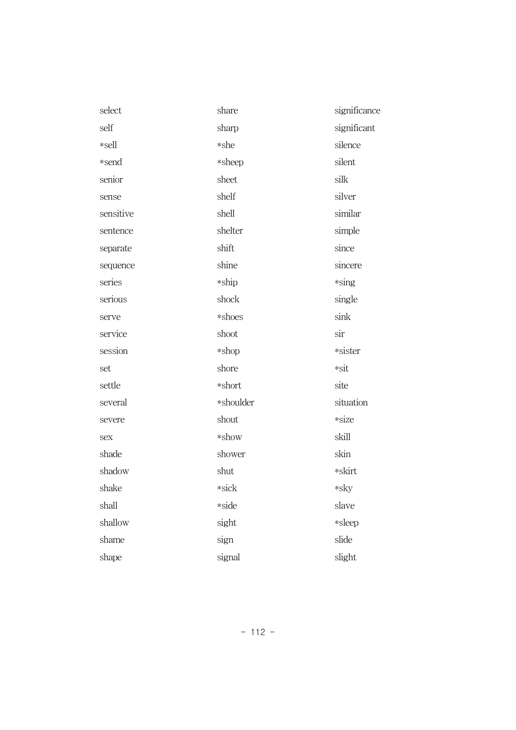| select    | share     | significance |
|-----------|-----------|--------------|
| self      | sharp     | significant  |
| *sell     | *she      | silence      |
| *send     | *sheep    | silent       |
| senior    | sheet     | silk         |
| sense     | shelf     | silver       |
| sensitive | shell     | similar      |
| sentence  | shelter   | simple       |
| separate  | shift     | since        |
| sequence  | shine     | sincere      |
| series    | *ship     | $*$ sing     |
| serious   | shock     | single       |
| serve     | *shoes    | sink         |
| service   | shoot     | sir          |
| session   | *shop     | *sister      |
| set       | shore     | *sit         |
| settle    | *short    | site         |
| several   | *shoulder | situation    |
| severe    | shout     | *size        |
| sex       | *show     | skill        |
| shade     | shower    | skin         |
| shadow    | shut      | *skirt       |
| shake     | *sick     | *sky         |
| shall     | *side     | slave        |
| shallow   | sight     | *sleep       |
| shame     | sign      | slide        |
| shape     | signal    | slight       |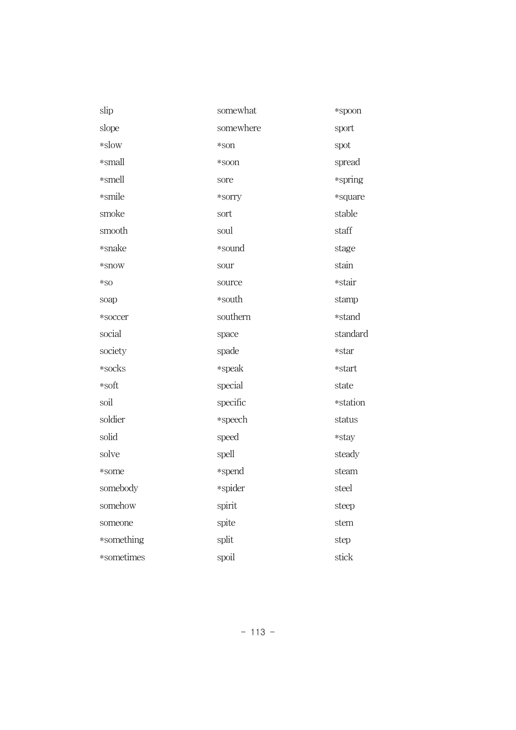| slip       | somewhat  | *spoon   |
|------------|-----------|----------|
| slope      | somewhere | sport    |
| $*$ slow   | *son      | spot     |
| *small     | *soon     | spread   |
| *smell     | sore      | *spring  |
| *smile     | *sorry    | *square  |
| smoke      | sort      | stable   |
| smooth     | soul      | staff    |
| *snake     | *sound    | stage    |
| *snow      | sour      | stain    |
| $*$ SO     | source    | *stair   |
| soap       | *south    | stamp    |
| *soccer    | southern  | *stand   |
| social     | space     | standard |
| society    | spade     | *star    |
| *socks     | *speak    | *start   |
| *soft      | special   | state    |
| soil       | specific  | *station |
| soldier    | *speech   | status   |
| solid      | speed     | *stay    |
| solve      | spell     | steady   |
| *some      | *spend    | steam    |
| somebody   | *spider   | steel    |
| somehow    | spirit    | steep    |
| someone    | spite     | stem     |
| *something | split     | step     |
| *sometimes | spoil     | stick    |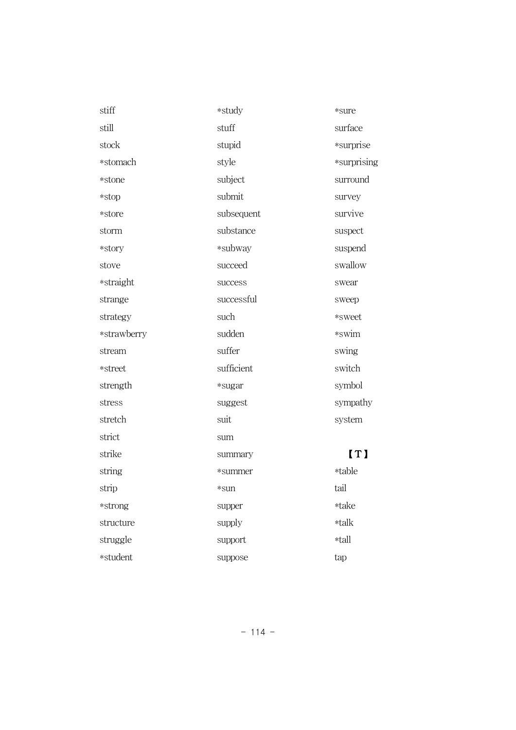| stiff       | *study     | *sure       |
|-------------|------------|-------------|
| still       | stuff      | surface     |
| stock       | stupid     | *surprise   |
| *stomach    | style      | *surprising |
| *stone      | subject    | surround    |
| *stop       | submit     | survey      |
| *store      | subsequent | survive     |
| storm       | substance  | suspect     |
| *story      | *subway    | suspend     |
| stove       | succeed    | swallow     |
| *straight   | success    | swear       |
| strange     | successful | sweep       |
| strategy    | such       | *sweet      |
| *strawberry | sudden     | *swim       |
| stream      | suffer     | swing       |
| *street     | sufficient | switch      |
| strength    | *sugar     | symbol      |
| stress      | suggest    | sympathy    |
| stretch     | suit       | system      |
| strict      | sum        |             |
| strike      | summary    | [T]         |
| string      | *summer    | *table      |
| strip       | *sun       | tail        |
| *strong     | supper     | *take       |
| structure   | supply     | *talk       |
| struggle    | support    | *tall       |
| *student    | suppose    | tap         |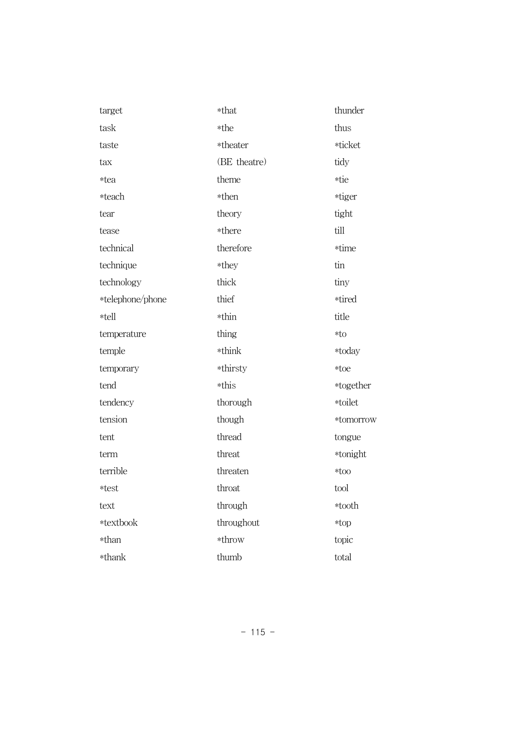| target           | *that        | thunder   |
|------------------|--------------|-----------|
| task             | *the         | thus      |
| taste            | *theater     | *ticket   |
| tax              | (BE theatre) | tidy      |
| *tea             | theme        | *tie      |
| *teach           | *then        | *tiger    |
| tear             | theory       | tight     |
| tease            | *there       | till      |
| technical        | therefore    | *time     |
| technique        | *they        | tin       |
| technology       | thick        | tiny      |
| *telephone/phone | thief        | *tired    |
| *tell            | *thin        | title     |
| temperature      | thing        | $*$ to    |
| temple           | *think       | *today    |
| temporary        | *thirsty     | *toe      |
| tend             | *this        | *together |
| tendency         | thorough     | *toilet   |
| tension          | though       | *tomorrow |
| tent             | thread       | tongue    |
| term             | threat       | *tonight  |
| terrible         | threaten     | $*too$    |
| *test            | throat       | tool      |
| text             | through      | *tooth    |
| *textbook        | throughout   | *top      |
| *than            | *throw       | topic     |
| *thank           | thumb        | total     |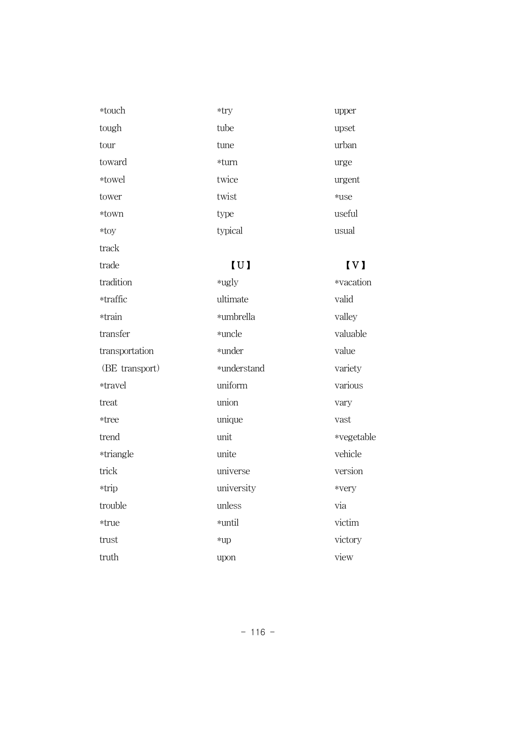| *touch         | *try        | upper                   |
|----------------|-------------|-------------------------|
| tough          | tube        | upset                   |
| tour           | tune        | urban                   |
| toward         | *turn       | urge                    |
| *towel         | twice       | urgent                  |
| tower          | twist       | *use                    |
| *town          | type        | useful                  |
| $*$ toy        | typical     | usual                   |
| track          |             |                         |
| trade          | [U]         | $\mathbf{I} \mathbf{V}$ |
|                |             |                         |
| tradition      | $*$ ugly    | *vacati                 |
| *traffic       | ultimate    | valid                   |
| *train         | *umbrella   | valley                  |
| transfer       | *uncle      | valuabl                 |
| transportation | *under      | value                   |
| (BE transport) | *understand | variety                 |
| *travel        | uniform     | various                 |

unique

universe

university

unless \*until

\*up

upon

unit unite

treat \*tree trend

\*triangle

trick \*trip

trouble \*true trust truth

 $\mathbf{I}$ tion

ole  $\bar{y}$ 1S vary vast \*vegetable vehicle version \*very via victim victory view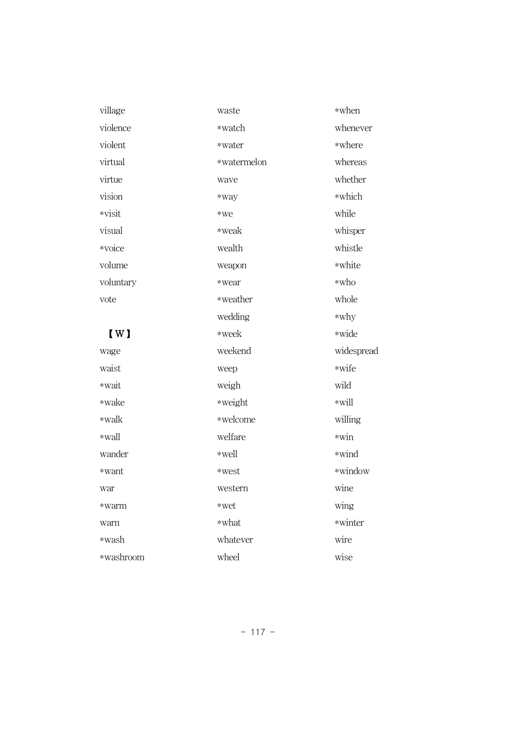| village                                           | waste       | *when      |
|---------------------------------------------------|-------------|------------|
| violence                                          | *watch      | whenever   |
| violent                                           | *water      | *where     |
| virtual                                           | *watermelon | whereas    |
| virtue                                            | wave        | whether    |
| vision                                            | *way        | *which     |
| *visit                                            | *we         | while      |
| visual                                            | *weak       | whisper    |
| *voice                                            | wealth      | whistle    |
| volume                                            | weapon      | *white     |
| voluntary                                         | *wear       | *who       |
| vote                                              | *weather    | whole      |
|                                                   | wedding     | $*why$     |
| $\left[\begin{matrix} 1 \\ 1 \end{matrix}\right]$ | *week       | *wide      |
| wage                                              | weekend     | widespread |
| waist                                             | weep        | *wife      |
| *wait                                             | weigh       | wild       |
| *wake                                             | *weight     | $*$ will   |
| *walk                                             | *welcome    | willing    |
| *wall                                             | welfare     | $*win$     |
| wander                                            | *well       | *wind      |
| *want                                             | *west       | *window    |
| war                                               | western     | wine       |
| *warm                                             | *wet        | wing       |
| warn                                              | *what       | *winter    |
| *wash                                             | whatever    | wire       |
| *washroom                                         | wheel       | wise       |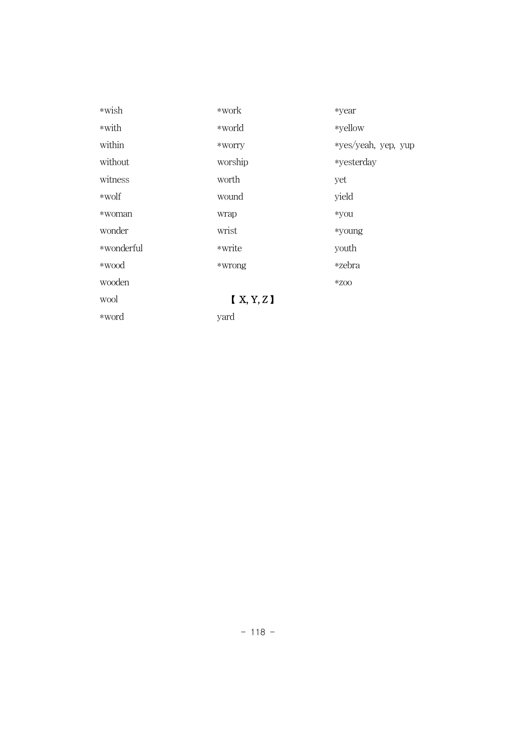| *wish      | *work   | *year               |
|------------|---------|---------------------|
| *with      | *world  | *yellow             |
| within     | *WOITY  | *yes/yeah, yep, yup |
| without    | worship | *yesterday          |
| witness    | worth   | yet                 |
| *wolf      | wound   | yield               |
| *woman     | wrap    | *you                |
| wonder     | wrist   | *young              |
| *wonderful | *write  | youth               |
| *wood      | *wrong  | *zebra              |
| wooden     |         | $*$ ZOO             |
| wool       | X, Y, Z |                     |
| *word      | yard    |                     |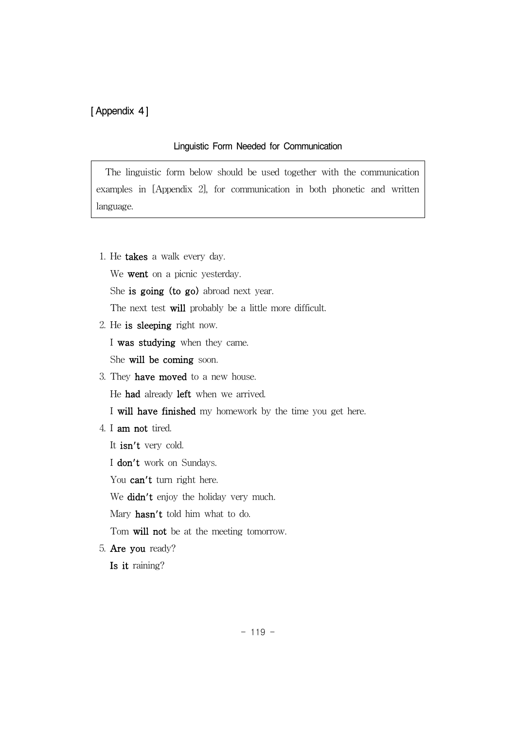## [ Appendix 4]

## Linguistic Form Needed for Communication

The linguistic form below should be used together with the communication examples in [Appendix 2], for communication in both phonetic and written language.

1. He takes a walk every day.

We went on a picnic yesterday.

She is going (to go) abroad next year.

The next test will probably be a little more difficult.

2. He is sleeping right now.

I was studying when they came.

She will be coming soon.

3. They have moved to a new house.

He had already left when we arrived.

- I will have finished my homework by the time you get here.
- 4. I am not tired.
	- It isn't very cold.
	- I don't work on Sundays.

You can't turn right here.

We didn't enjoy the holiday very much.

Mary hasn't told him what to do.

Tom will not be at the meeting tomorrow.

5. Are you ready?

Is it raining?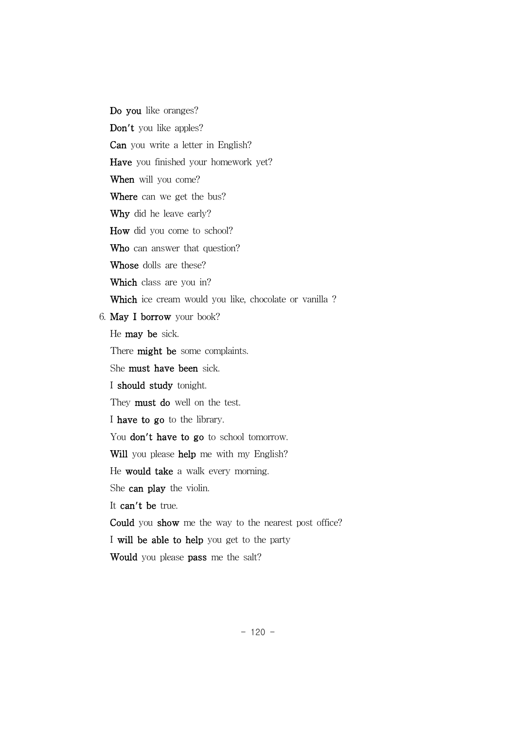Do you like oranges? Don't you like apples? Can you write a letter in English? Have you finished your homework yet? When will you come? Where can we get the bus? Why did he leave early? How did you come to school? Who can answer that question? Whose dolls are these? Which class are you in? Which ice cream would you like, chocolate or vanilla ? 6. May I borrow your book? He may be sick. There **might** be some complaints. She must have been sick. I should study tonight. They **must do** well on the test. I have to go to the library. You don't have to go to school tomorrow. Will you please help me with my English? He would take a walk every morning. She can play the violin. It can't be true. Could you show me the way to the nearest post office? I will be able to help you get to the party Would you please pass me the salt?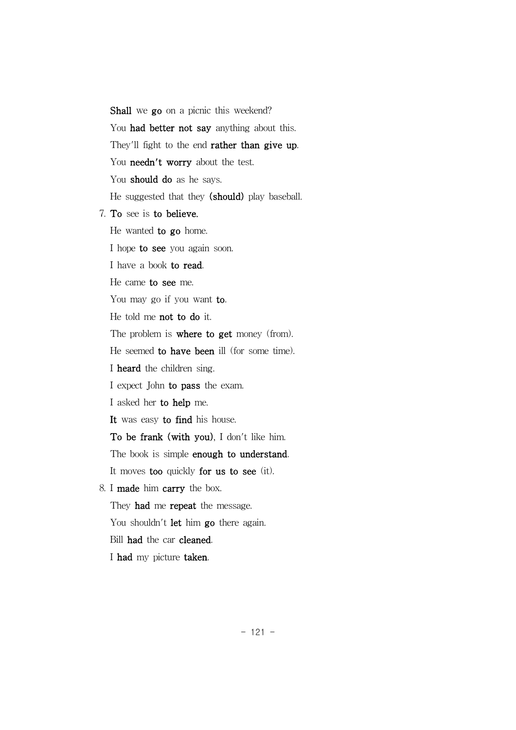Shall we go on a picnic this weekend? You had better not say anything about this. They'll fight to the end **rather than give up**. You needn't worry about the test. You should do as he says. He suggested that they (should) play baseball.

7. To see is to believe.

He wanted to go home.

I hope to see you again soon.

I have a book to read.

He came to see me.

You may go if you want to.

He told me not to do it.

The problem is **where to get** money (from).

He seemed to have been ill (for some time).

I heard the children sing.

I expect John to pass the exam.

I asked her to help me.

It was easy to find his house.

To be frank (with you), I don't like him.

The book is simple enough to understand.

It moves too quickly for us to see (it).

8. I made him carry the box.

They **had** me **repeat** the message.

You shouldn't let him go there again.

Bill had the car cleaned.

I had my picture taken.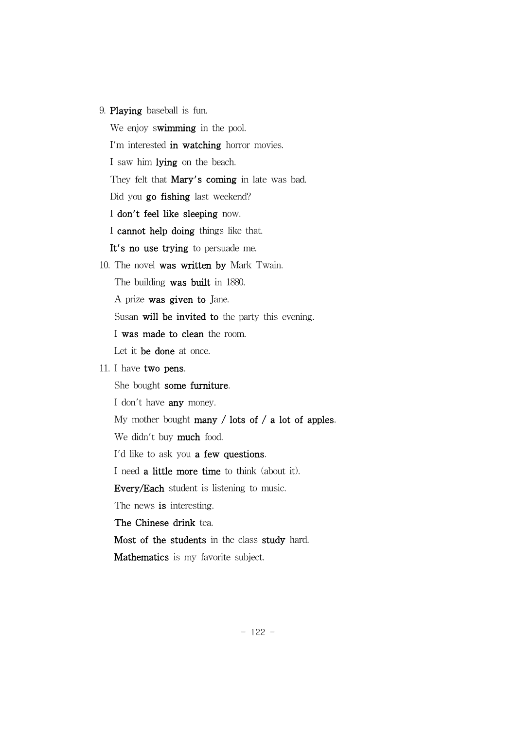9. Playing baseball is fun.

We enjoy swimming in the pool.

I'm interested in watching horror movies.

I saw him lying on the beach.

They felt that **Mary's coming** in late was bad.

Did you go fishing last weekend?

I don't feel like sleeping now.

I cannot help doing things like that.

It's no use trying to persuade me.

10. The novel was written by Mark Twain.

The building was built in 1880.

A prize was given to Jane.

Susan will be invited to the party this evening.

I was made to clean the room.

Let it be done at once.

## 11. I have two pens.

She bought some furniture.

I don't have any money.

My mother bought many / lots of / a lot of apples.

We didn't buy **much** food.

I'd like to ask you a few questions.

I need a little more time to think (about it).

Every/Each student is listening to music.

The news is interesting.

The Chinese drink tea.

Most of the students in the class study hard.

Mathematics is my favorite subject.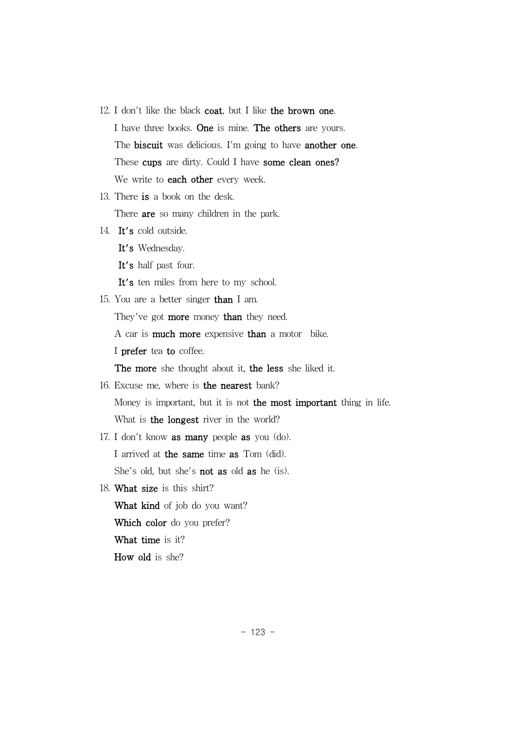- 12. I don't like the black coat, but I like the brown one. I have three books. One is mine. The others are yours. The **biscuit** was delicious. I'm going to have **another one**. These cups are dirty. Could I have some clean ones? We write to **each other** every week.
- 13. There is a book on the desk.

There **are** so many children in the park.

14. It's cold outside.

It's Wednesday.

It's half past four.

It's ten miles from here to my school.

15. You are a better singer than I am.

They've got **more** money than they need.

A car is much more expensive than a motor bike.

I prefer tea to coffee.

The more she thought about it, the less she liked it.

16. Excuse me, where is the nearest bank?

Money is important, but it is not the most important thing in life. What is the longest river in the world?

- 17. I don't know as many people as you (do). I arrived at the same time as Tom (did). She's old, but she's not as old as he (is).
- 18. What size is this shirt? What kind of job do you want? Which color do you prefer? What time is it?

How old is she?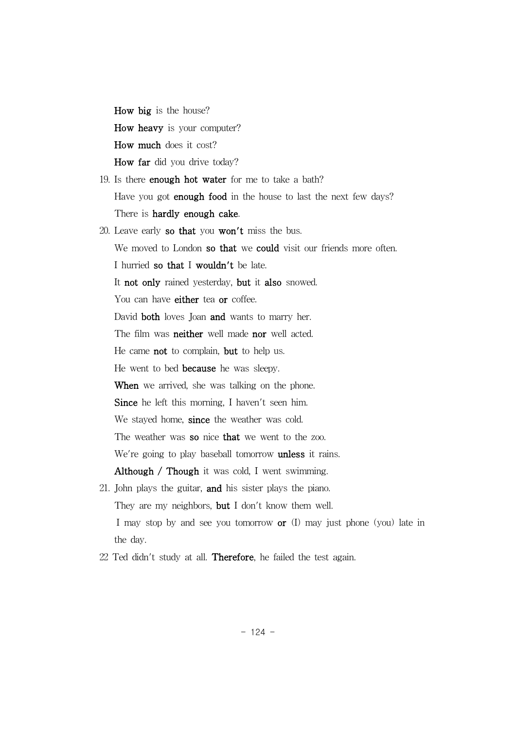How big is the house? How heavy is your computer? How much does it cost? How far did you drive today?

- 19. Is there enough hot water for me to take a bath? Have you got **enough food** in the house to last the next few days? There is hardly enough cake.
- 20. Leave early so that you won't miss the bus. We moved to London so that we could visit our friends more often. I hurried so that I wouldn't be late. It not only rained yesterday, but it also snowed. You can have **either** tea or coffee. David both loves Joan and wants to marry her. The film was neither well made nor well acted. He came not to complain, but to help us. He went to bed because he was sleepy. When we arrived, she was talking on the phone. Since he left this morning, I haven't seen him. We stayed home, since the weather was cold. The weather was so nice that we went to the zoo. We're going to play baseball tomorrow **unless** it rains. Although / Though it was cold, I went swimming. 21. John plays the guitar, and his sister plays the piano.
- They are my neighbors, but I don't know them well. I may stop by and see you tomorrow  $or (I)$  may just phone (you) late in the day.
- 22 Ted didn't study at all. Therefore, he failed the test again.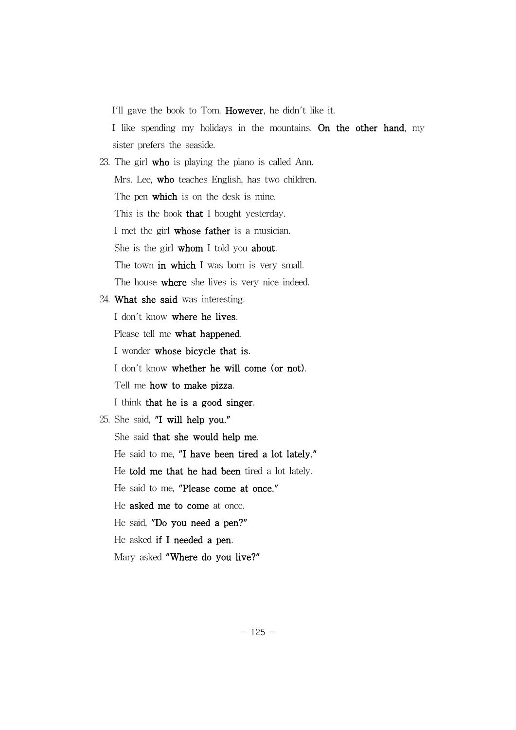I'll gave the book to Tom. However, he didn't like it.

I like spending my holidays in the mountains. On the other hand, my sister prefers the seaside.

23. The girl who is playing the piano is called Ann. Mrs. Lee, who teaches English, has two children. The pen which is on the desk is mine. This is the book **that** I bought yesterday. I met the girl whose father is a musician. She is the girl whom I told you about. The town in which I was born is very small. The house where she lives is very nice indeed.

24. What she said was interesting.

I don't know where he lives.

Please tell me what happened.

I wonder whose bicycle that is.

I don't know whether he will come (or not).

Tell me how to make pizza.

I think that he is a good singer.

25. She said, "I will help you." She said that she would help me. He said to me, "I have been tired a lot lately." He told me that he had been tired a lot lately. He said to me, "Please come at once." He asked me to come at once. He said, "Do you need a pen?" He asked if I needed a pen. Mary asked "Where do you live?"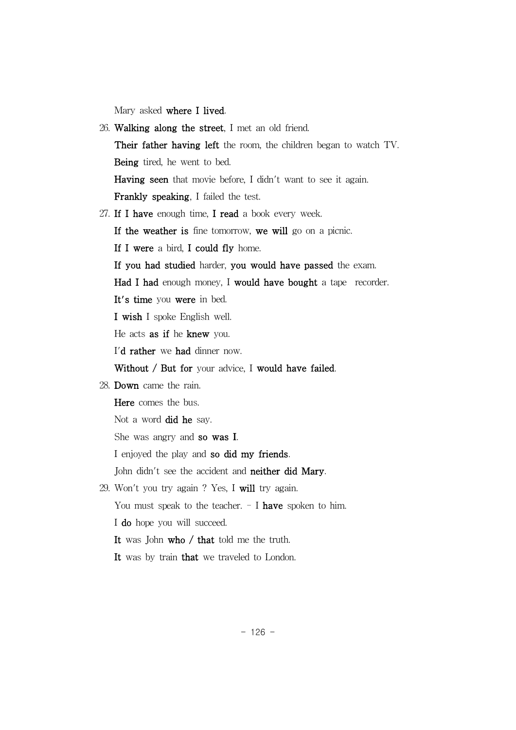Mary asked where I lived.

26. Walking along the street, I met an old friend. Their father having left the room, the children began to watch TV. Being tired, he went to bed. Having seen that movie before, I didn't want to see it again. Frankly speaking, I failed the test. 27. If I have enough time, I read a book every week. If the weather is fine tomorrow, we will go on a picnic. If I were a bird, I could fly home. If you had studied harder, you would have passed the exam. Had I had enough money, I would have bought a tape recorder. It's time you were in bed. I wish I spoke English well. He acts as if he knew you. I'd rather we had dinner now. Without / But for your advice, I would have failed. 28. Down came the rain. Here comes the bus. Not a word did he say. She was angry and so was I. I enjoyed the play and so did my friends. John didn't see the accident and **neither did Mary**. 29. Won't you try again ? Yes, I will try again. You must speak to the teacher.  $-$  I have spoken to him. I do hope you will succeed. It was John who / that told me the truth. It was by train that we traveled to London.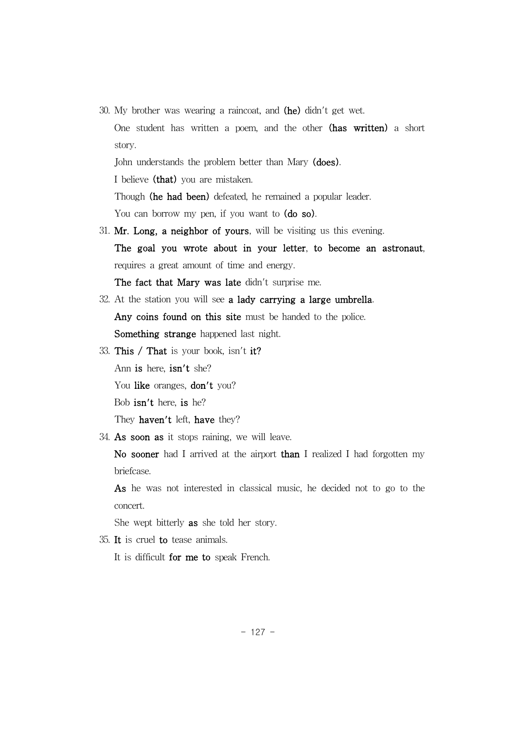30. My brother was wearing a raincoat, and (he) didn't get wet. One student has written a poem, and the other (has written) a short story. John understands the problem better than Mary (does).

I believe (that) you are mistaken.

Though (he had been) defeated, he remained a popular leader.

You can borrow my pen, if you want to (do so).

31. Mr. Long, a neighbor of yours, will be visiting us this evening. The goal you wrote about in your letter, to become an astronaut, requires a great amount of time and energy.

The fact that Mary was late didn't surprise me.

- 32. At the station you will see a lady carrying a large umbrella. Any coins found on this site must be handed to the police. Something strange happened last night.
- 33. This / That is your book, isn't it? Ann is here, isn't she? You like oranges, don't you? Bob isn't here, is he? They haven't left, have they?
- 34. As soon as it stops raining, we will leave.

No sooner had I arrived at the airport than I realized I had forgotten my briefcase.

As he was not interested in classical music, he decided not to go to the concert.

She wept bitterly as she told her story.

35. It is cruel to tease animals.

It is difficult for me to speak French.